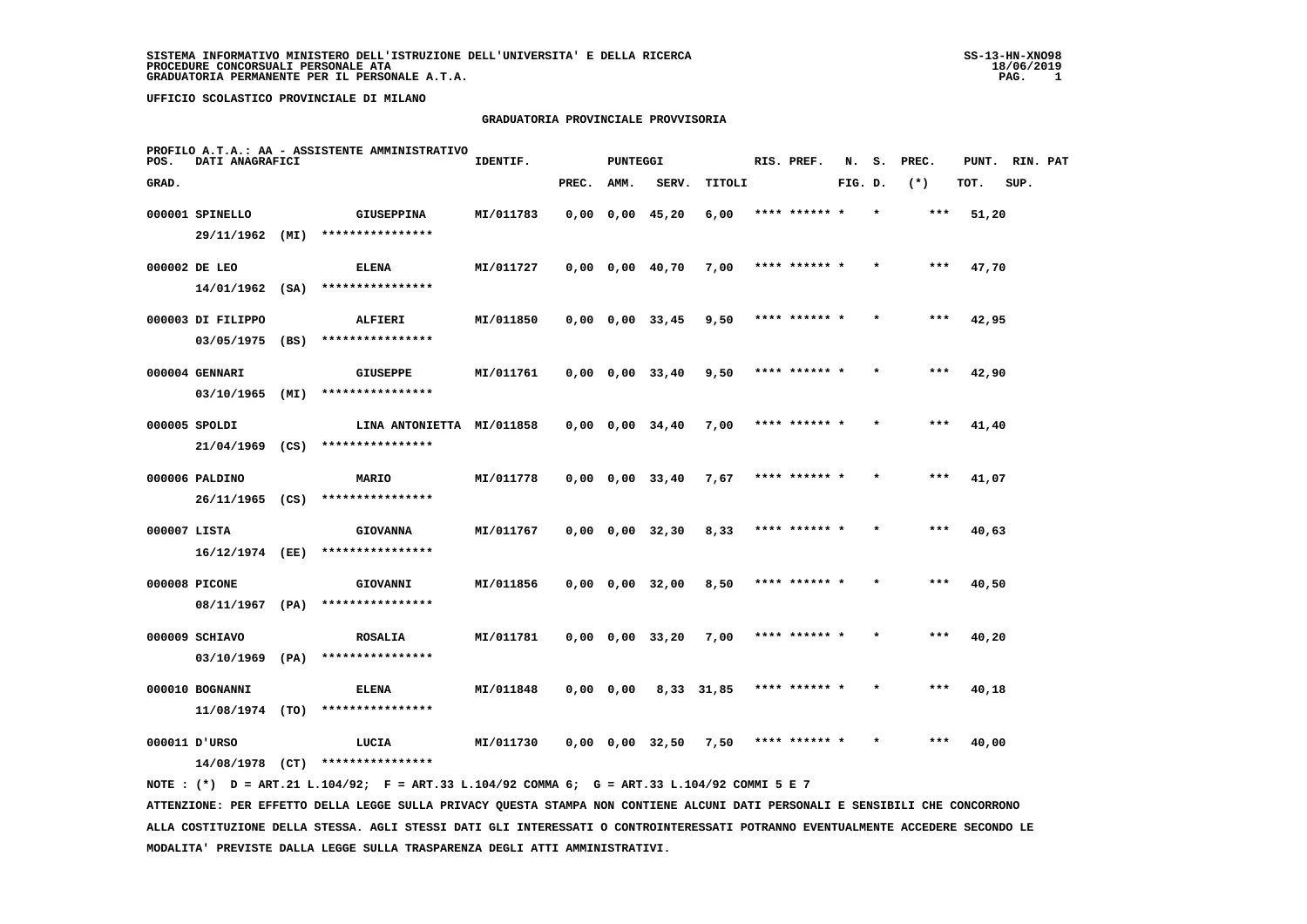#### **GRADUATORIA PROVINCIALE PROVVISORIA**

| POS.         | DATI ANAGRAFICI   |      | PROFILO A.T.A.: AA - ASSISTENTE AMMINISTRATIVO                                              | IDENTIF.  |       | <b>PUNTEGGI</b> |                            |            | RIS. PREF.    | N.      | s.      | PREC. | PUNT. | RIN. PAT |  |
|--------------|-------------------|------|---------------------------------------------------------------------------------------------|-----------|-------|-----------------|----------------------------|------------|---------------|---------|---------|-------|-------|----------|--|
| GRAD.        |                   |      |                                                                                             |           | PREC. | AMM.            | SERV.                      | TITOLI     |               | FIG. D. |         | $(*)$ | TOT.  | SUP.     |  |
|              | 000001 SPINELLO   |      | <b>GIUSEPPINA</b>                                                                           | MI/011783 |       |                 | $0,00$ $0,00$ $45,20$      | 6,00       | **** ****** * |         | $\star$ | ***   | 51,20 |          |  |
|              | 29/11/1962 (MI)   |      | ****************                                                                            |           |       |                 |                            |            |               |         |         |       |       |          |  |
|              | 000002 DE LEO     |      | <b>ELENA</b>                                                                                | MI/011727 |       |                 | $0,00$ $0,00$ $40,70$      | 7,00       | **** ****** * |         |         | $***$ | 47,70 |          |  |
|              | $14/01/1962$ (SA) |      | ****************                                                                            |           |       |                 |                            |            |               |         |         |       |       |          |  |
|              | 000003 DI FILIPPO |      | ALFIERI                                                                                     | MI/011850 |       |                 | $0,00$ $0,00$ $33,45$      | 9,50       | **** ****** * |         |         | ***   | 42,95 |          |  |
|              | 03/05/1975        | (BS) | ****************                                                                            |           |       |                 |                            |            |               |         |         |       |       |          |  |
|              | 000004 GENNARI    |      | <b>GIUSEPPE</b>                                                                             | MI/011761 |       |                 | $0,00$ $0,00$ $33,40$      | 9,50       | **** ****** * |         |         | ***   | 42,90 |          |  |
|              | $03/10/1965$ (MI) |      | ****************                                                                            |           |       |                 |                            |            |               |         |         |       |       |          |  |
|              | 000005 SPOLDI     |      | LINA ANTONIETTA MI/011858                                                                   |           |       |                 | $0,00$ $0,00$ $34,40$      | 7,00       | **** ****** * |         |         | ***   | 41,40 |          |  |
|              |                   |      | 21/04/1969 (CS) ****************                                                            |           |       |                 |                            |            |               |         |         |       |       |          |  |
|              | 000006 PALDINO    |      | MARIO                                                                                       | MI/011778 |       |                 | $0,00$ $0,00$ $33,40$      | 7,67       | **** ****** * |         |         | ***   | 41,07 |          |  |
|              | 26/11/1965 (CS)   |      | ****************                                                                            |           |       |                 |                            |            |               |         |         |       |       |          |  |
| 000007 LISTA |                   |      | <b>GIOVANNA</b>                                                                             | MI/011767 |       |                 | $0,00 \t 0,00 \t 32,30$    | 8,33       | **** ****** * |         |         | ***   | 40,63 |          |  |
|              | 16/12/1974 (EE)   |      | ****************                                                                            |           |       |                 |                            |            |               |         |         |       |       |          |  |
|              | 000008 PICONE     |      | GIOVANNI                                                                                    | MI/011856 |       |                 | $0,00$ $0,00$ $32,00$      | 8,50       | **** ****** * |         |         | ***   | 40,50 |          |  |
|              | 08/11/1967 (PA)   |      | ****************                                                                            |           |       |                 |                            |            |               |         |         |       |       |          |  |
|              | 000009 SCHIAVO    |      | <b>ROSALIA</b>                                                                              | MI/011781 |       |                 | $0,00$ $0,00$ $33,20$      | 7,00       | **** ****** * |         |         | ***   | 40,20 |          |  |
|              | 03/10/1969        | (PA) | ****************                                                                            |           |       |                 |                            |            |               |         |         |       |       |          |  |
|              | 000010 BOGNANNI   |      | <b>ELENA</b>                                                                                | MI/011848 |       | $0,00$ $0,00$   |                            | 8,33 31,85 | **** ****** * |         |         | ***   | 40,18 |          |  |
|              | 11/08/1974 (TO)   |      | ****************                                                                            |           |       |                 |                            |            |               |         |         |       |       |          |  |
|              | 000011 D'URSO     |      | LUCIA                                                                                       | MI/011730 |       |                 | $0,00$ $0,00$ $32,50$ 7,50 |            | **** ****** * |         |         | ***   | 40,00 |          |  |
|              |                   |      | $14/08/1978$ (CT) ****************                                                          |           |       |                 |                            |            |               |         |         |       |       |          |  |
|              |                   |      | NOTE: (*) D = ART.21 L.104/92; F = ART.33 L.104/92 COMMA 6; G = ART.33 L.104/92 COMMI 5 E 7 |           |       |                 |                            |            |               |         |         |       |       |          |  |

 **ATTENZIONE: PER EFFETTO DELLA LEGGE SULLA PRIVACY QUESTA STAMPA NON CONTIENE ALCUNI DATI PERSONALI E SENSIBILI CHE CONCORRONO ALLA COSTITUZIONE DELLA STESSA. AGLI STESSI DATI GLI INTERESSATI O CONTROINTERESSATI POTRANNO EVENTUALMENTE ACCEDERE SECONDO LE MODALITA' PREVISTE DALLA LEGGE SULLA TRASPARENZA DEGLI ATTI AMMINISTRATIVI.**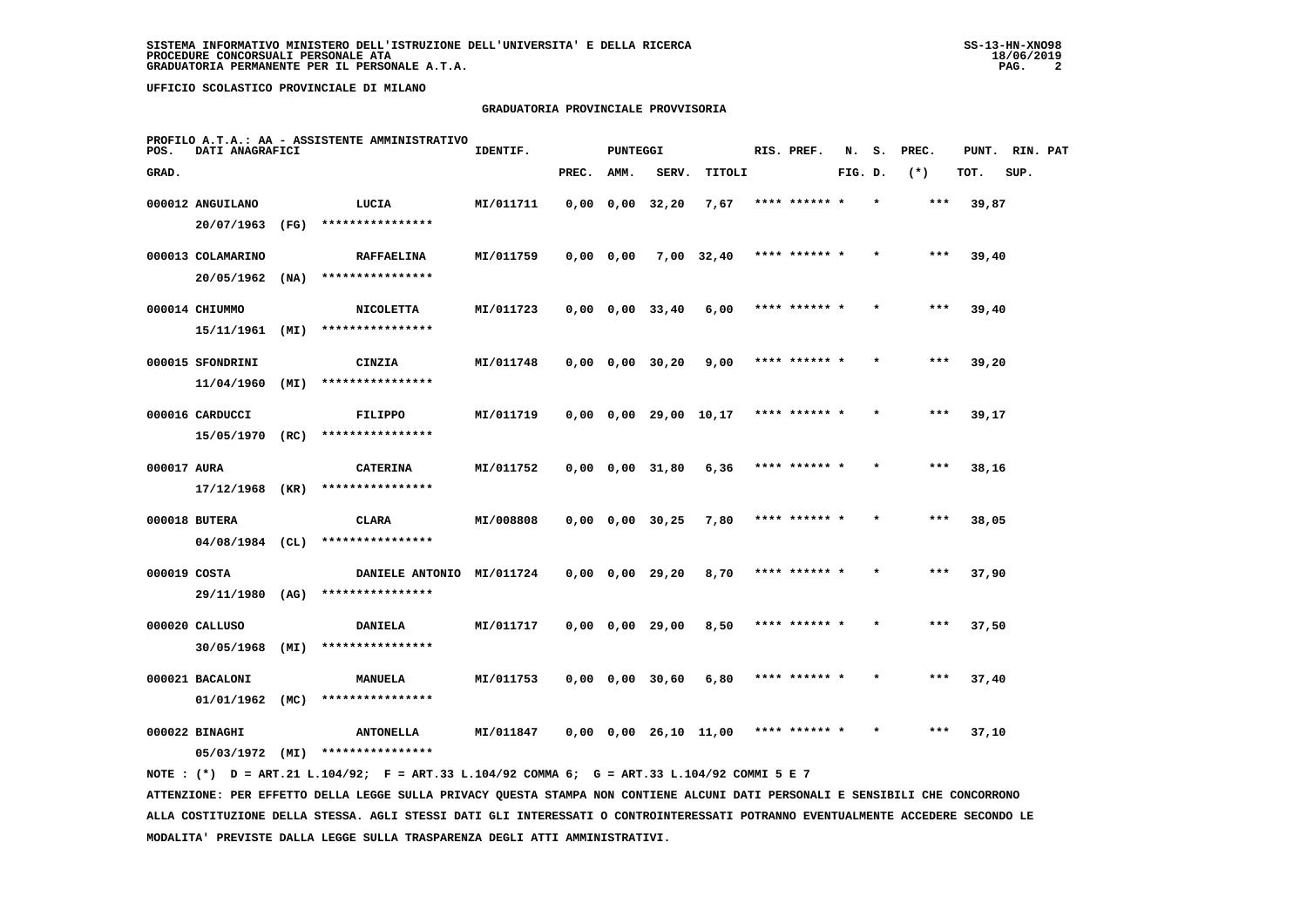# **GRADUATORIA PROVINCIALE PROVVISORIA**

| POS.        | DATI ANAGRAFICI                    |      | PROFILO A.T.A.: AA - ASSISTENTE AMMINISTRATIVO | IDENTIF.  |           | <b>PUNTEGGI</b> |                               |              | RIS. PREF.    | N.      | s.      | PREC. | PUNT. RIN. PAT |      |  |
|-------------|------------------------------------|------|------------------------------------------------|-----------|-----------|-----------------|-------------------------------|--------------|---------------|---------|---------|-------|----------------|------|--|
| GRAD.       |                                    |      |                                                |           | PREC.     | AMM.            | SERV.                         | TITOLI       |               | FIG. D. |         | $(*)$ | TOT.           | SUP. |  |
|             | 000012 ANGUILANO<br>20/07/1963     | (FG) | LUCIA<br>****************                      | MI/011711 |           |                 | $0,00$ $0,00$ $32,20$         | 7,67         | **** ****** * |         |         | $***$ | 39,87          |      |  |
|             | 000013 COLAMARINO<br>20/05/1962    | (NA) | <b>RAFFAELINA</b><br>****************          | MI/011759 | 0,0000,00 |                 |                               | $7,00$ 32,40 | **** ****** * |         |         | $***$ | 39,40          |      |  |
|             | 000014 CHIUMMO<br>15/11/1961       | (MI) | <b>NICOLETTA</b><br>****************           | MI/011723 |           |                 | $0,00$ $0,00$ $33,40$         | 6,00         | **** ****** * |         |         | $***$ | 39,40          |      |  |
|             | 000015 SFONDRINI<br>11/04/1960     | (MI) | CINZIA<br>****************                     | MI/011748 |           |                 | $0,00$ $0,00$ $30,20$         | 9,00         | **** ****** * |         |         | ***   | 39,20          |      |  |
|             | 000016 CARDUCCI<br>15/05/1970      | (RC) | FILIPPO<br>****************                    | MI/011719 |           |                 | $0,00$ $0,00$ $29,00$ $10,17$ |              | **** ****** * |         |         | ***   | 39,17          |      |  |
| 000017 AURA | 17/12/1968 (KR)                    |      | <b>CATERINA</b><br>****************            | MI/011752 |           |                 | $0,00$ $0,00$ $31,80$         | 6,36         | **** ****** * |         |         | $***$ | 38,16          |      |  |
|             | 000018 BUTERA<br>$04/08/1984$ (CL) |      | CLARA<br>****************                      | MI/008808 |           |                 | $0,00$ $0,00$ $30,25$         | 7,80         | **** ****** * |         |         | $***$ | 38,05          |      |  |
|             | 000019 COSTA<br>29/11/1980 (AG)    |      | DANIELE ANTONIO MI/011724<br>****************  |           |           |                 | $0,00$ $0,00$ $29,20$         | 8,70         | **** ****** * |         |         | ***   | 37,90          |      |  |
|             | 000020 CALLUSO<br>30/05/1968       | (MI) | DANIELA<br>****************                    | MI/011717 |           |                 | 0,00 0,00 29,00               | 8,50         | **** ******   |         |         | ***   | 37,50          |      |  |
|             | 000021 BACALONI<br>01/01/1962      | (MC) | <b>MANUELA</b><br>****************             | MI/011753 |           |                 | 0,00 0,00 30,60               | 6,80         | **** ****** * |         |         | $***$ | 37,40          |      |  |
|             | 000022 BINAGHI<br>05/03/1972       | (MI) | <b>ANTONELLA</b><br>****************           | MI/011847 |           |                 | $0,00$ $0,00$ $26,10$ $11,00$ |              | **** ****** * |         | $\star$ | ***   | 37,10          |      |  |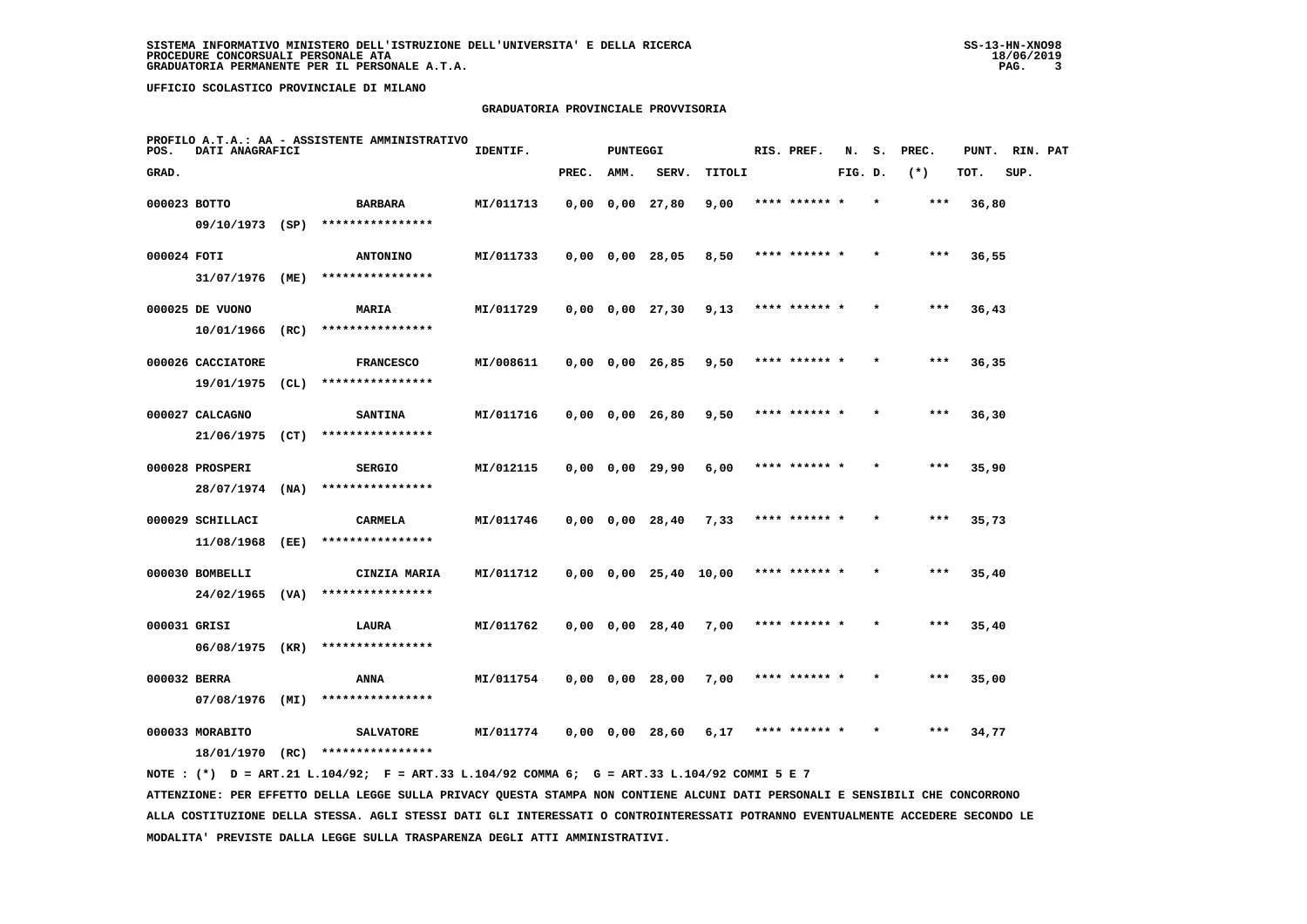# **GRADUATORIA PROVINCIALE PROVVISORIA**

| POS.        | DATI ANAGRAFICI                      |      | PROFILO A.T.A.: AA - ASSISTENTE AMMINISTRATIVO | IDENTIF.  |       | <b>PUNTEGGI</b> |                               |        | RIS. PREF.    | N.      | s. | PREC. | PUNT. RIN. PAT |      |  |
|-------------|--------------------------------------|------|------------------------------------------------|-----------|-------|-----------------|-------------------------------|--------|---------------|---------|----|-------|----------------|------|--|
| GRAD.       |                                      |      |                                                |           | PREC. | AMM.            | SERV.                         | TITOLI |               | FIG. D. |    | $(*)$ | TOT.           | SUP. |  |
|             | 000023 BOTTO<br>09/10/1973 (SP)      |      | <b>BARBARA</b><br>****************             | MI/011713 |       |                 | $0,00$ $0,00$ $27,80$         | 9,00   | **** ******   |         |    | ***   | 36,80          |      |  |
| 000024 FOTI |                                      |      | <b>ANTONINO</b>                                | MI/011733 |       |                 | $0,00$ $0,00$ $28,05$         | 8,50   | **** ****** * |         |    | $***$ | 36,55          |      |  |
|             | 31/07/1976<br>000025 DE VUONO        | (ME) | ****************<br>MARIA                      | MI/011729 |       |                 | $0,00$ $0,00$ $27,30$         | 9,13   | **** ****** * |         |    | $***$ | 36,43          |      |  |
|             | 10/01/1966<br>000026 CACCIATORE      | (RC) | ****************<br><b>FRANCESCO</b>           | MI/008611 |       |                 | $0,00$ $0,00$ $26,85$         | 9,50   | **** ****** * |         |    | ***   | 36,35          |      |  |
|             | 19/01/1975                           | (CL) | ****************                               |           |       |                 |                               |        |               |         |    |       |                |      |  |
|             | 000027 CALCAGNO<br>21/06/1975        | (CT) | <b>SANTINA</b><br>****************             | MI/011716 |       |                 | $0,00$ $0,00$ $26,80$         | 9,50   | **** ****** * |         |    | $***$ | 36,30          |      |  |
|             | 000028 PROSPERI<br>28/07/1974        | (NA) | <b>SERGIO</b><br>****************              | MI/012115 |       |                 | $0,00$ $0,00$ $29,90$         | 6,00   | **** ****** * |         |    | ***   | 35,90          |      |  |
|             | 000029 SCHILLACI<br>11/08/1968       | (EE) | CARMELA<br>****************                    | MI/011746 |       |                 | 0,00 0,00 28,40               | 7,33   | **** ****** * |         |    | ***   | 35,73          |      |  |
|             | 000030 BOMBELLI<br>$24/02/1965$ (VA) |      | CINZIA MARIA<br>****************               | MI/011712 |       |                 | $0,00$ $0,00$ $25,40$ $10,00$ |        | **** ******   |         |    | ***   | 35,40          |      |  |
|             | 000031 GRISI<br>06/08/1975 (KR)      |      | LAURA<br>****************                      | MI/011762 |       |                 | $0,00$ $0,00$ $28,40$         | 7,00   | **** ****** * |         |    | $***$ | 35,40          |      |  |
|             | 000032 BERRA<br>07/08/1976           | (MI) | ANNA<br>****************                       | MI/011754 |       |                 | $0,00 \t 0,00 \t 28,00$       | 7,00   | **** ****** * |         |    | $***$ | 35,00          |      |  |
|             | 000033 MORABITO<br>18/01/1970        | (RC) | <b>SALVATORE</b><br>****************           | MI/011774 |       |                 | $0,00$ $0,00$ $28,60$         | 6,17   | **** ****** * |         |    | ***   | 34,77          |      |  |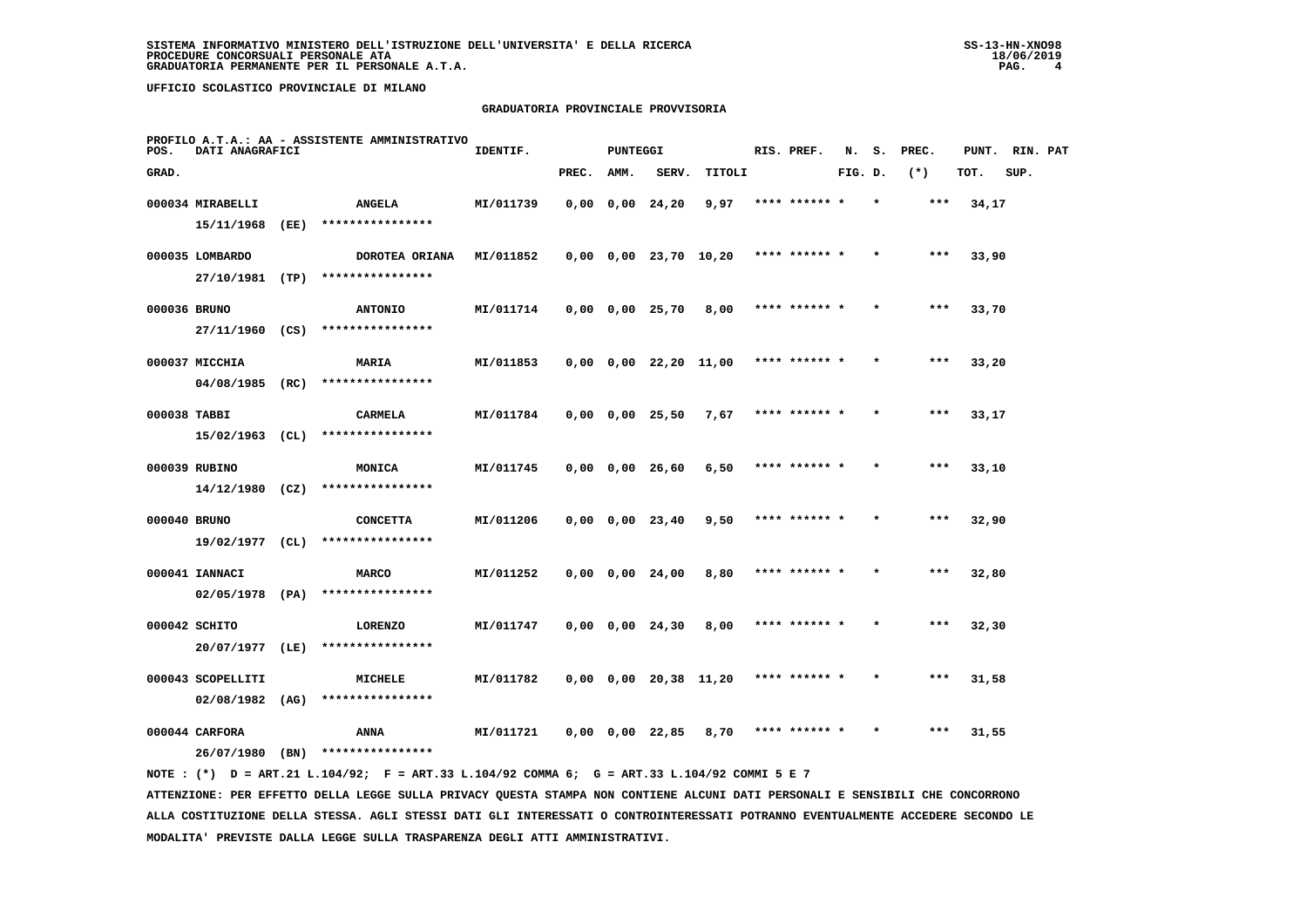# **GRADUATORIA PROVINCIALE PROVVISORIA**

| POS.         | DATI ANAGRAFICI   |      | PROFILO A.T.A.: AA - ASSISTENTE AMMINISTRATIVO | IDENTIF.  |       | PUNTEGGI |                               |        | RIS. PREF.    | N.      | s.      | PREC. | PUNT. | RIN. PAT |  |
|--------------|-------------------|------|------------------------------------------------|-----------|-------|----------|-------------------------------|--------|---------------|---------|---------|-------|-------|----------|--|
| GRAD.        |                   |      |                                                |           | PREC. | AMM.     | SERV.                         | TITOLI |               | FIG. D. |         | $(*)$ | TOT.  | SUP.     |  |
|              | 000034 MIRABELLI  |      | <b>ANGELA</b>                                  | MI/011739 |       |          | $0,00$ $0,00$ $24,20$         | 9,97   | **** ******   |         |         | $***$ | 34,17 |          |  |
|              | 15/11/1968        | (EE) | ****************                               |           |       |          |                               |        |               |         |         |       |       |          |  |
|              | 000035 LOMBARDO   |      | DOROTEA ORIANA                                 | MI/011852 |       |          | $0,00$ $0,00$ $23,70$ $10,20$ |        | **** ****** * |         |         | ***   | 33,90 |          |  |
|              | 27/10/1981 (TP)   |      | ****************                               |           |       |          |                               |        |               |         |         |       |       |          |  |
| 000036 BRUNO |                   |      | <b>ANTONIO</b>                                 | MI/011714 |       |          | $0,00$ $0,00$ $25,70$         | 8,00   | **** ****** * |         |         | ***   | 33,70 |          |  |
|              | 27/11/1960        | (CS) | ****************                               |           |       |          |                               |        |               |         |         |       |       |          |  |
|              | 000037 MICCHIA    |      | MARIA                                          | MI/011853 |       |          | $0,00$ $0,00$ $22,20$ $11,00$ |        | **** ****** * |         |         | $***$ | 33,20 |          |  |
|              | 04/08/1985 (RC)   |      | ****************                               |           |       |          |                               |        |               |         |         |       |       |          |  |
| 000038 TABBI |                   |      | <b>CARMELA</b>                                 | MI/011784 |       |          | $0,00$ $0,00$ $25,50$         | 7,67   | **** ****** * |         |         | ***   | 33,17 |          |  |
|              | 15/02/1963        | (CL) | ****************                               |           |       |          |                               |        |               |         |         |       |       |          |  |
|              | 000039 RUBINO     |      | <b>MONICA</b>                                  | MI/011745 |       |          | $0,00$ $0,00$ $26,60$         | 6,50   | **** ****** * |         | $\star$ | ***   | 33,10 |          |  |
|              | $14/12/1980$ (CZ) |      | ****************                               |           |       |          |                               |        |               |         |         |       |       |          |  |
| 000040 BRUNO |                   |      | <b>CONCETTA</b>                                | MI/011206 |       |          | $0,00$ $0,00$ $23,40$         | 9,50   | **** ******   |         |         | ***   | 32,90 |          |  |
|              | $19/02/1977$ (CL) |      | ****************                               |           |       |          |                               |        |               |         |         |       |       |          |  |
|              | 000041 IANNACI    |      | <b>MARCO</b>                                   | MI/011252 |       |          | $0,00 \quad 0,00 \quad 24,00$ | 8,80   | **** ****** * |         |         | ***   | 32,80 |          |  |
|              | $02/05/1978$ (PA) |      | ****************                               |           |       |          |                               |        |               |         |         |       |       |          |  |
|              | 000042 SCHITO     |      | <b>LORENZO</b>                                 | MI/011747 |       |          | $0,00$ $0,00$ $24,30$         | 8,00   | **** ****** * |         |         | $***$ | 32,30 |          |  |
|              | 20/07/1977        | (LE) | ****************                               |           |       |          |                               |        |               |         |         |       |       |          |  |
|              | 000043 SCOPELLITI |      | MICHELE                                        | MI/011782 |       |          | $0,00$ $0,00$ $20,38$ $11,20$ |        | **** ****** * |         |         | $***$ | 31,58 |          |  |
|              | 02/08/1982        | (AG) | ****************                               |           |       |          |                               |        |               |         |         |       |       |          |  |
|              | 000044 CARFORA    |      | ANNA                                           | MI/011721 |       |          | $0,00$ $0,00$ $22,85$         | 8,70   | **** ****** * |         |         | ***   | 31,55 |          |  |
|              | 26/07/1980        | (BN) | ****************                               |           |       |          |                               |        |               |         |         |       |       |          |  |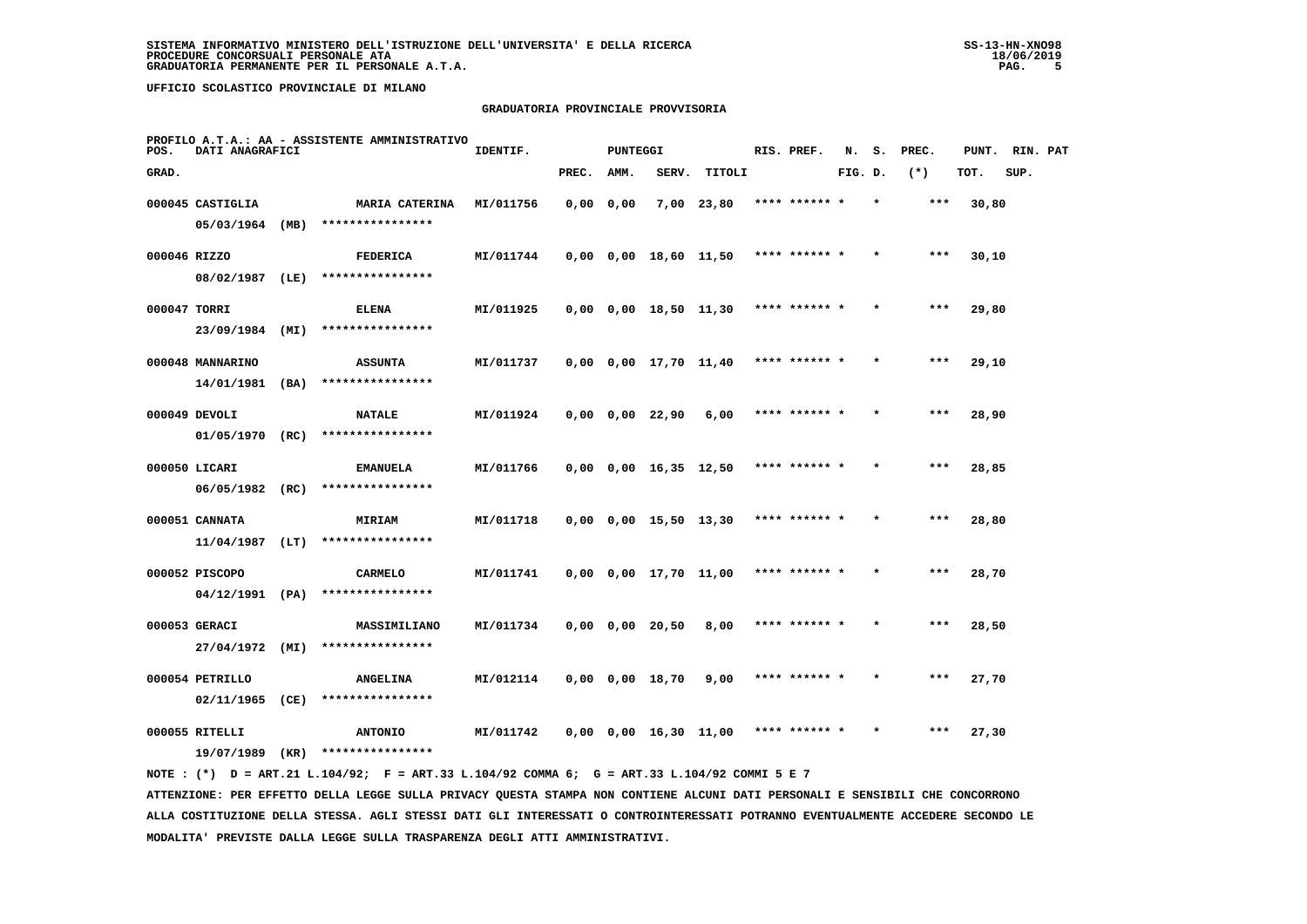#### **GRADUATORIA PROVINCIALE PROVVISORIA**

| POS.         | DATI ANAGRAFICI   |      | PROFILO A.T.A.: AA - ASSISTENTE AMMINISTRATIVO | IDENTIF.  |           | <b>PUNTEGGI</b> |                               |                       | RIS. PREF.    | N.      | s. | PREC. | PUNT. | RIN. PAT |  |
|--------------|-------------------|------|------------------------------------------------|-----------|-----------|-----------------|-------------------------------|-----------------------|---------------|---------|----|-------|-------|----------|--|
| GRAD.        |                   |      |                                                |           | PREC.     | AMM.            | SERV.                         | TITOLI                |               | FIG. D. |    | $(*)$ | TOT.  | SUP.     |  |
|              | 000045 CASTIGLIA  |      | MARIA CATERINA                                 | MI/011756 | 0,0000,00 |                 |                               | $7,00$ 23,80          | **** ****** * |         |    | ***   | 30,80 |          |  |
|              | 05/03/1964 (MB)   |      | ****************                               |           |           |                 |                               |                       |               |         |    |       |       |          |  |
| 000046 RIZZO |                   |      | FEDERICA                                       | MI/011744 |           |                 | $0,00$ $0,00$ $18,60$ $11,50$ |                       | **** ****** * |         |    | ***   | 30,10 |          |  |
|              | 08/02/1987 (LE)   |      | ****************                               |           |           |                 |                               |                       |               |         |    |       |       |          |  |
| 000047 TORRI |                   |      | <b>ELENA</b>                                   | MI/011925 |           |                 | $0,00$ $0,00$ $18,50$ $11,30$ |                       | **** ****** * |         |    | ***   | 29,80 |          |  |
|              | 23/09/1984        | (MI) | ****************                               |           |           |                 |                               |                       |               |         |    |       |       |          |  |
|              | 000048 MANNARINO  |      | <b>ASSUNTA</b>                                 | MI/011737 |           |                 | $0,00$ $0,00$ $17,70$ $11,40$ |                       | **** ****** * |         |    | $***$ | 29,10 |          |  |
|              | 14/01/1981 (BA)   |      | ****************                               |           |           |                 |                               |                       |               |         |    |       |       |          |  |
|              | 000049 DEVOLI     |      | <b>NATALE</b>                                  | MI/011924 |           |                 | $0,00$ $0,00$ $22,90$         | 6,00                  | **** ****** * |         |    | $***$ | 28,90 |          |  |
|              | 01/05/1970 (RC)   |      | ****************                               |           |           |                 |                               |                       |               |         |    |       |       |          |  |
|              | 000050 LICARI     |      | <b>EMANUELA</b>                                | MI/011766 |           |                 |                               | 0,00 0,00 16,35 12,50 | **** ****** * |         |    | $***$ | 28,85 |          |  |
|              | $06/05/1982$ (RC) |      | ****************                               |           |           |                 |                               |                       |               |         |    |       |       |          |  |
|              | 000051 CANNATA    |      | MIRIAM                                         | MI/011718 |           |                 | $0,00$ $0,00$ $15,50$ $13,30$ |                       | **** ****** * |         |    | ***   | 28,80 |          |  |
|              | $11/04/1987$ (LT) |      | ****************                               |           |           |                 |                               |                       |               |         |    |       |       |          |  |
|              | 000052 PISCOPO    |      | <b>CARMELO</b>                                 | MI/011741 |           |                 | $0,00$ $0,00$ $17,70$ $11,00$ |                       | **** ****** * |         |    | $***$ | 28,70 |          |  |
|              | 04/12/1991 (PA)   |      | ****************                               |           |           |                 |                               |                       |               |         |    |       |       |          |  |
|              | 000053 GERACI     |      | MASSIMILIANO                                   | MI/011734 |           |                 | $0,00$ $0,00$ $20,50$         | 8,00                  | **** ****** * |         |    | $***$ | 28,50 |          |  |
|              | 27/04/1972        | (MI) | ****************                               |           |           |                 |                               |                       |               |         |    |       |       |          |  |
|              | 000054 PETRILLO   |      | <b>ANGELINA</b>                                | MI/012114 |           |                 | $0,00$ $0,00$ $18,70$         | 9,00                  | **** ****** * |         |    | $***$ | 27,70 |          |  |
|              | $02/11/1965$ (CE) |      | ****************                               |           |           |                 |                               |                       |               |         |    |       |       |          |  |
|              | 000055 RITELLI    |      | <b>ANTONIO</b>                                 | MI/011742 |           |                 | $0,00$ $0,00$ $16,30$ $11,00$ |                       | **** ****** * |         |    | ***   | 27,30 |          |  |
|              | 19/07/1989        | (KR) | ****************                               |           |           |                 |                               |                       |               |         |    |       |       |          |  |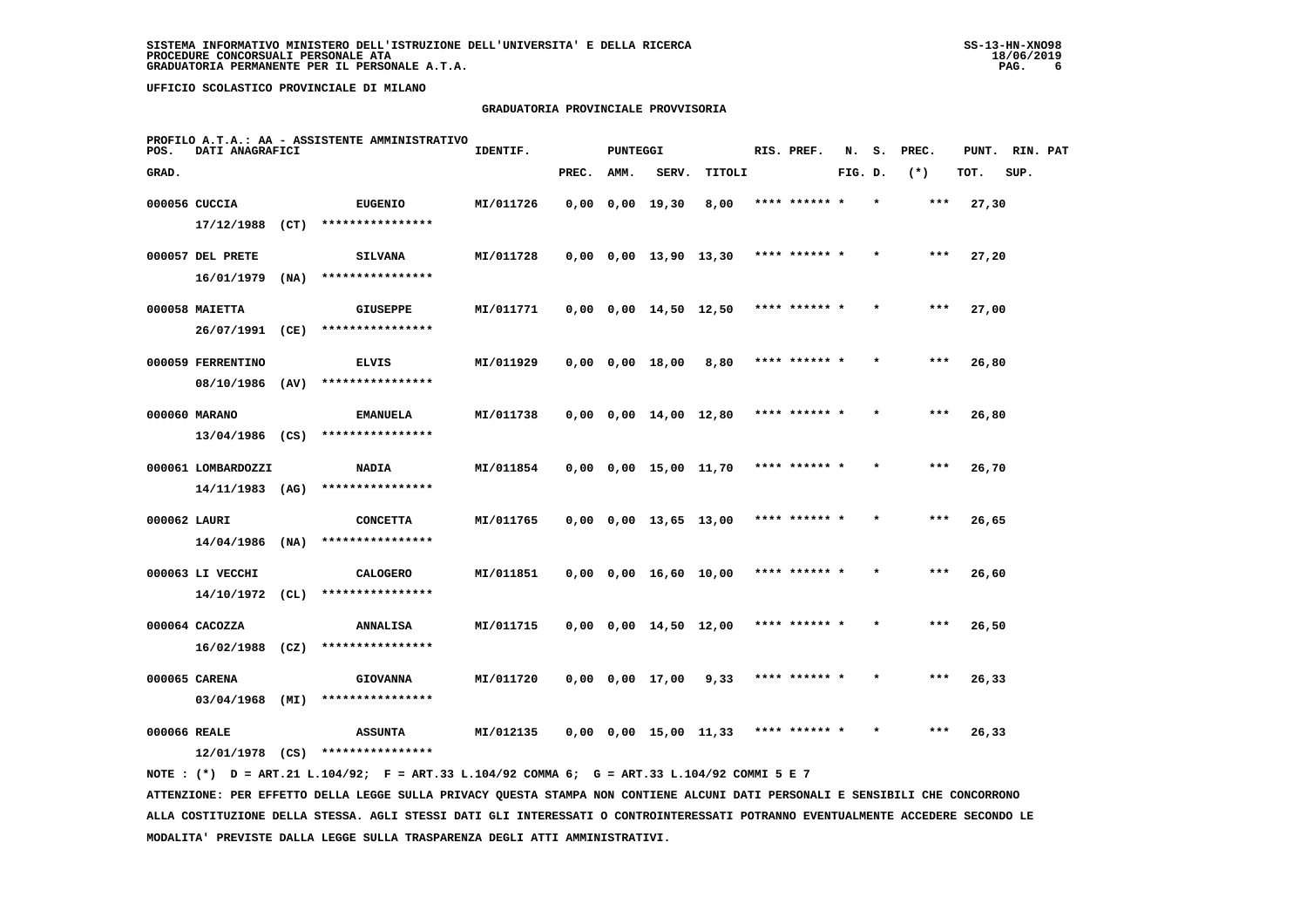# **GRADUATORIA PROVINCIALE PROVVISORIA**

| POS.         | DATI ANAGRAFICI    |      | PROFILO A.T.A.: AA - ASSISTENTE AMMINISTRATIVO | IDENTIF.  |       | <b>PUNTEGGI</b> |                               |        |      | RIS. PREF.    | N.      | s. | PREC. | PUNT. | RIN. PAT |  |
|--------------|--------------------|------|------------------------------------------------|-----------|-------|-----------------|-------------------------------|--------|------|---------------|---------|----|-------|-------|----------|--|
| GRAD.        |                    |      |                                                |           | PREC. | AMM.            | SERV.                         | TITOLI |      |               | FIG. D. |    | $(*)$ | TOT.  | SUP.     |  |
|              | 000056 CUCCIA      |      | <b>EUGENIO</b>                                 | MI/011726 |       |                 | $0,00$ $0,00$ $19,30$         | 8,00   |      | **** ****** * |         |    | ***   | 27,30 |          |  |
|              | 17/12/1988         | (CT) | ****************                               |           |       |                 |                               |        |      |               |         |    |       |       |          |  |
|              | 000057 DEL PRETE   |      | <b>SILVANA</b>                                 | MI/011728 |       |                 | $0,00$ $0,00$ $13,90$ $13,30$ |        |      | **** ****** * |         |    | $***$ | 27,20 |          |  |
|              | 16/01/1979         | (NA) | ****************                               |           |       |                 |                               |        |      |               |         |    |       |       |          |  |
|              | 000058 MAIETTA     |      | <b>GIUSEPPE</b>                                | MI/011771 |       |                 | $0,00$ $0,00$ $14,50$ $12,50$ |        |      | **** ****** * |         |    | ***   | 27,00 |          |  |
|              | 26/07/1991         | (CE) | ****************                               |           |       |                 |                               |        |      |               |         |    |       |       |          |  |
|              | 000059 FERRENTINO  |      | <b>ELVIS</b>                                   | MI/011929 |       |                 | 0,00 0,00 18,00               | 8,80   |      | **** ****** * |         |    | $***$ | 26,80 |          |  |
|              | 08/10/1986 (AV)    |      | ****************                               |           |       |                 |                               |        |      |               |         |    |       |       |          |  |
|              | 000060 MARANO      |      | <b>EMANUELA</b>                                | MI/011738 |       |                 | $0,00$ $0,00$ $14,00$ $12,80$ |        |      | **** ****** * |         |    | $***$ | 26,80 |          |  |
|              | $13/04/1986$ (CS)  |      | ****************                               |           |       |                 |                               |        |      |               |         |    |       |       |          |  |
|              | 000061 LOMBARDOZZI |      | <b>NADIA</b>                                   | MI/011854 |       |                 | $0,00$ $0,00$ $15,00$ $11,70$ |        |      | **** ****** * |         |    | ***   | 26,70 |          |  |
|              | $14/11/1983$ (AG)  |      | ****************                               |           |       |                 |                               |        |      |               |         |    |       |       |          |  |
| 000062 LAURI |                    |      | <b>CONCETTA</b>                                | MI/011765 |       |                 | $0,00$ $0,00$ $13,65$ $13,00$ |        |      | **** ****** * |         |    | $***$ | 26,65 |          |  |
|              | $14/04/1986$ (NA)  |      | ****************                               |           |       |                 |                               |        |      |               |         |    |       |       |          |  |
|              | 000063 LI VECCHI   |      | <b>CALOGERO</b>                                | MI/011851 |       |                 | $0,00$ $0,00$ $16,60$ $10,00$ |        |      | **** ****** * |         |    | $***$ | 26,60 |          |  |
|              | 14/10/1972 (CL)    |      | ****************                               |           |       |                 |                               |        |      |               |         |    |       |       |          |  |
|              | 000064 CACOZZA     |      | <b>ANNALISA</b>                                | MI/011715 |       |                 | $0,00$ $0,00$ $14,50$ $12,00$ |        |      | **** ****** * |         |    | $***$ | 26,50 |          |  |
|              | $16/02/1988$ (CZ)  |      | ****************                               |           |       |                 |                               |        |      |               |         |    |       |       |          |  |
|              | 000065 CARENA      |      | <b>GIOVANNA</b>                                | MI/011720 |       |                 | 0,00 0,00 17,00               | 9,33   |      | **** ****** * |         |    | $***$ | 26,33 |          |  |
|              | $03/04/1968$ (MI)  |      | ****************                               |           |       |                 |                               |        |      |               |         |    |       |       |          |  |
| 000066 REALE |                    |      | <b>ASSUNTA</b>                                 | MI/012135 |       |                 | $0,00$ $0,00$ $15,00$ $11,33$ |        | **** |               |         |    |       | 26,33 |          |  |
|              | 12/01/1978         | (CS) | ****************                               |           |       |                 |                               |        |      |               |         |    |       |       |          |  |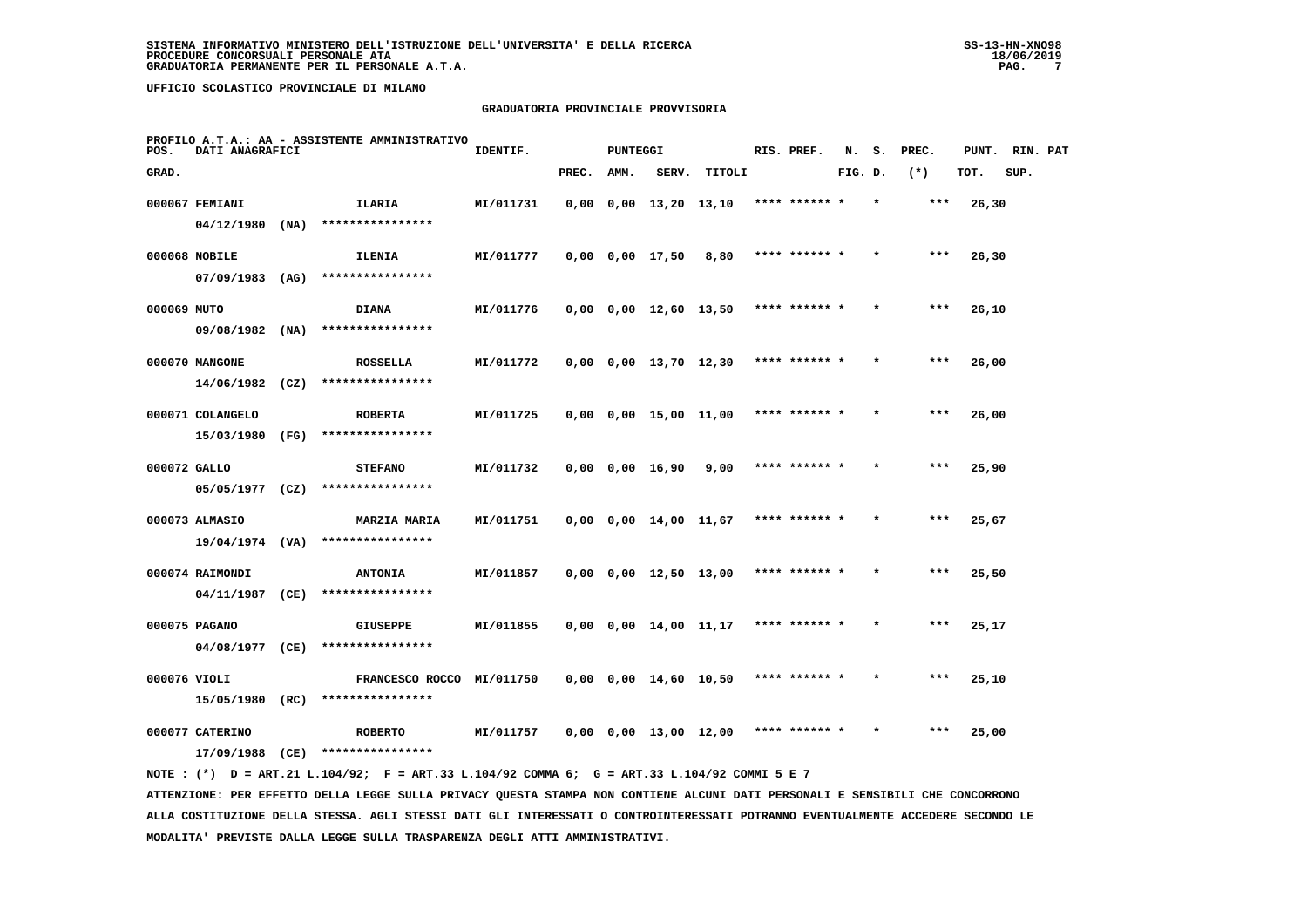# **GRADUATORIA PROVINCIALE PROVVISORIA**

| POS.         | DATI ANAGRAFICI   | PROFILO A.T.A.: AA - ASSISTENTE AMMINISTRATIVO                                              | IDENTIF.  |       | <b>PUNTEGGI</b> |                               |                       | RIS. PREF.    | N.      | s. | PREC. | PUNT. RIN. PAT |      |  |
|--------------|-------------------|---------------------------------------------------------------------------------------------|-----------|-------|-----------------|-------------------------------|-----------------------|---------------|---------|----|-------|----------------|------|--|
| GRAD.        |                   |                                                                                             |           | PREC. | AMM.            | SERV.                         | TITOLI                |               | FIG. D. |    | $(*)$ | TOT.           | SUP. |  |
|              | 000067 FEMIANI    | ILARIA                                                                                      | MI/011731 |       |                 | $0,00$ $0,00$ $13,20$ $13,10$ |                       | **** ****** * |         |    | ***   | 26,30          |      |  |
|              | $04/12/1980$ (NA) | ****************                                                                            |           |       |                 |                               |                       |               |         |    |       |                |      |  |
|              | 000068 NOBILE     | <b>ILENIA</b>                                                                               | MI/011777 |       |                 | 0,00 0,00 17,50               | 8,80                  | **** ****** * |         |    | ***   | 26,30          |      |  |
|              | $07/09/1983$ (AG) | ****************                                                                            |           |       |                 |                               |                       |               |         |    |       |                |      |  |
| 000069 MUTO  |                   | <b>DIANA</b>                                                                                | MI/011776 |       |                 | $0,00$ $0,00$ $12,60$ $13,50$ |                       | **** ****** * |         |    |       | 26,10          |      |  |
|              | $09/08/1982$ (NA) | ****************                                                                            |           |       |                 |                               |                       |               |         |    |       |                |      |  |
|              | 000070 MANGONE    | <b>ROSSELLA</b>                                                                             | MI/011772 |       |                 |                               | 0,00 0,00 13,70 12,30 | **** ****** * |         |    | ***   | 26,00          |      |  |
|              | $14/06/1982$ (CZ) | ****************                                                                            |           |       |                 |                               |                       |               |         |    |       |                |      |  |
|              | 000071 COLANGELO  | <b>ROBERTA</b>                                                                              | MI/011725 |       |                 | $0,00$ $0,00$ $15,00$ $11,00$ |                       | **** ****** * |         |    | ***   | 26,00          |      |  |
|              | 15/03/1980 (FG)   | ****************                                                                            |           |       |                 |                               |                       |               |         |    |       |                |      |  |
| 000072 GALLO |                   | <b>STEFANO</b>                                                                              | MI/011732 |       |                 | $0,00$ $0,00$ $16,90$         | 9,00                  | **** ****** * |         |    | $***$ | 25,90          |      |  |
|              | $05/05/1977$ (CZ) | ****************                                                                            |           |       |                 |                               |                       |               |         |    |       |                |      |  |
|              | 000073 ALMASIO    | <b>MARZIA MARIA</b>                                                                         | MI/011751 |       |                 | $0,00$ $0,00$ $14,00$ $11,67$ |                       | **** ****** * |         |    | ***   | 25,67          |      |  |
|              | 19/04/1974 (VA)   | ****************                                                                            |           |       |                 |                               |                       |               |         |    |       |                |      |  |
|              | 000074 RAIMONDI   | <b>ANTONIA</b>                                                                              | MI/011857 |       |                 | $0,00$ $0,00$ $12,50$ $13,00$ |                       | **** ****** * |         |    | ***   | 25,50          |      |  |
|              | 04/11/1987 (CE)   | ****************                                                                            |           |       |                 |                               |                       |               |         |    |       |                |      |  |
|              | 000075 PAGANO     | <b>GIUSEPPE</b>                                                                             | MI/011855 |       |                 | $0,00$ $0,00$ $14,00$ $11,17$ |                       | **** ****** * |         |    | ***   | 25,17          |      |  |
|              | 04/08/1977 (CE)   | ****************                                                                            |           |       |                 |                               |                       |               |         |    |       |                |      |  |
| 000076 VIOLI |                   | FRANCESCO ROCCO MI/011750                                                                   |           |       |                 | $0,00$ $0,00$ $14,60$ $10,50$ |                       | **** ****** * |         |    | ***   | 25,10          |      |  |
|              | 15/05/1980 (RC)   | ****************                                                                            |           |       |                 |                               |                       |               |         |    |       |                |      |  |
|              | 000077 CATERINO   | <b>ROBERTO</b>                                                                              | MI/011757 |       |                 | $0,00$ $0,00$ $13,00$ $12,00$ |                       | **** ****** * |         |    | ***   | 25,00          |      |  |
|              |                   | 17/09/1988 (CE) ****************                                                            |           |       |                 |                               |                       |               |         |    |       |                |      |  |
|              |                   | NOTE: (*) D = ART.21 L.104/92; F = ART.33 L.104/92 COMMA 6; G = ART.33 L.104/92 COMMI 5 E 7 |           |       |                 |                               |                       |               |         |    |       |                |      |  |

 **ATTENZIONE: PER EFFETTO DELLA LEGGE SULLA PRIVACY QUESTA STAMPA NON CONTIENE ALCUNI DATI PERSONALI E SENSIBILI CHE CONCORRONO ALLA COSTITUZIONE DELLA STESSA. AGLI STESSI DATI GLI INTERESSATI O CONTROINTERESSATI POTRANNO EVENTUALMENTE ACCEDERE SECONDO LE MODALITA' PREVISTE DALLA LEGGE SULLA TRASPARENZA DEGLI ATTI AMMINISTRATIVI.**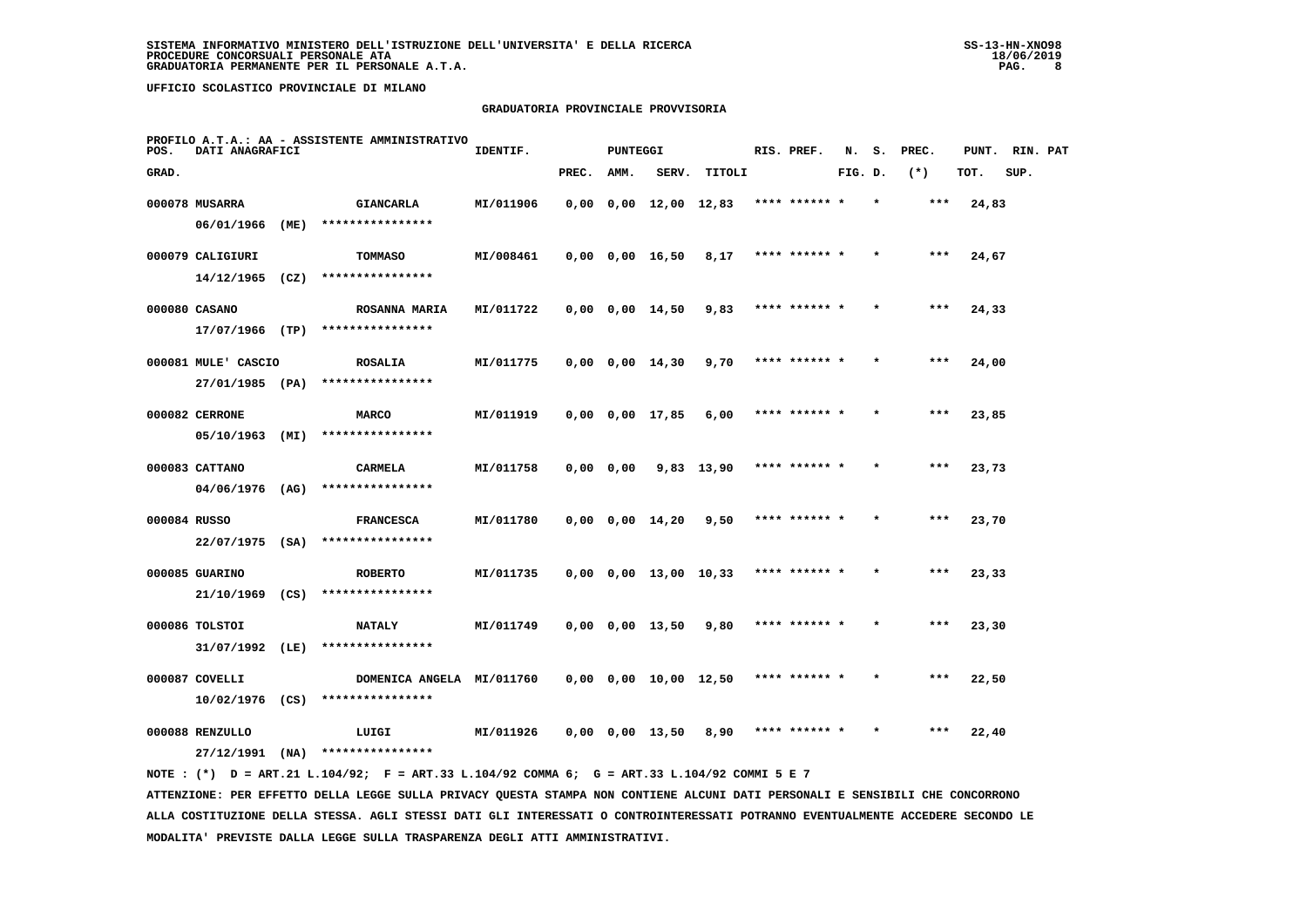# **GRADUATORIA PROVINCIALE PROVVISORIA**

| POS.         | DATI ANAGRAFICI                        |      | PROFILO A.T.A.: AA - ASSISTENTE AMMINISTRATIVO | IDENTIF.  |               | <b>PUNTEGGI</b> |                               |                       | RIS. PREF.    | N.      | s.      | PREC. | PUNT. | RIN. PAT |  |
|--------------|----------------------------------------|------|------------------------------------------------|-----------|---------------|-----------------|-------------------------------|-----------------------|---------------|---------|---------|-------|-------|----------|--|
| GRAD.        |                                        |      |                                                |           | PREC.         | AMM.            | SERV.                         | TITOLI                |               | FIG. D. |         | $(*)$ | TOT.  | SUP.     |  |
|              | 000078 MUSARRA<br>06/01/1966           | (ME) | <b>GIANCARLA</b><br>****************           | MI/011906 |               |                 | 0,00 0,00 12,00 12,83         |                       | **** ****** * |         | $\star$ | ***   | 24,83 |          |  |
|              | 000079 CALIGIURI<br>$14/12/1965$ (CZ)  |      | TOMMASO<br>****************                    | MI/008461 |               |                 | $0,00$ $0,00$ $16,50$         | 8,17                  | **** ****** * |         |         | ***   | 24,67 |          |  |
|              | 000080 CASANO                          |      | <b>ROSANNA MARIA</b>                           | MI/011722 |               |                 | 0,00 0,00 14,50               | 9,83                  | **** ****** * |         |         | ***   | 24,33 |          |  |
|              | 17/07/1966 (TP)<br>000081 MULE' CASCIO |      | ****************<br><b>ROSALIA</b>             | MI/011775 |               |                 | $0,00$ $0,00$ $14,30$         | 9,70                  | **** ****** * |         |         | ***   | 24,00 |          |  |
|              | 27/01/1985 (PA)<br>000082 CERRONE      |      | ****************<br><b>MARCO</b>               | MI/011919 |               |                 | 0,00 0,00 17,85               | 6,00                  | **** ****** * |         |         | $***$ | 23,85 |          |  |
|              | 05/10/1963 (MI)<br>000083 CATTANO      |      | ****************<br>CARMELA                    | MI/011758 | $0,00$ $0,00$ |                 |                               | 9,83 13,90            | **** ****** * |         |         | ***   | 23,73 |          |  |
| 000084 RUSSO | $04/06/1976$ (AG)                      |      | ****************<br><b>FRANCESCA</b>           | MI/011780 |               |                 | $0,00$ $0,00$ $14,20$ $9,50$  |                       | **** ****** * |         |         | $***$ | 23,70 |          |  |
|              | $22/07/1975$ (SA)<br>000085 GUARINO    |      | ****************<br><b>ROBERTO</b>             | MI/011735 |               |                 |                               | 0,00 0,00 13,00 10,33 | **** ****** * |         |         | ***   | 23,33 |          |  |
|              | $21/10/1969$ (CS)<br>000086 TOLSTOI    |      | ****************<br><b>NATALY</b>              | MI/011749 |               |                 | 0,00 0,00 13,50               | 9,80                  |               |         |         | ***   | 23,30 |          |  |
|              | 31/07/1992 (LE)<br>000087 COVELLI      |      | ****************<br>DOMENICA ANGELA MI/011760  |           |               |                 | $0,00$ $0,00$ $10,00$ $12,50$ |                       | **** ****** * |         |         | $***$ | 22,50 |          |  |
|              | $10/02/1976$ (CS)<br>000088 RENZULLO   |      | ****************<br>LUIGI                      | MI/011926 |               |                 | 0,00 0,00 13,50               | 8,90                  | **** ****** * |         |         | ***   | 22,40 |          |  |
|              | 27/12/1991                             | (NA) | ****************                               |           |               |                 |                               |                       |               |         |         |       |       |          |  |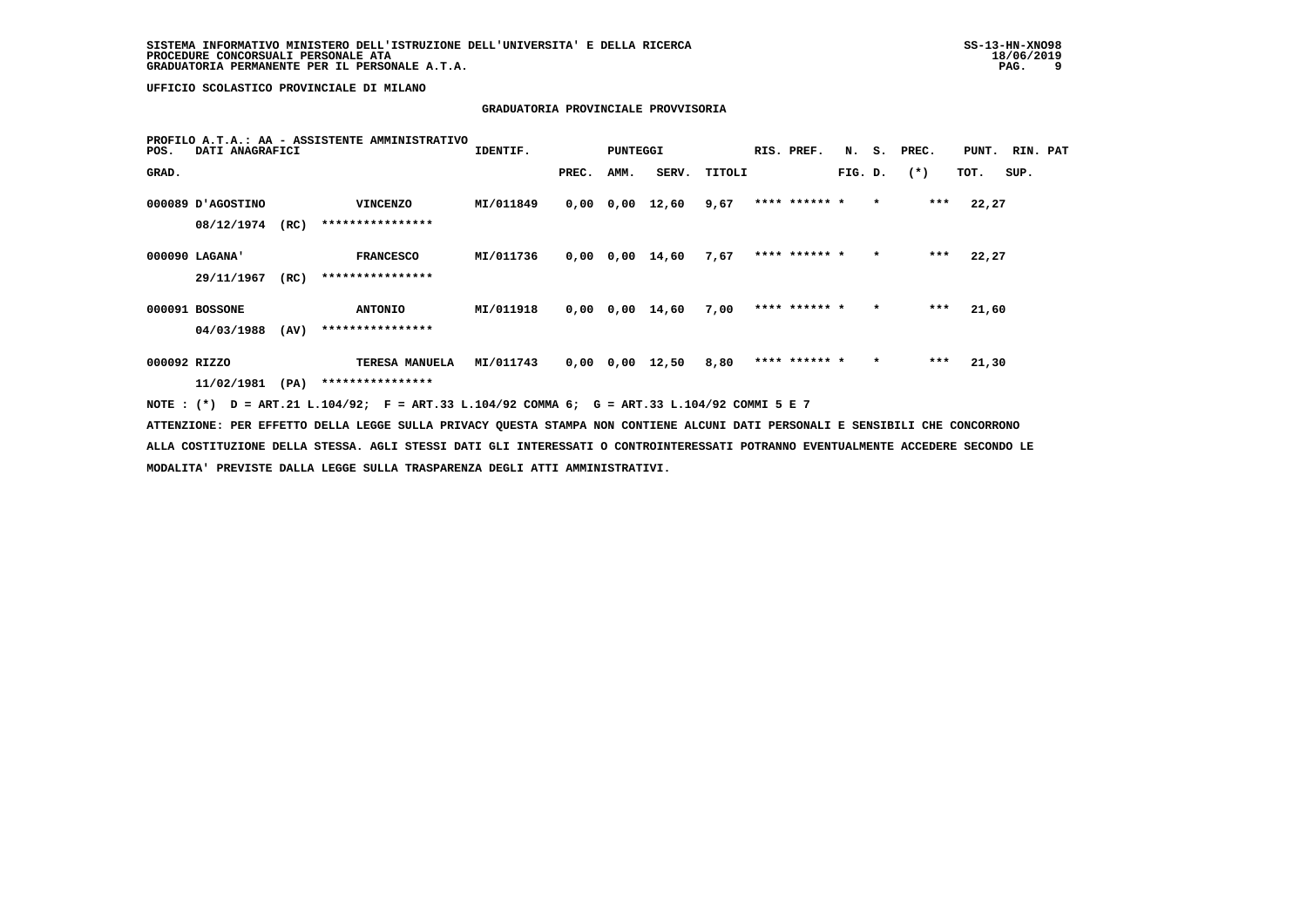# **GRADUATORIA PROVINCIALE PROVVISORIA**

| POS.         | PROFILO A.T.A.: AA - ASSISTENTE AMMINISTRATIVO<br>DATI ANAGRAFICI |      |                                                                                                                                 |           |       | PUNTEGGI |                 |        | RIS. PREF.    |         |         | N. S. PREC. | PUNT. RIN. PAT |      |  |
|--------------|-------------------------------------------------------------------|------|---------------------------------------------------------------------------------------------------------------------------------|-----------|-------|----------|-----------------|--------|---------------|---------|---------|-------------|----------------|------|--|
| GRAD.        |                                                                   |      |                                                                                                                                 |           | PREC. | AMM.     | SERV.           | TITOLI |               | FIG. D. |         | $(*)$       | TOT.           | SUP. |  |
|              | 000089 D'AGOSTINO                                                 |      | <b>VINCENZO</b>                                                                                                                 | MI/011849 |       |          | 0,00 0,00 12,60 | 9,67   | **** ****** * |         | $\star$ | ***         | 22,27          |      |  |
|              | 08/12/1974 (RC)                                                   |      | ****************                                                                                                                |           |       |          |                 |        |               |         |         |             |                |      |  |
|              | 000090 LAGANA'                                                    |      | <b>FRANCESCO</b>                                                                                                                | MI/011736 |       |          | 0,00 0,00 14,60 | 7.67   | **** ****** * |         | $\star$ | ***         | 22,27          |      |  |
|              | 29/11/1967                                                        | (RC) | ****************                                                                                                                |           |       |          |                 |        |               |         |         |             |                |      |  |
|              | 000091 BOSSONE                                                    |      | <b>ANTONIO</b>                                                                                                                  | MI/011918 |       |          | 0,00 0,00 14,60 | 7,00   | **** ****** * |         | $\star$ | ***         | 21,60          |      |  |
|              | 04/03/1988                                                        | (AV) | ****************                                                                                                                |           |       |          |                 |        |               |         |         |             |                |      |  |
| 000092 RIZZO |                                                                   |      | TERESA MANUELA MI/011743                                                                                                        |           |       |          | 0,00 0,00 12,50 | 8,80   | **** ****** * |         | $\star$ | ***         | 21,30          |      |  |
|              | 11/02/1981 (PA)                                                   |      | ****************                                                                                                                |           |       |          |                 |        |               |         |         |             |                |      |  |
|              |                                                                   |      | NOTE: (*) D = ART.21 L.104/92; F = ART.33 L.104/92 COMMA 6; G = ART.33 L.104/92 COMMI 5 E 7                                     |           |       |          |                 |        |               |         |         |             |                |      |  |
|              |                                                                   |      | ATTENZIONE: PER EFFETTO DELLA LEGGE SULLA PRIVACY OUESTA STAMPA NON CONTIENE ALCUNI DATI PERSONALI E SENSIBILI CHE CONCORRONO   |           |       |          |                 |        |               |         |         |             |                |      |  |
|              |                                                                   |      | ALLA COSTITUZIONE DELLA STESSA. AGLI STESSI DATI GLI INTERESSATI O CONTROINTERESSATI POTRANNO EVENTUALMENTE ACCEDERE SECONDO LE |           |       |          |                 |        |               |         |         |             |                |      |  |
|              |                                                                   |      | MODALITA' PREVISTE DALLA LEGGE SULLA TRASPARENZA DEGLI ATTI AMMINISTRATIVI.                                                     |           |       |          |                 |        |               |         |         |             |                |      |  |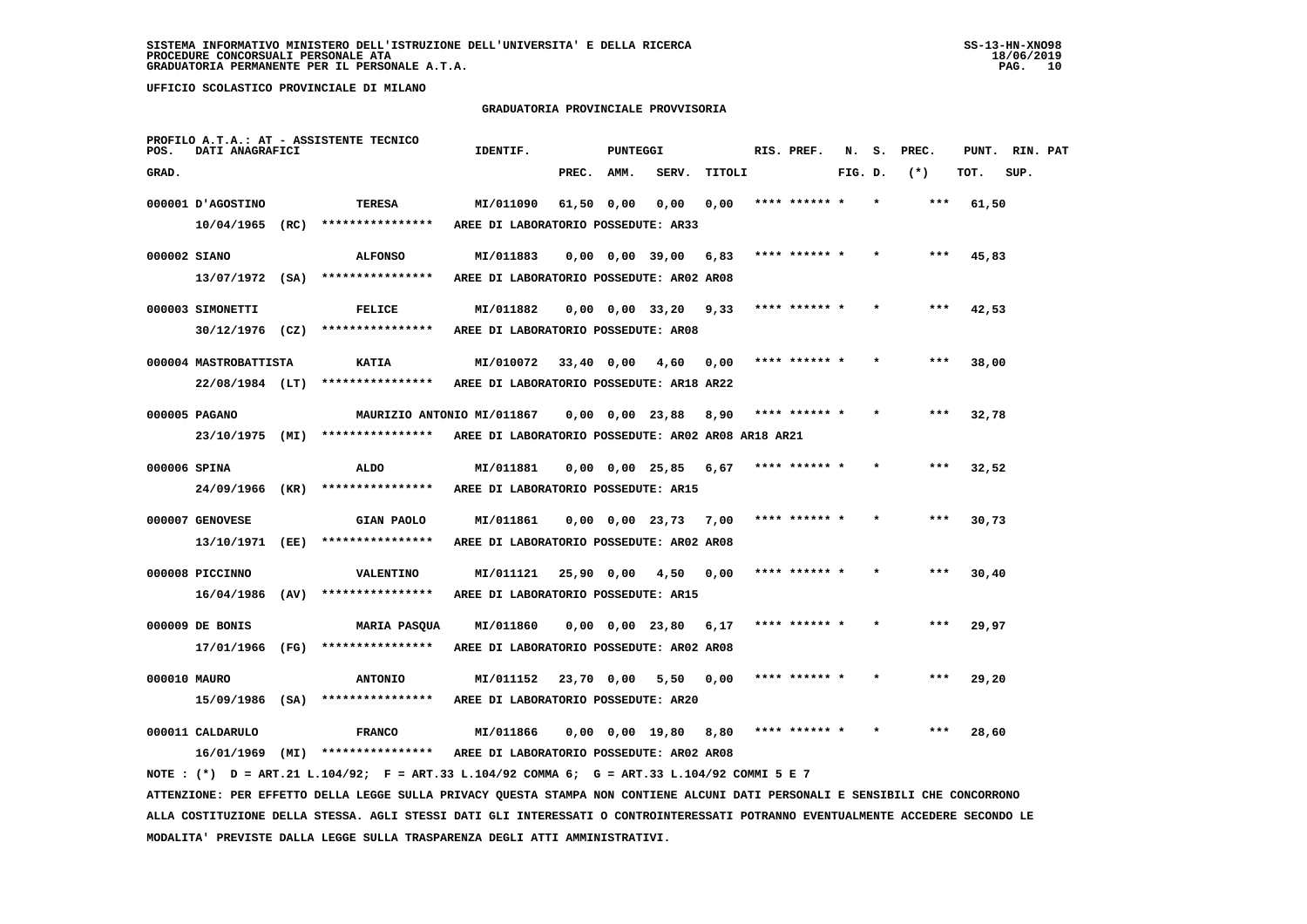#### **GRADUATORIA PROVINCIALE PROVVISORIA**

| RIN. PAT |
|----------|
|          |
|          |
|          |
|          |
|          |
|          |
|          |
|          |
|          |
|          |
|          |
|          |
|          |
|          |
|          |
|          |
|          |
|          |
|          |
|          |
|          |
|          |
|          |
|          |
|          |
|          |

 **ALLA COSTITUZIONE DELLA STESSA. AGLI STESSI DATI GLI INTERESSATI O CONTROINTERESSATI POTRANNO EVENTUALMENTE ACCEDERE SECONDO LE MODALITA' PREVISTE DALLA LEGGE SULLA TRASPARENZA DEGLI ATTI AMMINISTRATIVI.**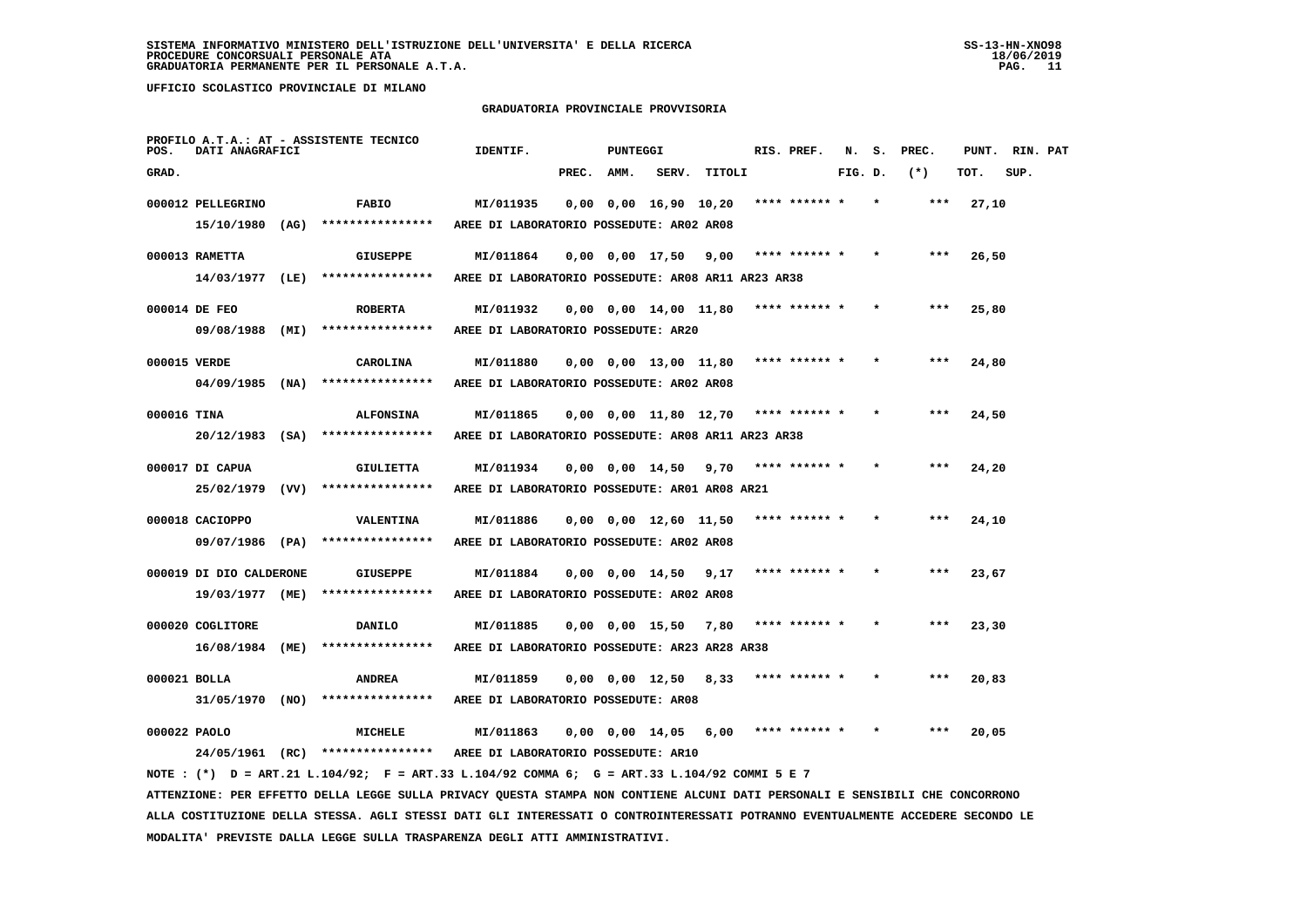#### **GRADUATORIA PROVINCIALE PROVVISORIA**

| POS.        | DATI ANAGRAFICI         | PROFILO A.T.A.: AT - ASSISTENTE TECNICO                                                        | IDENTIF.                                                        |            | PUNTEGGI |                               |                                             | RIS. PREF. N. S. PREC. |         |         |         | PUNT. RIN. PAT |      |  |
|-------------|-------------------------|------------------------------------------------------------------------------------------------|-----------------------------------------------------------------|------------|----------|-------------------------------|---------------------------------------------|------------------------|---------|---------|---------|----------------|------|--|
| GRAD.       |                         |                                                                                                |                                                                 | PREC. AMM. |          |                               | SERV. TITOLI                                |                        | FIG. D. |         | $(*)$   | TOT.           | SUP. |  |
|             | 000012 PELLEGRINO       | <b>FABIO</b>                                                                                   | MI/011935                                                       |            |          | $0,00$ $0,00$ $16,90$ $10,20$ |                                             | **** ****** *          |         |         | ***     | 27,10          |      |  |
|             |                         | $15/10/1980$ (AG) ****************                                                             | AREE DI LABORATORIO POSSEDUTE: AR02 AR08                        |            |          |                               |                                             |                        |         |         |         |                |      |  |
|             | 000013 RAMETTA          | <b>GIUSEPPE</b>                                                                                | MI/011864                                                       |            |          | $0,00$ $0,00$ $17,50$ $9,00$  |                                             | **** ****** *          |         |         | $* * *$ | 26,50          |      |  |
|             |                         | 14/03/1977 (LE) ****************                                                               | AREE DI LABORATORIO POSSEDUTE: AR08 AR11 AR23 AR38              |            |          |                               |                                             |                        |         |         |         |                |      |  |
|             | 000014 DE FEO           | <b>ROBERTA</b>                                                                                 | MI/011932                                                       |            |          | $0,00$ $0,00$ $14,00$ $11,80$ |                                             | **** ****** *          |         |         | $* * *$ | 25,80          |      |  |
|             |                         | 09/08/1988 (MI) ****************                                                               | AREE DI LABORATORIO POSSEDUTE: AR20                             |            |          |                               |                                             |                        |         |         |         |                |      |  |
|             | 000015 VERDE            | CAROLINA                                                                                       | MI/011880                                                       |            |          |                               | $0,00$ $0,00$ $13,00$ $11,80$ **** ****** * |                        |         |         | ***     | 24,80          |      |  |
|             |                         | $04/09/1985$ (NA) *****************                                                            | AREE DI LABORATORIO POSSEDUTE: AR02 AR08                        |            |          |                               |                                             |                        |         |         |         |                |      |  |
|             |                         |                                                                                                |                                                                 |            |          |                               |                                             |                        |         |         |         |                |      |  |
| 000016 TINA |                         | <b>ALFONSINA</b><br>20/12/1983 (SA) ****************                                           | MI/011865<br>AREE DI LABORATORIO POSSEDUTE: AR08 AR11 AR23 AR38 |            |          |                               | $0,00$ $0,00$ $11,80$ $12,70$ **** ****** * |                        |         |         |         | 24,50          |      |  |
|             |                         |                                                                                                |                                                                 |            |          |                               |                                             |                        |         |         |         |                |      |  |
|             | 000017 DI CAPUA         | <b>GIULIETTA</b>                                                                               | MI/011934                                                       |            |          | $0,00$ $0,00$ $14,50$ $9,70$  |                                             | **** ****** *          |         |         | $***$   | 24,20          |      |  |
|             |                         | 25/02/1979 (VV) ****************                                                               | AREE DI LABORATORIO POSSEDUTE: AR01 AR08 AR21                   |            |          |                               |                                             |                        |         |         |         |                |      |  |
|             | 000018 CACIOPPO         | VALENTINA                                                                                      | MI/011886                                                       |            |          | $0,00$ $0,00$ $12,60$ $11,50$ |                                             | **** ****** *          |         | $\star$ | ***     | 24,10          |      |  |
|             |                         | $09/07/1986$ (PA) ****************                                                             | AREE DI LABORATORIO POSSEDUTE: AR02 AR08                        |            |          |                               |                                             |                        |         |         |         |                |      |  |
|             | 000019 DI DIO CALDERONE | <b>GIUSEPPE</b>                                                                                | MI/011884                                                       |            |          | $0,00$ $0,00$ $14,50$ $9,17$  |                                             | **** ****** *          |         |         | ***     | 23,67          |      |  |
|             |                         | 19/03/1977 (ME) ****************                                                               | AREE DI LABORATORIO POSSEDUTE: AR02 AR08                        |            |          |                               |                                             |                        |         |         |         |                |      |  |
|             |                         |                                                                                                |                                                                 |            |          |                               |                                             |                        |         |         |         |                |      |  |
|             | 000020 COGLITORE        | DANILO                                                                                         | MI/011885                                                       |            |          | $0,00$ $0,00$ $15,50$ 7,80    |                                             | **** ****** *          |         |         |         | 23,30          |      |  |
|             |                         | $16/08/1984$ (ME) *****************                                                            | AREE DI LABORATORIO POSSEDUTE: AR23 AR28 AR38                   |            |          |                               |                                             |                        |         |         |         |                |      |  |
|             | 000021 BOLLA            | <b>ANDREA</b>                                                                                  | MI/011859                                                       |            |          | $0,00$ $0,00$ $12,50$ $8,33$  |                                             | **** ****** *          |         |         |         | 20,83          |      |  |
|             |                         | $31/05/1970$ (NO) ****************                                                             | AREE DI LABORATORIO POSSEDUTE: AR08                             |            |          |                               |                                             |                        |         |         |         |                |      |  |
|             | 000022 PAOLO            | MICHELE                                                                                        | MI/011863                                                       |            |          | $0,00$ $0,00$ $14,05$ $6,00$  |                                             | **** ****** *          |         |         | ***     | 20,05          |      |  |
|             |                         | 24/05/1961 (RC) **************** AREE DI LABORATORIO POSSEDUTE: AR10                           |                                                                 |            |          |                               |                                             |                        |         |         |         |                |      |  |
|             |                         | NOTE : $(*)$ D = ART.21 L.104/92; F = ART.33 L.104/92 COMMA 6; G = ART.33 L.104/92 COMMI 5 E 7 |                                                                 |            |          |                               |                                             |                        |         |         |         |                |      |  |

 **ATTENZIONE: PER EFFETTO DELLA LEGGE SULLA PRIVACY QUESTA STAMPA NON CONTIENE ALCUNI DATI PERSONALI E SENSIBILI CHE CONCORRONO ALLA COSTITUZIONE DELLA STESSA. AGLI STESSI DATI GLI INTERESSATI O CONTROINTERESSATI POTRANNO EVENTUALMENTE ACCEDERE SECONDO LE MODALITA' PREVISTE DALLA LEGGE SULLA TRASPARENZA DEGLI ATTI AMMINISTRATIVI.**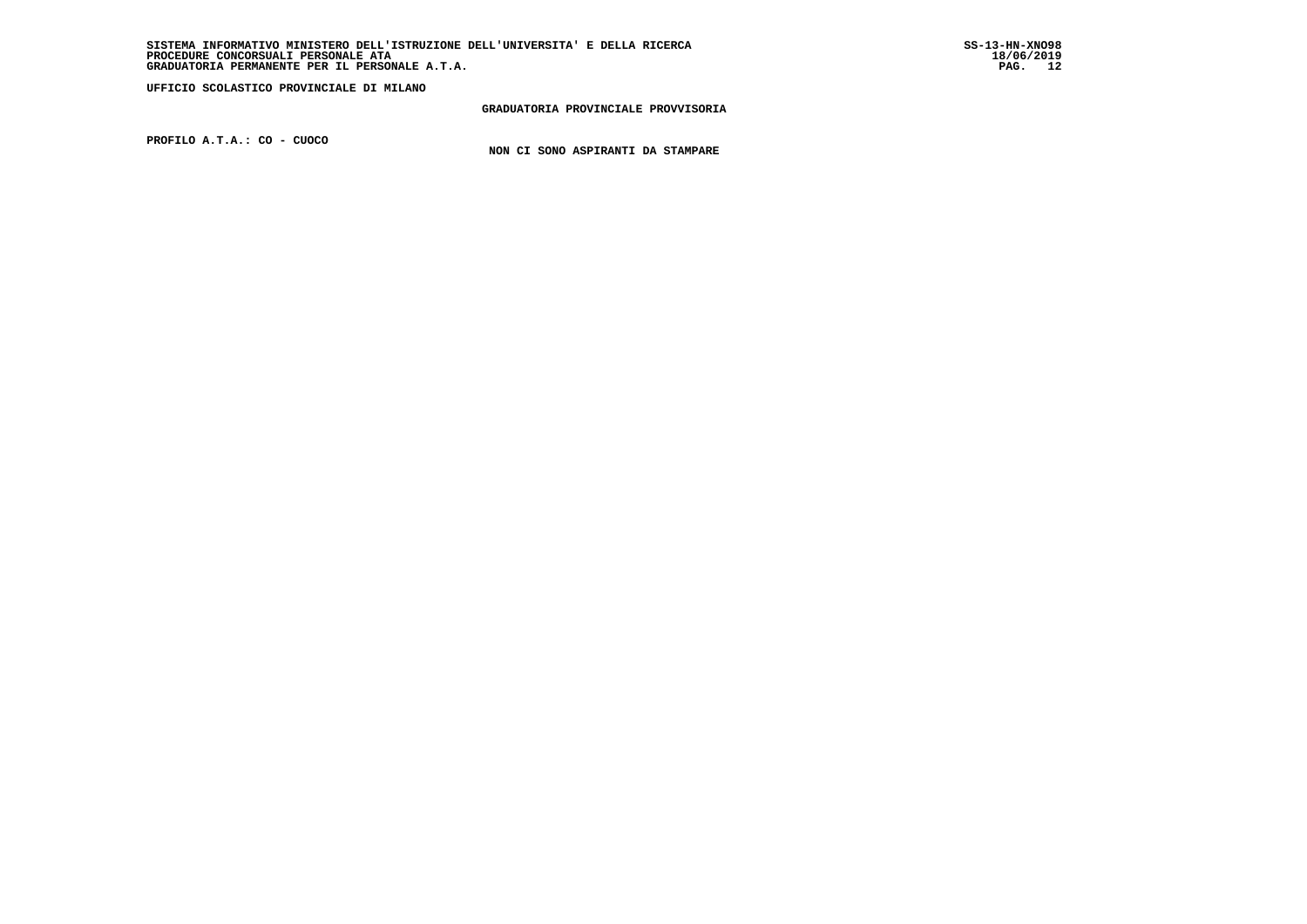**GRADUATORIA PROVINCIALE PROVVISORIA**

 **PROFILO A.T.A.: CO - CUOCO**

 **NON CI SONO ASPIRANTI DA STAMPARE**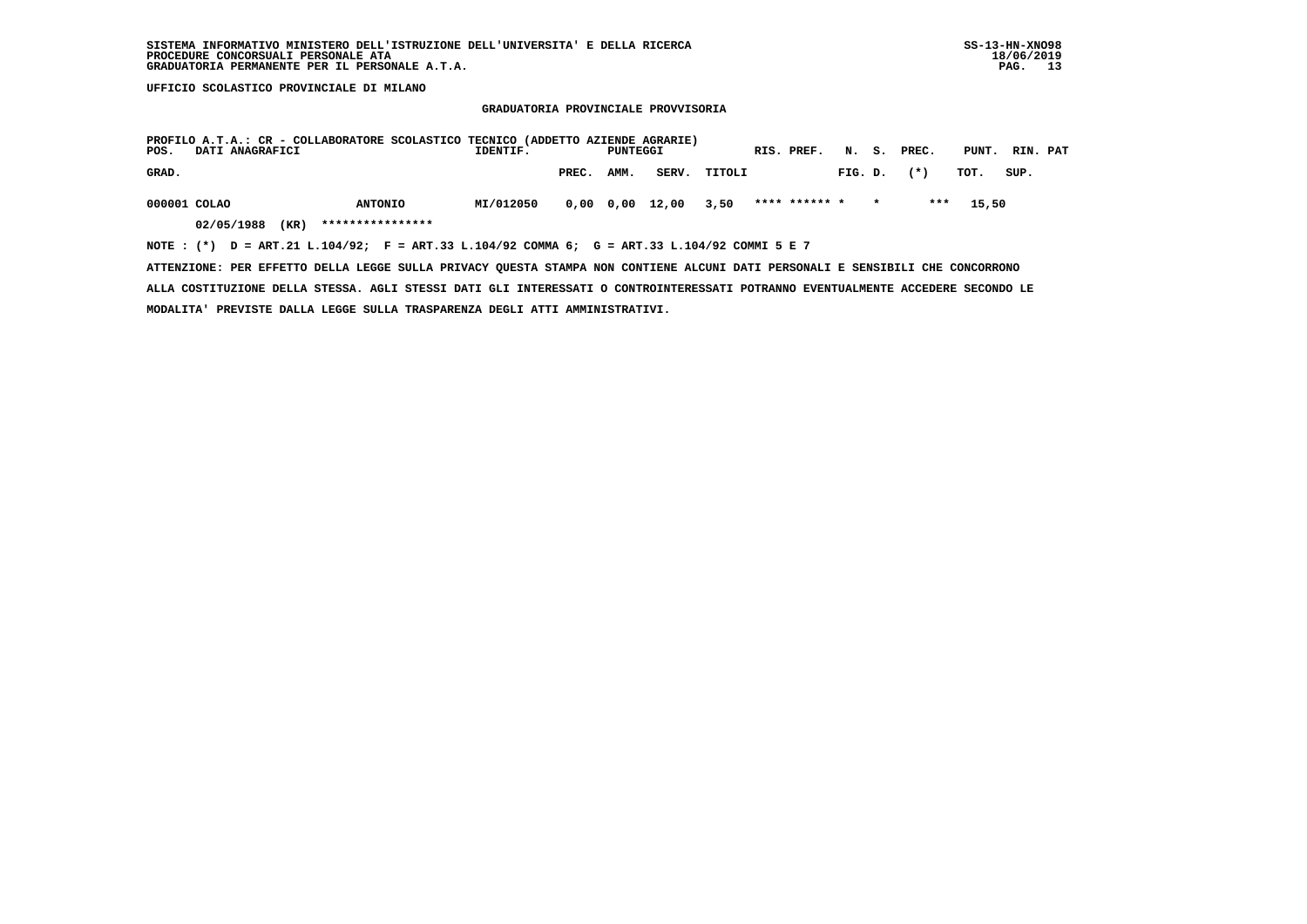#### **GRADUATORIA PROVINCIALE PROVVISORIA**

| POS.         | DATI ANAGRAFICI    | PROFILO A.T.A.: CR - COLLABORATORE SCOLASTICO TECNICO (ADDETTO AZIENDE AGRARIE)   | IDENTIF.  |       | PUNTEGGI          |       |              | RIS. PREF.    | N. S.   |         | PREC. | PUNT. | RIN. PAT |  |
|--------------|--------------------|-----------------------------------------------------------------------------------|-----------|-------|-------------------|-------|--------------|---------------|---------|---------|-------|-------|----------|--|
| GRAD.        |                    |                                                                                   |           | PREC. | AMM.              |       | SERV. TITOLI |               | FIG. D. |         | $(*)$ | TOT.  | SUP.     |  |
| 000001 COLAO |                    | <b>ANTONIO</b>                                                                    | MI/012050 |       | $0.00 \quad 0.00$ | 12,00 | 3,50         | **** ****** * |         | $\star$ | ***   | 15,50 |          |  |
|              | 02/05/1988<br>(KR) | ****************                                                                  |           |       |                   |       |              |               |         |         |       |       |          |  |
| NOTE : $(*)$ |                    | D = ART.21 L.104/92; F = ART.33 L.104/92 COMMA 6; G = ART.33 L.104/92 COMMI 5 E 7 |           |       |                   |       |              |               |         |         |       |       |          |  |

 **ATTENZIONE: PER EFFETTO DELLA LEGGE SULLA PRIVACY QUESTA STAMPA NON CONTIENE ALCUNI DATI PERSONALI E SENSIBILI CHE CONCORRONO**

 **ALLA COSTITUZIONE DELLA STESSA. AGLI STESSI DATI GLI INTERESSATI O CONTROINTERESSATI POTRANNO EVENTUALMENTE ACCEDERE SECONDO LE MODALITA' PREVISTE DALLA LEGGE SULLA TRASPARENZA DEGLI ATTI AMMINISTRATIVI.**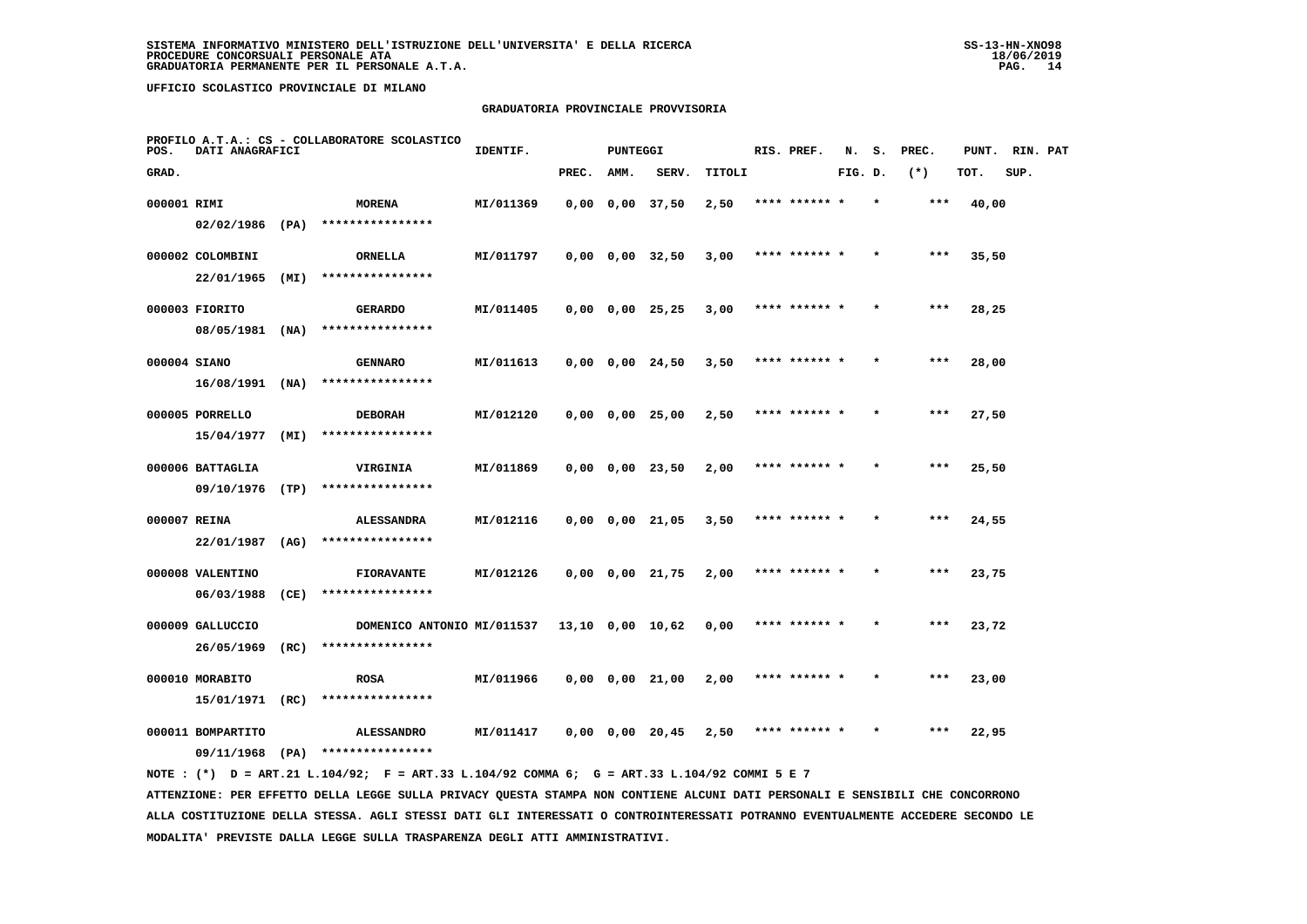# **GRADUATORIA PROVINCIALE PROVVISORIA**

| POS.         | DATI ANAGRAFICI   |      | PROFILO A.T.A.: CS - COLLABORATORE SCOLASTICO                                               | IDENTIF.  |       | <b>PUNTEGGI</b> |                       |        | RIS. PREF.    | N.      | s. | PREC. | PUNT. | RIN. PAT |  |
|--------------|-------------------|------|---------------------------------------------------------------------------------------------|-----------|-------|-----------------|-----------------------|--------|---------------|---------|----|-------|-------|----------|--|
| GRAD.        |                   |      |                                                                                             |           | PREC. | AMM.            | SERV.                 | TITOLI |               | FIG. D. |    | $(*)$ | TOT.  | SUP.     |  |
| 000001 RIMI  |                   |      | <b>MORENA</b>                                                                               | MI/011369 |       |                 | $0,00$ $0,00$ $37,50$ | 2,50   | **** ******   |         |    | $***$ | 40,00 |          |  |
|              | $02/02/1986$ (PA) |      | ****************                                                                            |           |       |                 |                       |        |               |         |    |       |       |          |  |
|              | 000002 COLOMBINI  |      | ORNELLA                                                                                     | MI/011797 |       |                 | $0,00$ $0,00$ $32,50$ | 3,00   | **** ****** * |         |    | $***$ | 35,50 |          |  |
|              | 22/01/1965        | (MI) | ****************                                                                            |           |       |                 |                       |        |               |         |    |       |       |          |  |
|              | 000003 FIORITO    |      | <b>GERARDO</b>                                                                              | MI/011405 |       |                 | $0,00$ $0,00$ $25,25$ | 3,00   | **** ****** * |         |    | $***$ | 28,25 |          |  |
|              | 08/05/1981        | (NA) | ****************                                                                            |           |       |                 |                       |        |               |         |    |       |       |          |  |
| 000004 SIANO |                   |      | <b>GENNARO</b>                                                                              | MI/011613 |       |                 | $0,00$ $0,00$ $24,50$ | 3,50   |               |         |    |       | 28,00 |          |  |
|              | $16/08/1991$ (NA) |      | ****************                                                                            |           |       |                 |                       |        |               |         |    |       |       |          |  |
|              | 000005 PORRELLO   |      | <b>DEBORAH</b>                                                                              | MI/012120 |       |                 | $0,00$ $0,00$ $25,00$ | 2,50   | **** ****** * |         |    | ***   | 27,50 |          |  |
|              | 15/04/1977        | (MI) | ****************                                                                            |           |       |                 |                       |        |               |         |    |       |       |          |  |
|              | 000006 BATTAGLIA  |      | VIRGINIA                                                                                    | MI/011869 |       |                 | $0,00$ $0,00$ $23,50$ | 2,00   | **** ****** * |         |    | $***$ | 25,50 |          |  |
|              | 09/10/1976        | (TP) | ****************                                                                            |           |       |                 |                       |        |               |         |    |       |       |          |  |
| 000007 REINA |                   |      | <b>ALESSANDRA</b>                                                                           | MI/012116 |       |                 | $0,00$ $0,00$ $21,05$ | 3,50   | **** ****** * |         |    | ***   | 24,55 |          |  |
|              | 22/01/1987        | (AG) | ****************                                                                            |           |       |                 |                       |        |               |         |    |       |       |          |  |
|              | 000008 VALENTINO  |      | <b>FIORAVANTE</b>                                                                           | MI/012126 |       |                 | $0,00$ $0,00$ $21,75$ | 2,00   | **** ****** * |         |    | ***   | 23,75 |          |  |
|              | 06/03/1988        | (CE) | ****************                                                                            |           |       |                 |                       |        |               |         |    |       |       |          |  |
|              | 000009 GALLUCCIO  |      | DOMENICO ANTONIO MI/011537                                                                  |           |       |                 | 13,10 0,00 10,62      | 0,00   | **** ****** * |         |    | $***$ | 23,72 |          |  |
|              | 26/05/1969        | (RC) | ****************                                                                            |           |       |                 |                       |        |               |         |    |       |       |          |  |
|              | 000010 MORABITO   |      | <b>ROSA</b>                                                                                 | MI/011966 |       |                 | $0,00$ $0,00$ $21,00$ | 2,00   | **** ****** * |         |    | ***   | 23,00 |          |  |
|              | 15/01/1971        | (RC) | ****************                                                                            |           |       |                 |                       |        |               |         |    |       |       |          |  |
|              | 000011 BOMPARTITO |      | <b>ALESSANDRO</b>                                                                           | MI/011417 |       |                 | $0,00$ $0,00$ $20,45$ | 2,50   | **** ****** * |         |    | ***   | 22,95 |          |  |
|              |                   |      | $09/11/1968$ (PA) ****************                                                          |           |       |                 |                       |        |               |         |    |       |       |          |  |
|              |                   |      | NOTE: (*) D = ART.21 L.104/92; F = ART.33 L.104/92 COMMA 6; G = ART.33 L.104/92 COMMI 5 E 7 |           |       |                 |                       |        |               |         |    |       |       |          |  |

 **ATTENZIONE: PER EFFETTO DELLA LEGGE SULLA PRIVACY QUESTA STAMPA NON CONTIENE ALCUNI DATI PERSONALI E SENSIBILI CHE CONCORRONO ALLA COSTITUZIONE DELLA STESSA. AGLI STESSI DATI GLI INTERESSATI O CONTROINTERESSATI POTRANNO EVENTUALMENTE ACCEDERE SECONDO LE MODALITA' PREVISTE DALLA LEGGE SULLA TRASPARENZA DEGLI ATTI AMMINISTRATIVI.**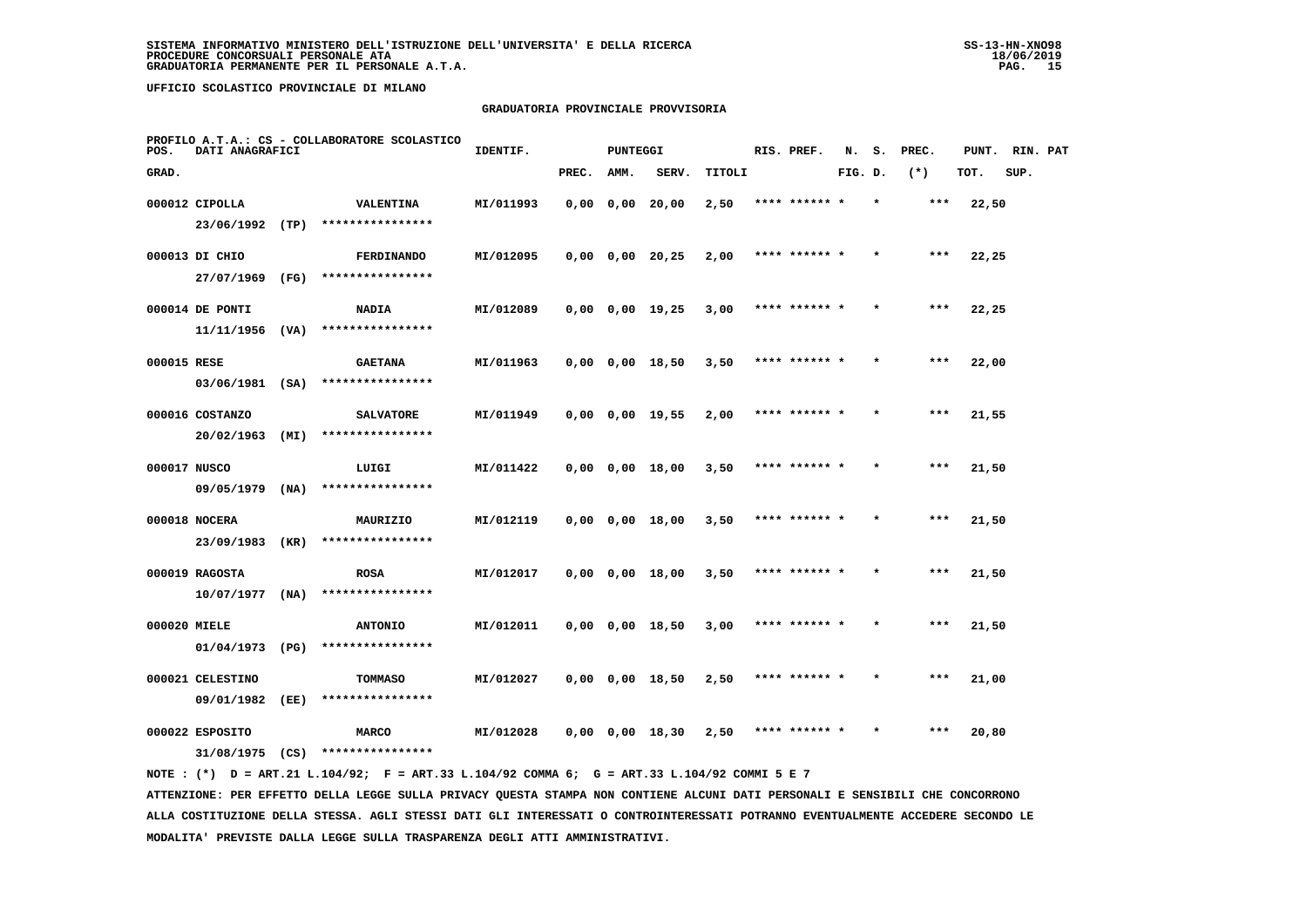# **GRADUATORIA PROVINCIALE PROVVISORIA**

| POS.         | DATI ANAGRAFICI   |      | PROFILO A.T.A.: CS - COLLABORATORE SCOLASTICO | IDENTIF.  |       | <b>PUNTEGGI</b> |                       |        | RIS. PREF.    | N.      | s. | PREC. | PUNT. | RIN. PAT |  |
|--------------|-------------------|------|-----------------------------------------------|-----------|-------|-----------------|-----------------------|--------|---------------|---------|----|-------|-------|----------|--|
| GRAD.        |                   |      |                                               |           | PREC. | AMM.            | SERV.                 | TITOLI |               | FIG. D. |    | $(*)$ | TOT.  | SUP.     |  |
|              | 000012 CIPOLLA    |      | <b>VALENTINA</b>                              | MI/011993 |       |                 | $0,00$ $0,00$ $20,00$ | 2,50   | **** ****** * |         |    | ***   | 22,50 |          |  |
|              | 23/06/1992 (TP)   |      | ****************                              |           |       |                 |                       |        |               |         |    |       |       |          |  |
|              | 000013 DI CHIO    |      | <b>FERDINANDO</b>                             | MI/012095 |       |                 | $0,00$ $0,00$ $20,25$ | 2,00   | **** ****** * |         |    | $***$ | 22,25 |          |  |
|              | 27/07/1969        | (FG) | ****************                              |           |       |                 |                       |        |               |         |    |       |       |          |  |
|              | 000014 DE PONTI   |      | <b>NADIA</b>                                  | MI/012089 |       |                 | $0,00$ $0,00$ $19,25$ | 3,00   | **** ****** * |         |    | ***   | 22,25 |          |  |
|              | 11/11/1956        | (VA) | ****************                              |           |       |                 |                       |        |               |         |    |       |       |          |  |
| 000015 RESE  |                   |      | <b>GAETANA</b>                                | MI/011963 |       |                 | $0,00$ $0,00$ $18,50$ | 3,50   | **** ****** * |         |    | ***   | 22,00 |          |  |
|              | $03/06/1981$ (SA) |      | ****************                              |           |       |                 |                       |        |               |         |    |       |       |          |  |
|              | 000016 COSTANZO   |      | <b>SALVATORE</b>                              | MI/011949 |       |                 | $0,00$ $0,00$ $19,55$ | 2,00   | **** ****** * |         |    | $***$ | 21,55 |          |  |
|              | 20/02/1963        | (MI) | ****************                              |           |       |                 |                       |        |               |         |    |       |       |          |  |
| 000017 NUSCO |                   |      | LUIGI                                         | MI/011422 |       |                 | $0,00$ $0,00$ $18,00$ | 3,50   | **** ****** * |         |    | $***$ | 21,50 |          |  |
|              | 09/05/1979        | (NA) | ****************                              |           |       |                 |                       |        |               |         |    |       |       |          |  |
|              | 000018 NOCERA     |      | MAURIZIO                                      | MI/012119 |       |                 | $0,00$ $0,00$ $18,00$ | 3,50   | **** ****** * |         |    | $***$ | 21,50 |          |  |
|              | 23/09/1983        | (KR) | ****************                              |           |       |                 |                       |        |               |         |    |       |       |          |  |
|              | 000019 RAGOSTA    |      | <b>ROSA</b>                                   | MI/012017 |       |                 | $0,00$ $0,00$ $18,00$ | 3,50   | **** ****** * |         |    | ***   | 21,50 |          |  |
|              | 10/07/1977        | (NA) | ****************                              |           |       |                 |                       |        |               |         |    |       |       |          |  |
| 000020 MIELE |                   |      | <b>ANTONIO</b>                                | MI/012011 |       |                 | $0,00$ $0,00$ $18,50$ | 3,00   | **** ****** * |         |    | $***$ | 21,50 |          |  |
|              | 01/04/1973        | (PG) | ****************                              |           |       |                 |                       |        |               |         |    |       |       |          |  |
|              | 000021 CELESTINO  |      | <b>TOMMASO</b>                                | MI/012027 |       |                 | $0,00$ $0,00$ $18,50$ | 2,50   | **** ****** * |         |    | ***   | 21,00 |          |  |
|              | 09/01/1982        | (EE) | ****************                              |           |       |                 |                       |        |               |         |    |       |       |          |  |
|              | 000022 ESPOSITO   |      | <b>MARCO</b>                                  | MI/012028 |       |                 | $0,00$ $0,00$ $18,30$ | 2,50   | **** ****** * |         |    | ***   | 20,80 |          |  |
|              | 31/08/1975 (CS)   |      | ****************                              |           |       |                 |                       |        |               |         |    |       |       |          |  |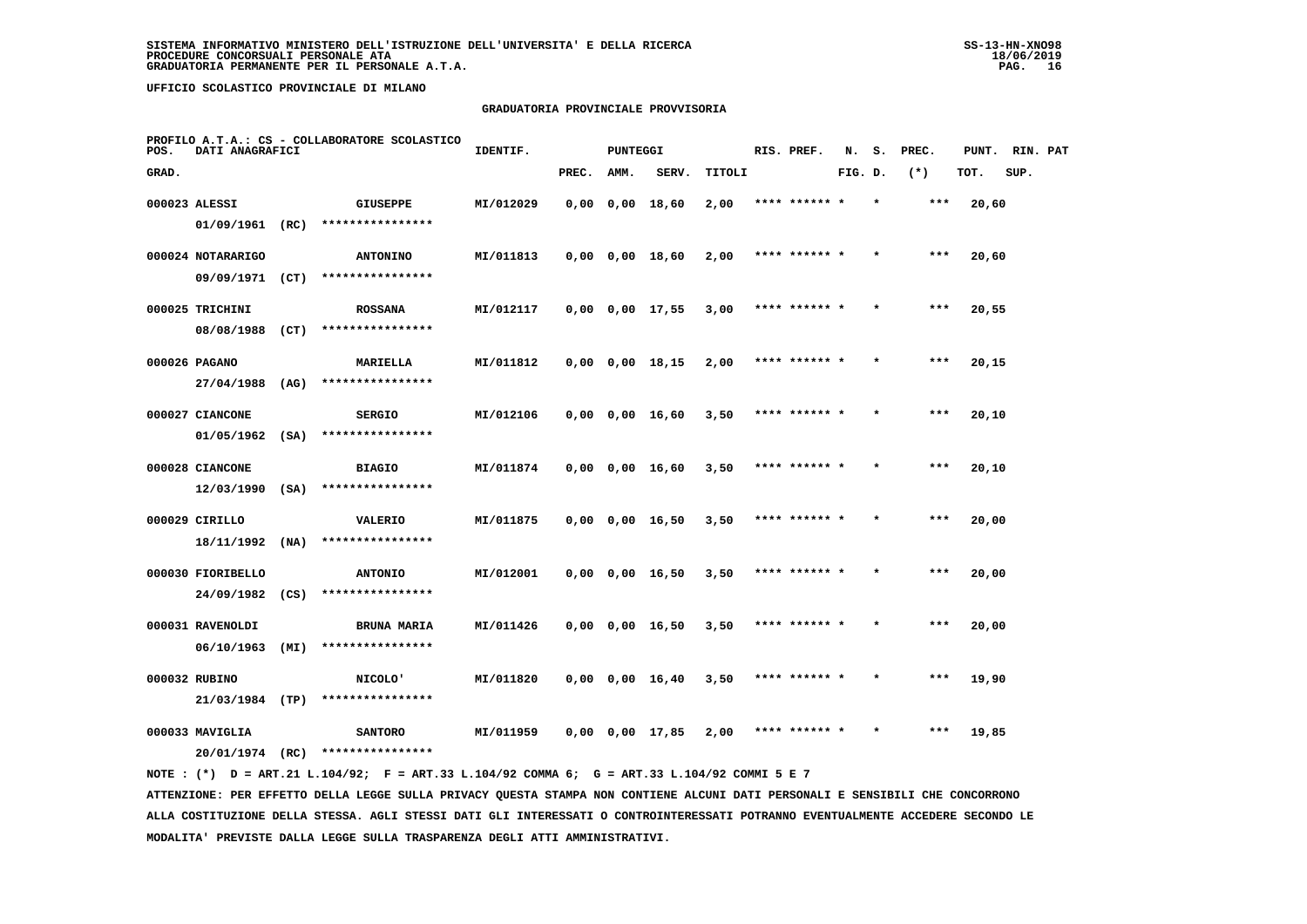# **GRADUATORIA PROVINCIALE PROVVISORIA**

| POS.  | DATI ANAGRAFICI               |      | PROFILO A.T.A.: CS - COLLABORATORE SCOLASTICO | IDENTIF.  |       | PUNTEGGI |                       |        | RIS. PREF.    | N.      | s.      | PREC. | PUNT. | RIN. PAT |  |
|-------|-------------------------------|------|-----------------------------------------------|-----------|-------|----------|-----------------------|--------|---------------|---------|---------|-------|-------|----------|--|
| GRAD. |                               |      |                                               |           | PREC. | AMM.     | SERV.                 | TITOLI |               | FIG. D. |         | $(*)$ | TOT.  | SUP.     |  |
|       | 000023 ALESSI                 |      | <b>GIUSEPPE</b>                               | MI/012029 |       |          | $0,00$ $0,00$ $18,60$ | 2,00   | **** ******   |         |         | $***$ | 20,60 |          |  |
|       | $01/09/1961$ (RC)             |      | ****************                              |           |       |          |                       |        |               |         |         |       |       |          |  |
|       | 000024 NOTARARIGO             |      | <b>ANTONINO</b>                               | MI/011813 |       |          | $0,00$ $0,00$ $18,60$ | 2,00   | **** ****** * |         |         | $***$ | 20,60 |          |  |
|       | 09/09/1971                    | (CT) | ****************                              |           |       |          |                       |        |               |         |         |       |       |          |  |
|       | 000025 TRICHINI               |      | <b>ROSSANA</b>                                | MI/012117 |       |          | $0,00$ $0,00$ $17,55$ | 3,00   | **** ****** * |         | $\star$ | $***$ | 20,55 |          |  |
|       | 08/08/1988                    | (CT) | ****************                              |           |       |          |                       |        |               |         |         |       |       |          |  |
|       | 000026 PAGANO                 |      | MARIELLA                                      | MI/011812 |       |          | $0,00$ $0,00$ $18,15$ | 2,00   | **** ****** * |         |         | ***   | 20,15 |          |  |
|       | 27/04/1988                    | (AG) | ****************                              |           |       |          |                       |        |               |         |         |       |       |          |  |
|       | 000027 CIANCONE               |      | <b>SERGIO</b>                                 | MI/012106 |       |          | $0,00$ $0,00$ $16,60$ | 3,50   | **** ****** * |         |         | $***$ | 20,10 |          |  |
|       | 01/05/1962                    | (SA) | ****************                              |           |       |          |                       |        |               |         |         |       |       |          |  |
|       | 000028 CIANCONE               |      | <b>BIAGIO</b>                                 | MI/011874 |       |          | 0,00 0,00 16,60       | 3,50   | **** ****** * |         | $\star$ | $***$ | 20,10 |          |  |
|       | 12/03/1990                    | (SA) | ****************                              |           |       |          |                       |        |               |         |         |       |       |          |  |
|       | 000029 CIRILLO                |      | <b>VALERIO</b>                                | MI/011875 |       |          | $0,00$ $0,00$ $16,50$ | 3,50   |               |         |         | ***   | 20,00 |          |  |
|       | 18/11/1992                    | (NA) | ****************                              |           |       |          |                       |        |               |         |         |       |       |          |  |
|       | 000030 FIORIBELLO             |      | <b>ANTONIO</b>                                | MI/012001 |       |          | $0,00$ $0,00$ $16,50$ | 3,50   | **** ****** * |         |         | $***$ | 20,00 |          |  |
|       | 24/09/1982                    | (CS) | ****************                              |           |       |          |                       |        |               |         |         |       |       |          |  |
|       | 000031 RAVENOLDI              |      | <b>BRUNA MARIA</b><br>****************        | MI/011426 |       |          | $0,00$ $0,00$ $16,50$ | 3,50   | **** ****** * |         |         | $***$ | 20,00 |          |  |
|       | 06/10/1963                    | (MI) |                                               |           |       |          |                       |        |               |         |         |       |       |          |  |
|       | 000032 RUBINO                 |      | <b>NICOLO'</b><br>****************            | MI/011820 |       |          | $0,00$ $0,00$ $16,40$ | 3,50   | **** ****** * |         |         | $***$ | 19,90 |          |  |
|       | 21/03/1984 (TP)               |      |                                               |           |       |          |                       |        |               |         |         |       |       |          |  |
|       | 000033 MAVIGLIA<br>20/01/1974 | (RC) | <b>SANTORO</b><br>****************            | MI/011959 |       |          | $0,00$ $0,00$ $17,85$ | 2,00   |               |         |         | ***   | 19,85 |          |  |
|       |                               |      |                                               |           |       |          |                       |        |               |         |         |       |       |          |  |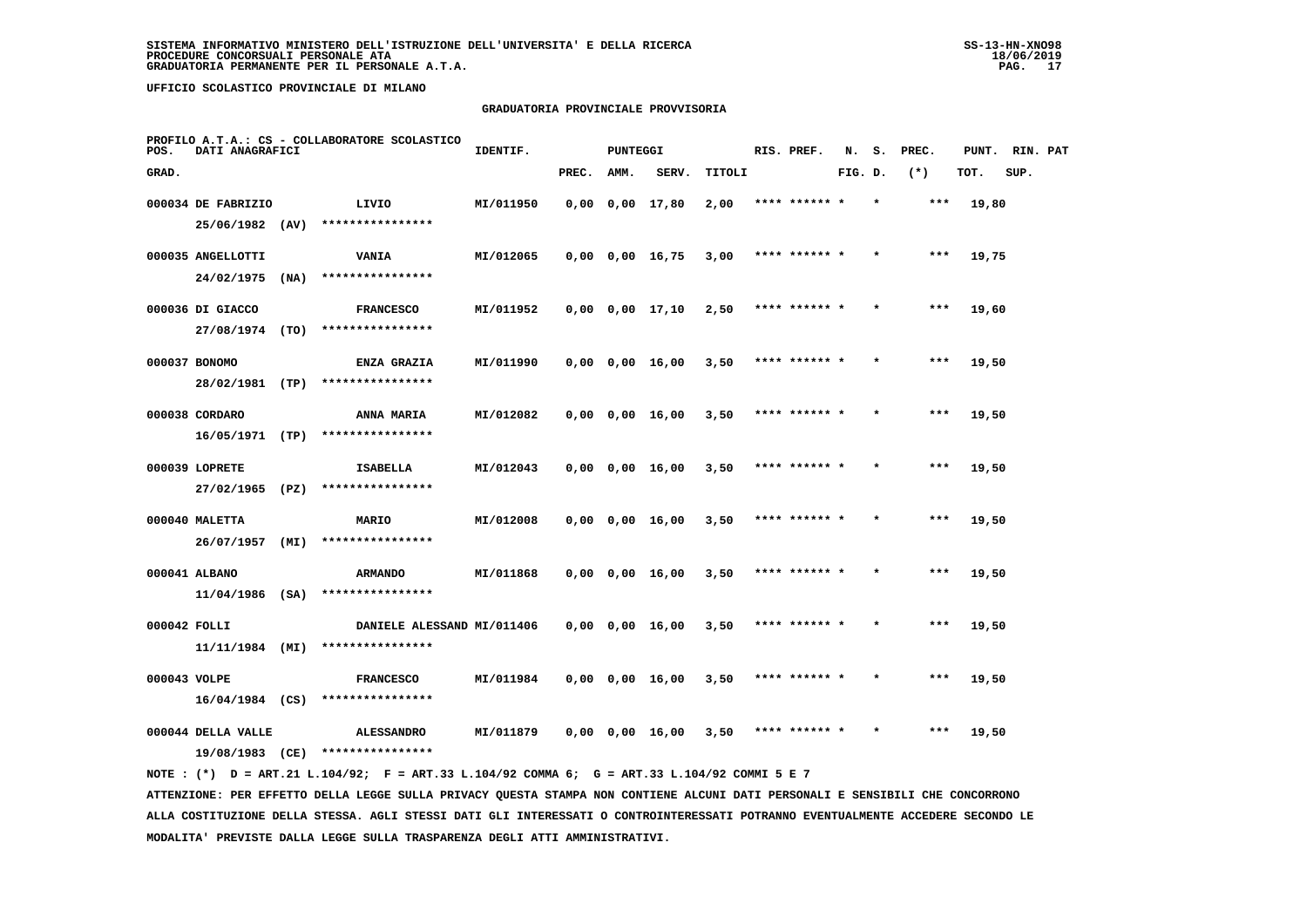# **GRADUATORIA PROVINCIALE PROVVISORIA**

| POS.         | DATI ANAGRAFICI    |      | PROFILO A.T.A.: CS - COLLABORATORE SCOLASTICO                                               | IDENTIF.  |       | <b>PUNTEGGI</b> |                         |        | RIS. PREF.    | N.      | s.      | PREC. |       | PUNT. RIN. PAT |  |
|--------------|--------------------|------|---------------------------------------------------------------------------------------------|-----------|-------|-----------------|-------------------------|--------|---------------|---------|---------|-------|-------|----------------|--|
| GRAD.        |                    |      |                                                                                             |           | PREC. | AMM.            | SERV.                   | TITOLI |               | FIG. D. |         | $(*)$ | TOT.  | SUP.           |  |
|              | 000034 DE FABRIZIO |      | LIVIO                                                                                       | MI/011950 |       |                 | $0,00$ $0,00$ $17,80$   | 2,00   | **** ****** * |         | $\star$ | $***$ | 19,80 |                |  |
|              | 25/06/1982 (AV)    |      | ****************                                                                            |           |       |                 |                         |        |               |         |         |       |       |                |  |
|              | 000035 ANGELLOTTI  |      | <b>VANIA</b>                                                                                | MI/012065 |       |                 | $0,00$ $0,00$ $16,75$   | 3,00   | **** ****** * |         |         | $***$ | 19,75 |                |  |
|              | 24/02/1975         | (NA) | ****************                                                                            |           |       |                 |                         |        |               |         |         |       |       |                |  |
|              | 000036 DI GIACCO   |      | <b>FRANCESCO</b>                                                                            | MI/011952 |       |                 | $0.00$ $0.00$ $17.10$   | 2,50   | **** ****** * |         |         | ***   | 19,60 |                |  |
|              | 27/08/1974 (TO)    |      | ****************                                                                            |           |       |                 |                         |        |               |         |         |       |       |                |  |
|              | 000037 BONOMO      |      | <b>ENZA GRAZIA</b>                                                                          | MI/011990 |       |                 | $0.00 \t 0.00 \t 16.00$ | 3,50   | **** ****** * |         |         | ***   | 19,50 |                |  |
|              | 28/02/1981 (TP)    |      | ****************                                                                            |           |       |                 |                         |        |               |         |         |       |       |                |  |
|              | 000038 CORDARO     |      | <b>ANNA MARIA</b>                                                                           | MI/012082 |       |                 | 0,00 0,00 16,00         | 3,50   | **** ****** * |         |         | ***   | 19,50 |                |  |
|              | 16/05/1971 (TP)    |      | ****************                                                                            |           |       |                 |                         |        |               |         |         |       |       |                |  |
|              | 000039 LOPRETE     |      | <b>ISABELLA</b>                                                                             | MI/012043 |       |                 | 0,00 0,00 16,00         | 3,50   | **** ****** * |         |         | ***   | 19,50 |                |  |
|              | 27/02/1965 (PZ)    |      | ****************                                                                            |           |       |                 |                         |        |               |         |         |       |       |                |  |
|              | 000040 MALETTA     |      | MARIO                                                                                       | MI/012008 |       |                 | $0,00$ $0,00$ $16,00$   | 3,50   | **** ****** * |         |         | $***$ | 19,50 |                |  |
|              | 26/07/1957 (MI)    |      | ****************                                                                            |           |       |                 |                         |        |               |         |         |       |       |                |  |
|              | 000041 ALBANO      |      | <b>ARMANDO</b>                                                                              | MI/011868 |       |                 | $0,00$ $0,00$ $16,00$   | 3,50   | **** ****** * |         |         | ***   | 19,50 |                |  |
|              | $11/04/1986$ (SA)  |      | ****************                                                                            |           |       |                 |                         |        |               |         |         |       |       |                |  |
| 000042 FOLLI |                    |      | DANIELE ALESSAND MI/011406                                                                  |           |       |                 | $0,00$ $0,00$ $16,00$   | 3,50   | **** ****** * |         |         | ***   | 19,50 |                |  |
|              | $11/11/1984$ (MI)  |      | ****************                                                                            |           |       |                 |                         |        |               |         |         |       |       |                |  |
| 000043 VOLPE |                    |      | <b>FRANCESCO</b>                                                                            | MI/011984 |       |                 | $0,00$ $0,00$ $16,00$   | 3,50   | **** ****** * |         |         | ***   | 19,50 |                |  |
|              | $16/04/1984$ (CS)  |      | ****************                                                                            |           |       |                 |                         |        |               |         |         |       |       |                |  |
|              | 000044 DELLA VALLE |      | <b>ALESSANDRO</b>                                                                           | MI/011879 |       |                 | 0,00 0,00 16,00         | 3,50   | **** ****** * |         |         | ***   | 19,50 |                |  |
|              |                    |      | $19/08/1983$ (CE) *****************                                                         |           |       |                 |                         |        |               |         |         |       |       |                |  |
|              |                    |      | NOTE: (*) D = ART.21 L.104/92; F = ART.33 L.104/92 COMMA 6; G = ART.33 L.104/92 COMMI 5 E 7 |           |       |                 |                         |        |               |         |         |       |       |                |  |

 **ATTENZIONE: PER EFFETTO DELLA LEGGE SULLA PRIVACY QUESTA STAMPA NON CONTIENE ALCUNI DATI PERSONALI E SENSIBILI CHE CONCORRONO ALLA COSTITUZIONE DELLA STESSA. AGLI STESSI DATI GLI INTERESSATI O CONTROINTERESSATI POTRANNO EVENTUALMENTE ACCEDERE SECONDO LE MODALITA' PREVISTE DALLA LEGGE SULLA TRASPARENZA DEGLI ATTI AMMINISTRATIVI.**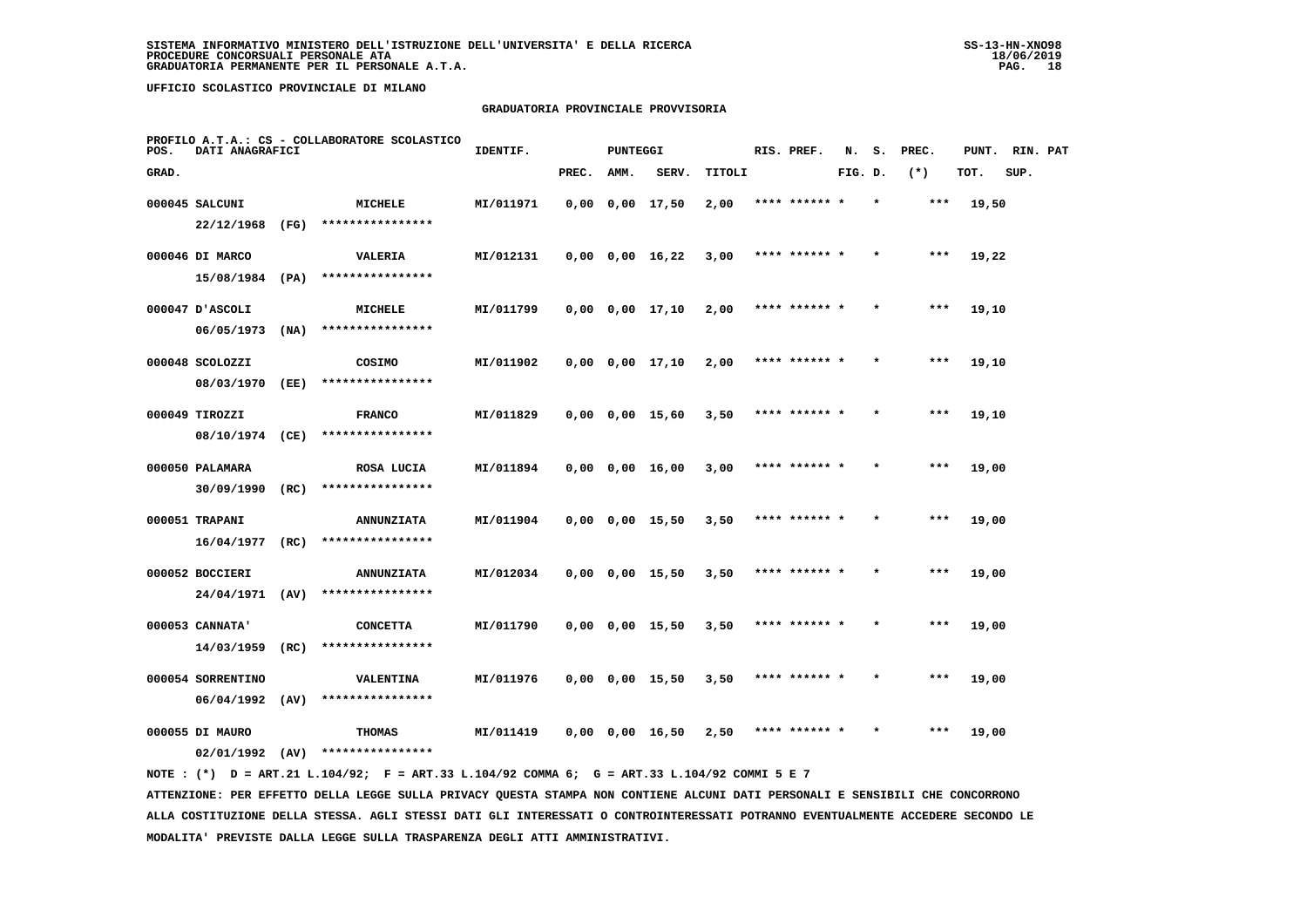# **GRADUATORIA PROVINCIALE PROVVISORIA**

| POS.  | DATI ANAGRAFICI   |      | PROFILO A.T.A.: CS - COLLABORATORE SCOLASTICO | IDENTIF.  |       | PUNTEGGI |                       |        | RIS. PREF.    | N.      | s.      | PREC. | PUNT. | RIN. PAT |  |
|-------|-------------------|------|-----------------------------------------------|-----------|-------|----------|-----------------------|--------|---------------|---------|---------|-------|-------|----------|--|
| GRAD. |                   |      |                                               |           | PREC. | AMM.     | SERV.                 | TITOLI |               | FIG. D. |         | $(*)$ | TOT.  | SUP.     |  |
|       | 000045 SALCUNI    |      | MICHELE                                       | MI/011971 |       |          | $0,00$ $0,00$ $17,50$ | 2,00   | **** ******   |         |         | $***$ | 19,50 |          |  |
|       | $22/12/1968$ (FG) |      | ****************                              |           |       |          |                       |        |               |         |         |       |       |          |  |
|       | 000046 DI MARCO   |      | <b>VALERIA</b>                                | MI/012131 |       |          | $0,00$ $0,00$ $16,22$ | 3,00   | **** ****** * |         |         | $***$ | 19,22 |          |  |
|       | 15/08/1984        | (PA) | ****************                              |           |       |          |                       |        |               |         |         |       |       |          |  |
|       | 000047 D'ASCOLI   |      | <b>MICHELE</b>                                | MI/011799 |       |          | $0,00$ $0,00$ $17,10$ | 2,00   | **** ****** * |         | $\star$ | $***$ | 19,10 |          |  |
|       | 06/05/1973        | (NA) | ****************                              |           |       |          |                       |        |               |         |         |       |       |          |  |
|       | 000048 SCOLOZZI   |      | COSIMO                                        | MI/011902 |       |          | $0,00$ $0,00$ $17,10$ | 2,00   | **** ****** * |         |         | $***$ | 19,10 |          |  |
|       | 08/03/1970        | (EE) | ****************                              |           |       |          |                       |        |               |         |         |       |       |          |  |
|       | 000049 TIROZZI    |      | <b>FRANCO</b>                                 | MI/011829 |       |          | $0,00$ $0,00$ $15,60$ | 3,50   | **** ****** * |         |         | $***$ | 19,10 |          |  |
|       | 08/10/1974 (CE)   |      | ****************                              |           |       |          |                       |        |               |         |         |       |       |          |  |
|       | 000050 PALAMARA   |      | ROSA LUCIA                                    | MI/011894 |       |          | $0,00$ $0,00$ $16,00$ | 3,00   | **** ****** * |         | $\star$ | ***   | 19,00 |          |  |
|       | 30/09/1990        | (RC) | ****************                              |           |       |          |                       |        |               |         |         |       |       |          |  |
|       | 000051 TRAPANI    |      | <b>ANNUNZIATA</b>                             | MI/011904 |       |          | $0,00$ $0,00$ $15,50$ | 3,50   |               |         |         | ***   | 19,00 |          |  |
|       | 16/04/1977        | (RC) | ****************                              |           |       |          |                       |        |               |         |         |       |       |          |  |
|       | 000052 BOCCIERI   |      | <b>ANNUNZIATA</b>                             | MI/012034 |       |          | $0,00$ $0,00$ $15,50$ | 3,50   | **** ****** * |         |         | ***   | 19,00 |          |  |
|       | 24/04/1971        | (AV) | ****************                              |           |       |          |                       |        |               |         |         |       |       |          |  |
|       | 000053 CANNATA'   |      | <b>CONCETTA</b>                               | MI/011790 |       |          | $0,00$ $0,00$ $15,50$ | 3,50   | **** ****** * |         | $\star$ | ***   | 19,00 |          |  |
|       | 14/03/1959        | (RC) | ****************                              |           |       |          |                       |        |               |         |         |       |       |          |  |
|       | 000054 SORRENTINO |      | VALENTINA                                     | MI/011976 |       |          | $0,00$ $0,00$ $15,50$ | 3,50   | **** ****** * |         |         | $***$ | 19,00 |          |  |
|       | 06/04/1992        | (AV) | ****************                              |           |       |          |                       |        |               |         |         |       |       |          |  |
|       | 000055 DI MAURO   |      | THOMAS                                        | MI/011419 |       |          | $0,00$ $0,00$ $16,50$ | 2,50   | **** ******   |         |         | ***   | 19,00 |          |  |
|       | 02/01/1992        | (AV) | ****************                              |           |       |          |                       |        |               |         |         |       |       |          |  |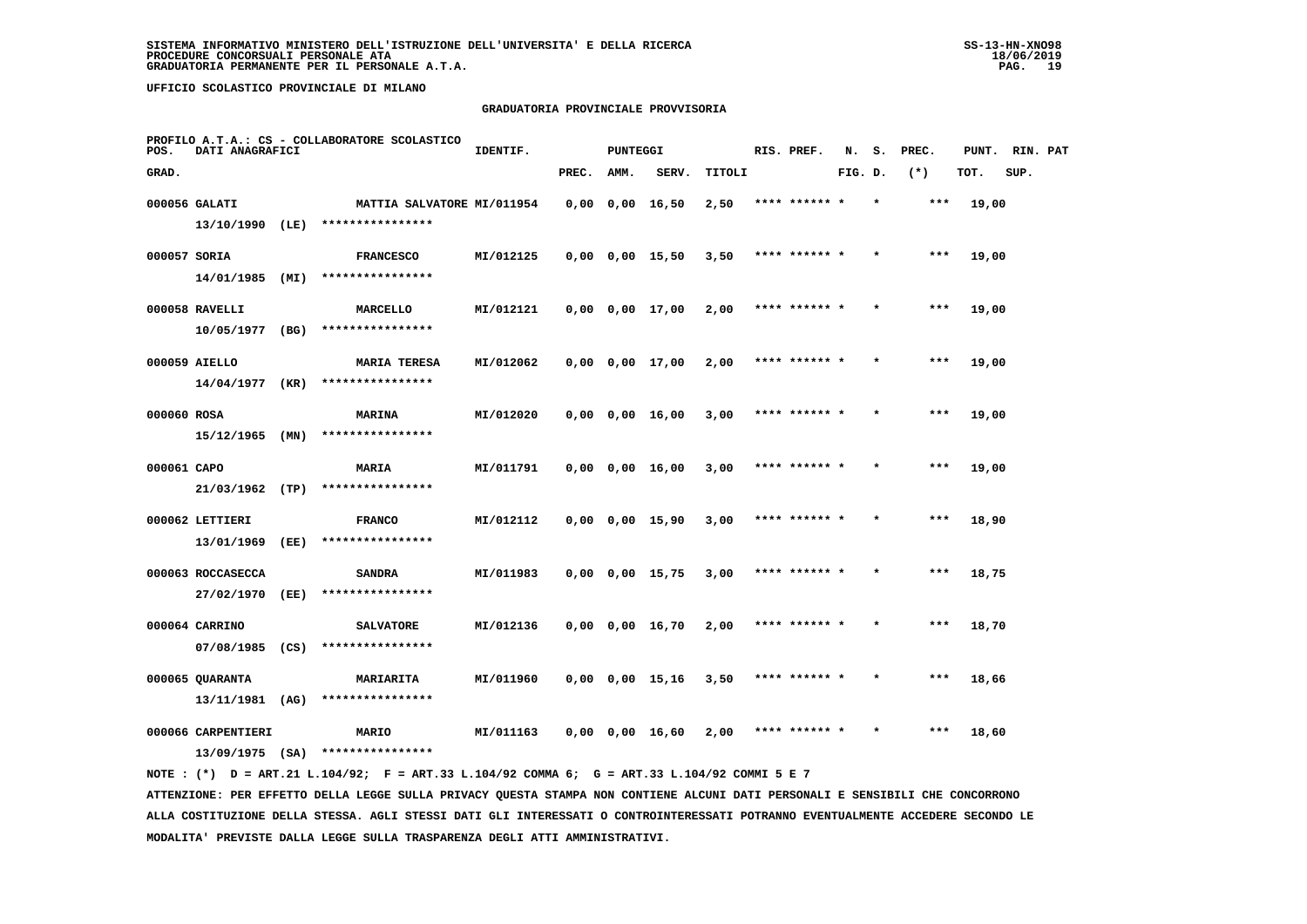# **GRADUATORIA PROVINCIALE PROVVISORIA**

| POS.         | DATI ANAGRAFICI                    |      | PROFILO A.T.A.: CS - COLLABORATORE SCOLASTICO | IDENTIF.  |       | <b>PUNTEGGI</b> |                         |        | RIS. PREF.    | N.      | s.      | PREC.  | PUNT. | RIN. PAT |  |
|--------------|------------------------------------|------|-----------------------------------------------|-----------|-------|-----------------|-------------------------|--------|---------------|---------|---------|--------|-------|----------|--|
| GRAD.        |                                    |      |                                               |           | PREC. | AMM.            | SERV.                   | TITOLI |               | FIG. D. |         | $(* )$ | TOT.  | SUP.     |  |
|              | 000056 GALATI                      |      | MATTIA SALVATORE MI/011954                    |           |       |                 | $0,00$ $0,00$ $16,50$   | 2,50   |               |         |         |        | 19,00 |          |  |
|              | 13/10/1990 (LE)                    |      | ****************                              |           |       |                 |                         |        |               |         |         |        |       |          |  |
| 000057 SORIA |                                    |      | <b>FRANCESCO</b>                              | MI/012125 |       |                 | $0,00$ $0,00$ $15,50$   | 3,50   | **** ****** * |         |         | ***    | 19,00 |          |  |
|              | 14/01/1985                         | (MI) | ****************                              |           |       |                 |                         |        |               |         |         |        |       |          |  |
|              | 000058 RAVELLI                     |      | MARCELLO                                      | MI/012121 |       |                 | $0,00$ $0,00$ $17,00$   | 2,00   | **** ****** * |         |         | ***    | 19,00 |          |  |
|              | 10/05/1977                         | (BG) | ****************                              |           |       |                 |                         |        |               |         |         |        |       |          |  |
|              | 000059 AIELLO                      |      | <b>MARIA TERESA</b>                           | MI/012062 |       |                 | $0,00$ $0,00$ $17,00$   | 2,00   | **** ****** * |         |         | ***    | 19,00 |          |  |
|              | 14/04/1977                         | (KR) | ****************                              |           |       |                 |                         |        |               |         |         |        |       |          |  |
| 000060 ROSA  |                                    |      | <b>MARINA</b>                                 | MI/012020 |       |                 | $0,00$ $0,00$ $16,00$   | 3,00   | **** ****** * |         |         | $***$  | 19,00 |          |  |
|              | 15/12/1965                         | (MN) | ****************                              |           |       |                 |                         |        |               |         |         |        |       |          |  |
| 000061 CAPO  |                                    |      | MARIA                                         | MI/011791 |       |                 | 0,00 0,00 16,00         | 3,00   | **** ****** * |         |         | ***    | 19,00 |          |  |
|              | 21/03/1962 (TP)                    |      | ****************                              |           |       |                 |                         |        |               |         |         |        |       |          |  |
|              | 000062 LETTIERI                    |      | <b>FRANCO</b>                                 | MI/012112 |       |                 | $0,00$ $0,00$ $15,90$   | 3,00   |               |         |         | ***    | 18,90 |          |  |
|              | 13/01/1969                         | (EE) | ****************                              |           |       |                 |                         |        |               |         |         |        |       |          |  |
|              | 000063 ROCCASECCA                  |      | <b>SANDRA</b>                                 | MI/011983 |       |                 | $0,00$ $0,00$ $15,75$   | 3,00   | **** ****** * |         |         | ***    | 18,75 |          |  |
|              | 27/02/1970                         | (EE) | ****************                              |           |       |                 |                         |        |               |         |         |        |       |          |  |
|              | 000064 CARRINO                     |      | <b>SALVATORE</b>                              | MI/012136 |       |                 | $0,00$ $0,00$ $16,70$   | 2,00   | **** ****** * |         | $\star$ | ***    | 18,70 |          |  |
|              | 07/08/1985                         | (CS) | ****************                              |           |       |                 |                         |        |               |         |         |        |       |          |  |
|              |                                    |      |                                               |           |       |                 |                         |        |               |         |         |        |       |          |  |
|              | 000065 QUARANTA<br>13/11/1981 (AG) |      | MARIARITA<br>****************                 | MI/011960 |       |                 | $0,00$ $0,00$ $15,16$   | 3,50   | **** ****** * |         |         | $***$  | 18,66 |          |  |
|              |                                    |      |                                               |           |       |                 |                         |        |               |         |         |        |       |          |  |
|              | 000066 CARPENTIERI                 |      | MARIO                                         | MI/011163 |       |                 | $0.00 \t 0.00 \t 16.60$ | 2,00   | **** ****** * |         |         | ***    | 18,60 |          |  |
|              | $13/09/1975$ (SA)                  |      | ****************                              |           |       |                 |                         |        |               |         |         |        |       |          |  |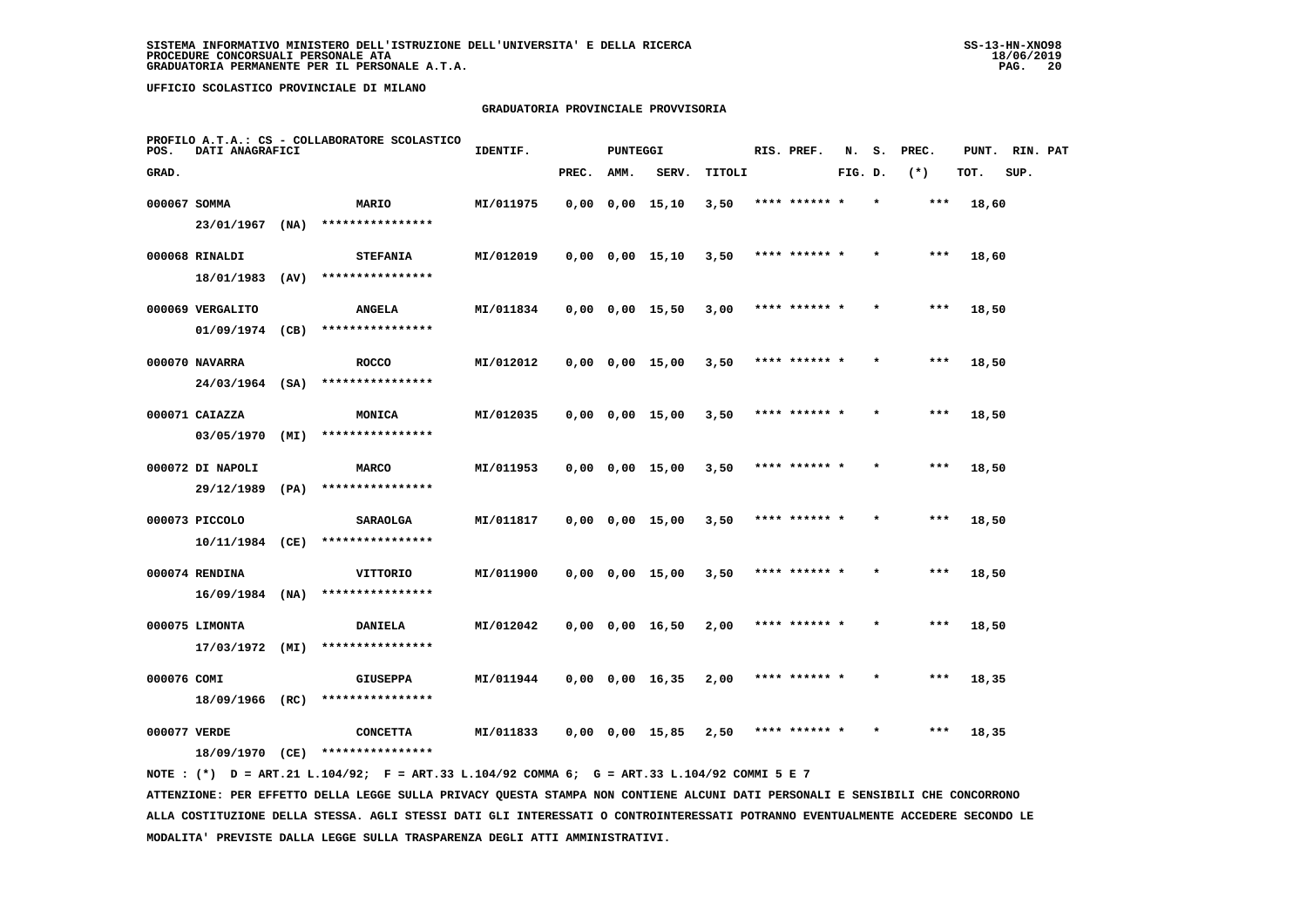# **GRADUATORIA PROVINCIALE PROVVISORIA**

| POS.         | DATI ANAGRAFICI   |      | PROFILO A.T.A.: CS - COLLABORATORE SCOLASTICO | IDENTIF.  |       | <b>PUNTEGGI</b> |                       |        | RIS. PREF.    | N.      | s. | PREC. | PUNT. | RIN. PAT |  |
|--------------|-------------------|------|-----------------------------------------------|-----------|-------|-----------------|-----------------------|--------|---------------|---------|----|-------|-------|----------|--|
| GRAD.        |                   |      |                                               |           | PREC. | AMM.            | SERV.                 | TITOLI |               | FIG. D. |    | $(*)$ | TOT.  | SUP.     |  |
| 000067 SOMMA |                   |      | <b>MARIO</b>                                  | MI/011975 |       |                 | $0,00$ $0,00$ $15,10$ | 3,50   | **** ****** * |         |    | ***   | 18,60 |          |  |
|              | 23/01/1967        | (NA) | ****************                              |           |       |                 |                       |        |               |         |    |       |       |          |  |
|              | 000068 RINALDI    |      | <b>STEFANIA</b>                               | MI/012019 |       |                 | $0,00$ $0,00$ $15,10$ | 3,50   | **** ****** * |         |    | $***$ | 18,60 |          |  |
|              | 18/01/1983        | (AV) | ****************                              |           |       |                 |                       |        |               |         |    |       |       |          |  |
|              | 000069 VERGALITO  |      | <b>ANGELA</b>                                 | MI/011834 |       |                 | $0,00$ $0,00$ $15,50$ | 3,00   | **** ****** * |         |    | $***$ | 18,50 |          |  |
|              | 01/09/1974        | (CB) | ****************                              |           |       |                 |                       |        |               |         |    |       |       |          |  |
|              | 000070 NAVARRA    |      | <b>ROCCO</b>                                  | MI/012012 |       |                 | $0,00$ $0,00$ $15,00$ | 3,50   | **** ****** * |         |    | $***$ | 18,50 |          |  |
|              | $24/03/1964$ (SA) |      | ****************                              |           |       |                 |                       |        |               |         |    |       |       |          |  |
|              | 000071 CAIAZZA    |      | MONICA                                        | MI/012035 |       |                 | $0,00$ $0,00$ $15,00$ | 3,50   | **** ****** * |         |    | $***$ | 18,50 |          |  |
|              | 03/05/1970        | (MI) | ****************                              |           |       |                 |                       |        |               |         |    |       |       |          |  |
|              | 000072 DI NAPOLI  |      | <b>MARCO</b>                                  | MI/011953 |       |                 | $0,00$ $0,00$ $15,00$ | 3,50   | **** ****** * |         |    | $***$ | 18,50 |          |  |
|              | 29/12/1989        | (PA) | ****************                              |           |       |                 |                       |        |               |         |    |       |       |          |  |
|              | 000073 PICCOLO    |      | <b>SARAOLGA</b>                               | MI/011817 |       |                 | $0,00$ $0,00$ $15,00$ | 3,50   | **** ****** * |         |    | ***   | 18,50 |          |  |
|              | 10/11/1984 (CE)   |      | ****************                              |           |       |                 |                       |        |               |         |    |       |       |          |  |
|              | 000074 RENDINA    |      | VITTORIO                                      | MI/011900 |       |                 | $0,00$ $0,00$ $15,00$ | 3,50   | **** ****** * |         |    | ***   | 18,50 |          |  |
|              | $16/09/1984$ (NA) |      | ****************                              |           |       |                 |                       |        |               |         |    |       |       |          |  |
|              | 000075 LIMONTA    |      | <b>DANIELA</b>                                | MI/012042 |       |                 | $0,00$ $0,00$ $16,50$ | 2,00   | **** ****** * |         |    | $***$ | 18,50 |          |  |
|              | 17/03/1972        | (MI) | ****************                              |           |       |                 |                       |        |               |         |    |       |       |          |  |
| 000076 COMI  |                   |      | <b>GIUSEPPA</b>                               | MI/011944 |       |                 | 0,00 0,00 16,35       | 2,00   | **** ****** * |         |    | ***   | 18,35 |          |  |
|              | 18/09/1966 (RC)   |      | ****************                              |           |       |                 |                       |        |               |         |    |       |       |          |  |
| 000077 VERDE |                   |      | <b>CONCETTA</b>                               | MI/011833 |       |                 | $0,00$ $0,00$ $15,85$ | 2,50   | **** ****** * |         |    | $***$ | 18,35 |          |  |
|              | 18/09/1970 (CE)   |      | ****************                              |           |       |                 |                       |        |               |         |    |       |       |          |  |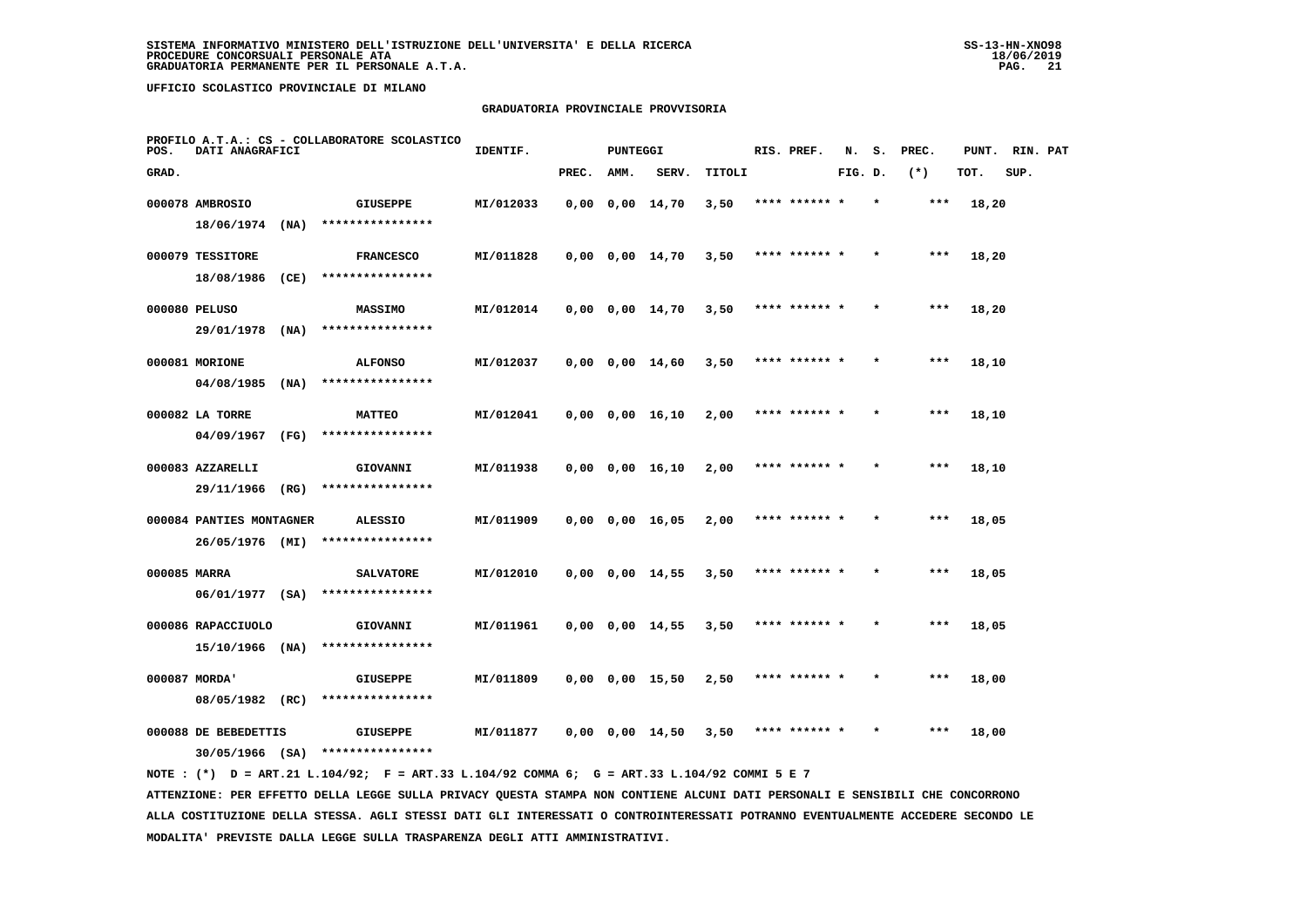# **GRADUATORIA PROVINCIALE PROVVISORIA**

| POS.         | DATI ANAGRAFICI                             |      | PROFILO A.T.A.: CS - COLLABORATORE SCOLASTICO | IDENTIF.  |       | <b>PUNTEGGI</b> |                       |        | RIS. PREF.    | N.      | s. | PREC. | PUNT. | RIN. PAT |  |
|--------------|---------------------------------------------|------|-----------------------------------------------|-----------|-------|-----------------|-----------------------|--------|---------------|---------|----|-------|-------|----------|--|
| GRAD.        |                                             |      |                                               |           | PREC. | AMM.            | SERV.                 | TITOLI |               | FIG. D. |    | $(*)$ | TOT.  | SUP.     |  |
|              | 000078 AMBROSIO                             |      | <b>GIUSEPPE</b>                               | MI/012033 |       |                 | $0,00$ $0,00$ $14,70$ | 3,50   | **** ****** * |         |    | ***   | 18,20 |          |  |
|              | 18/06/1974                                  | (NA) | ****************                              |           |       |                 |                       |        |               |         |    |       |       |          |  |
|              | 000079 TESSITORE                            |      | <b>FRANCESCO</b>                              | MI/011828 |       |                 | $0,00$ $0,00$ $14,70$ | 3,50   | **** ****** * |         |    | $***$ | 18,20 |          |  |
|              | 18/08/1986                                  | (CE) | ****************                              |           |       |                 |                       |        |               |         |    |       |       |          |  |
|              | 000080 PELUSO                               |      | <b>MASSIMO</b>                                | MI/012014 |       |                 | $0,00$ $0,00$ $14,70$ | 3,50   | **** ****** * |         |    | ***   | 18,20 |          |  |
|              | 29/01/1978                                  | (NA) | ****************                              |           |       |                 |                       |        |               |         |    |       |       |          |  |
|              | 000081 MORIONE                              |      | <b>ALFONSO</b>                                | MI/012037 |       |                 | $0,00$ $0,00$ $14,60$ | 3,50   | **** ****** * |         |    | ***   | 18,10 |          |  |
|              | 04/08/1985                                  | (NA) | ****************                              |           |       |                 |                       |        |               |         |    |       |       |          |  |
|              | 000082 LA TORRE                             |      | <b>MATTEO</b>                                 | MI/012041 |       |                 | 0,00 0,00 16,10       | 2,00   | **** ****** * |         |    | ***   | 18,10 |          |  |
|              | 04/09/1967                                  | (FG) | ****************                              |           |       |                 |                       |        |               |         |    |       |       |          |  |
|              | 000083 AZZARELLI<br>29/11/1966              | (RG) | GIOVANNI<br>****************                  | MI/011938 |       |                 | $0,00$ $0,00$ $16,10$ | 2,00   | **** ****** * |         |    | $***$ | 18,10 |          |  |
|              |                                             |      |                                               |           |       |                 |                       |        |               |         |    |       |       |          |  |
|              | 000084 PANTIES MONTAGNER<br>26/05/1976 (MI) |      | <b>ALESSIO</b><br>****************            | MI/011909 |       |                 | $0,00$ $0,00$ $16,05$ | 2,00   | **** ****** * |         |    | $***$ | 18,05 |          |  |
|              |                                             |      |                                               |           |       |                 |                       |        |               |         |    |       |       |          |  |
| 000085 MARRA | 06/01/1977 (SA)                             |      | <b>SALVATORE</b><br>****************          | MI/012010 |       |                 | $0,00$ $0,00$ $14,55$ | 3,50   | **** ******   |         |    | ***   | 18,05 |          |  |
|              | 000086 RAPACCIUOLO                          |      | GIOVANNI                                      | MI/011961 |       |                 | $0,00$ $0,00$ $14,55$ | 3,50   | **** ****** * |         |    | ***   | 18,05 |          |  |
|              | 15/10/1966 (NA)                             |      | ****************                              |           |       |                 |                       |        |               |         |    |       |       |          |  |
|              | 000087 MORDA'                               |      | <b>GIUSEPPE</b>                               | MI/011809 |       |                 | $0,00$ $0,00$ $15,50$ | 2,50   | **** ****** * |         |    | ***   | 18,00 |          |  |
|              | 08/05/1982 (RC)                             |      | ****************                              |           |       |                 |                       |        |               |         |    |       |       |          |  |
|              | 000088 DE BEBEDETTIS                        |      | <b>GIUSEPPE</b>                               | MI/011877 |       |                 | $0,00$ $0,00$ $14,50$ | 3,50   | **** ****** * |         |    | ***   | 18,00 |          |  |
|              | $30/05/1966$ (SA)                           |      | ****************                              |           |       |                 |                       |        |               |         |    |       |       |          |  |
|              |                                             |      |                                               |           |       |                 |                       |        |               |         |    |       |       |          |  |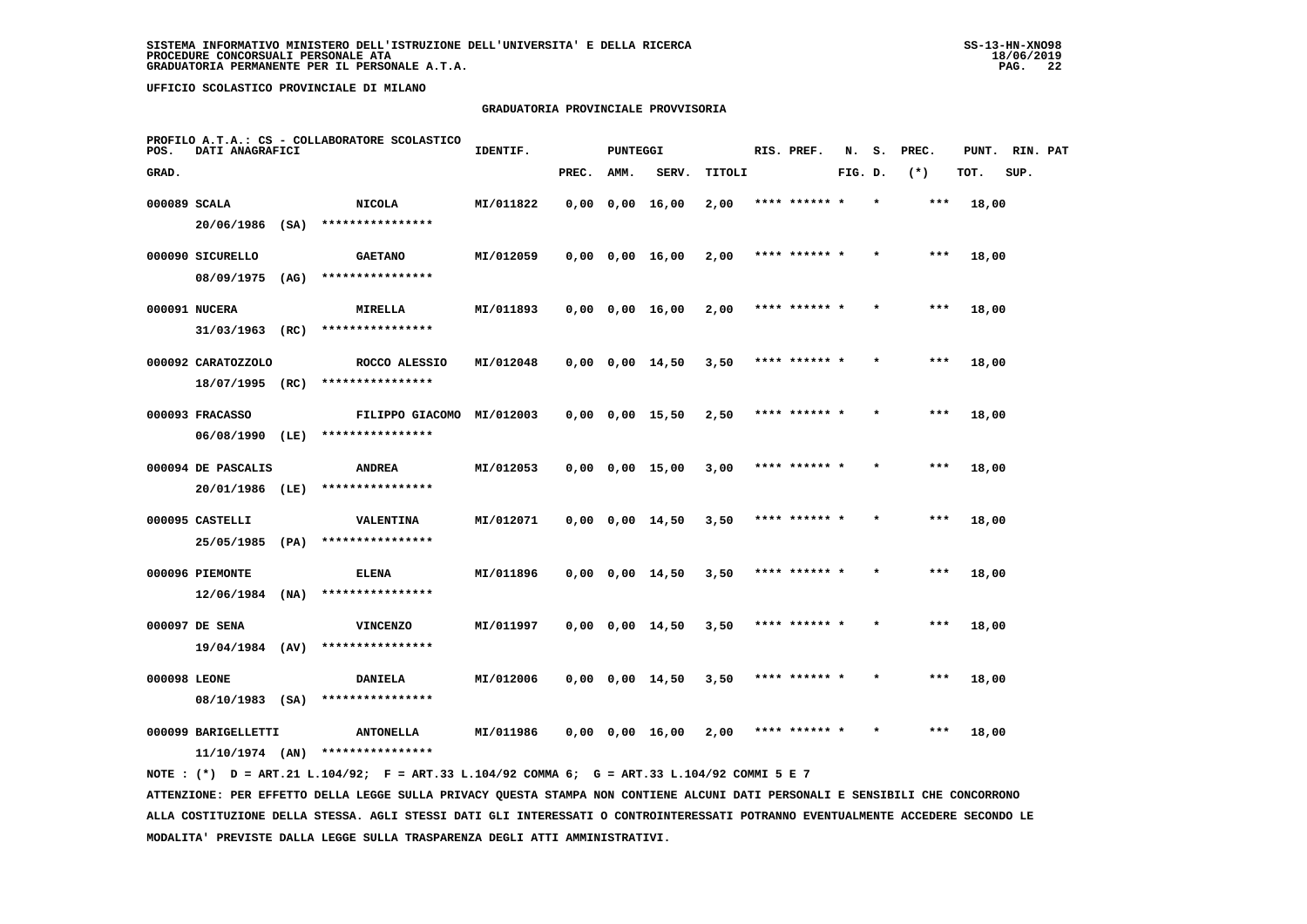# **GRADUATORIA PROVINCIALE PROVVISORIA**

| POS.         | DATI ANAGRAFICI                          |      | PROFILO A.T.A.: CS - COLLABORATORE SCOLASTICO | IDENTIF.  |       | <b>PUNTEGGI</b> |                       |        | RIS. PREF.    | N.      | s. | PREC. | PUNT. | RIN. PAT |  |
|--------------|------------------------------------------|------|-----------------------------------------------|-----------|-------|-----------------|-----------------------|--------|---------------|---------|----|-------|-------|----------|--|
| GRAD.        |                                          |      |                                               |           | PREC. | AMM.            | SERV.                 | TITOLI |               | FIG. D. |    | $(*)$ | TOT.  | SUP.     |  |
| 000089 SCALA |                                          |      | <b>NICOLA</b>                                 | MI/011822 |       |                 | $0,00$ $0,00$ $16,00$ | 2,00   | **** ****** * |         |    | ***   | 18,00 |          |  |
|              | $20/06/1986$ (SA)                        |      | ****************                              |           |       |                 |                       |        |               |         |    |       |       |          |  |
|              | 000090 SICURELLO                         |      | <b>GAETANO</b>                                | MI/012059 |       |                 | $0,00$ $0,00$ $16,00$ | 2,00   | **** ****** * |         |    | $***$ | 18,00 |          |  |
|              | 08/09/1975 (AG)                          |      | ****************                              |           |       |                 |                       |        |               |         |    |       |       |          |  |
|              | 000091 NUCERA                            |      | MIRELLA                                       | MI/011893 |       |                 | $0,00$ $0,00$ $16,00$ | 2,00   | **** ****** * |         |    | $***$ | 18,00 |          |  |
|              | 31/03/1963                               | (RC) | ****************                              |           |       |                 |                       |        |               |         |    |       |       |          |  |
|              | 000092 CARATOZZOLO                       |      | ROCCO ALESSIO                                 | MI/012048 |       |                 | $0,00$ $0,00$ $14,50$ | 3,50   | **** ****** * |         |    | ***   | 18,00 |          |  |
|              | 18/07/1995 (RC)                          |      | ****************                              |           |       |                 |                       |        |               |         |    |       |       |          |  |
|              | 000093 FRACASSO                          |      | FILIPPO GIACOMO MI/012003                     |           |       |                 | $0,00$ $0,00$ $15,50$ | 2,50   | **** ****** * |         |    | $***$ | 18,00 |          |  |
|              | 06/08/1990 (LE)                          |      | ****************                              |           |       |                 |                       |        |               |         |    |       |       |          |  |
|              | 000094 DE PASCALIS                       |      | <b>ANDREA</b>                                 | MI/012053 |       |                 | $0,00$ $0,00$ $15,00$ | 3,00   | **** ****** * |         |    | ***   | 18,00 |          |  |
|              | 20/01/1986 (LE)                          |      | ****************                              |           |       |                 |                       |        |               |         |    |       |       |          |  |
|              | 000095 CASTELLI                          |      | <b>VALENTINA</b><br>****************          | MI/012071 |       |                 | $0,00$ $0,00$ $14,50$ | 3,50   | **** ****** * |         |    | $***$ | 18,00 |          |  |
|              | 25/05/1985                               | (PA) |                                               |           |       |                 |                       |        |               |         |    |       |       |          |  |
|              | 000096 PIEMONTE<br>12/06/1984            | (NA) | <b>ELENA</b><br>****************              | MI/011896 |       |                 | $0,00$ $0,00$ $14,50$ | 3,50   | **** ******   |         |    | ***   | 18,00 |          |  |
|              |                                          |      |                                               |           |       |                 |                       |        |               |         |    |       |       |          |  |
|              | 000097 DE SENA<br>$19/04/1984$ (AV)      |      | <b>VINCENZO</b><br>****************           | MI/011997 |       |                 | $0,00$ $0,00$ $14,50$ | 3,50   | **** ****** * |         |    | $***$ | 18,00 |          |  |
|              |                                          |      |                                               |           |       |                 |                       |        |               |         |    |       |       |          |  |
| 000098 LEONE | 08/10/1983 (SA)                          |      | <b>DANIELA</b><br>****************            | MI/012006 |       |                 | $0,00$ $0,00$ $14,50$ | 3,50   | **** ****** * |         |    | ***   | 18,00 |          |  |
|              |                                          |      |                                               |           |       |                 |                       |        | **** ****** * |         |    | ***   |       |          |  |
|              | 000099 BARIGELLETTI<br>$11/10/1974$ (AN) |      | <b>ANTONELLA</b><br>****************          | MI/011986 |       |                 | $0,00$ $0,00$ $16,00$ | 2,00   |               |         |    |       | 18,00 |          |  |
|              |                                          |      |                                               |           |       |                 |                       |        |               |         |    |       |       |          |  |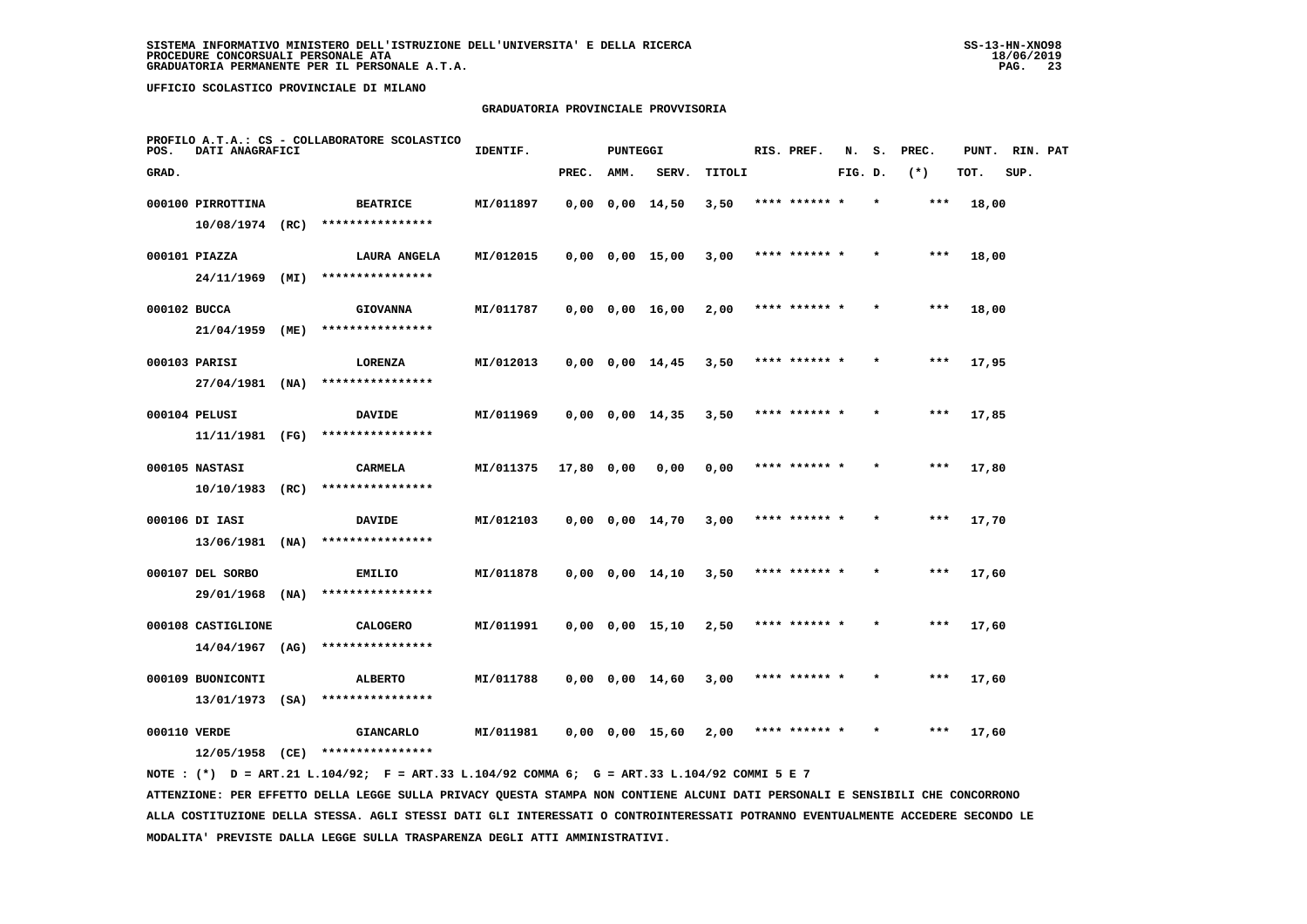# **GRADUATORIA PROVINCIALE PROVVISORIA**

| POS.         | DATI ANAGRAFICI    |      | PROFILO A.T.A.: CS - COLLABORATORE SCOLASTICO | IDENTIF.  |            | PUNTEGGI |                         |        | RIS. PREF.    | N.      | s.      | PREC. | PUNT. | RIN. PAT |  |
|--------------|--------------------|------|-----------------------------------------------|-----------|------------|----------|-------------------------|--------|---------------|---------|---------|-------|-------|----------|--|
| GRAD.        |                    |      |                                               |           | PREC.      | AMM.     | SERV.                   | TITOLI |               | FIG. D. |         | $(*)$ | TOT.  | SUP.     |  |
|              | 000100 PIRROTTINA  |      | <b>BEATRICE</b>                               | MI/011897 |            |          | $0.00 \t 0.00 \t 14.50$ | 3,50   | **** ****** * |         | $\star$ | $***$ | 18,00 |          |  |
|              | $10/08/1974$ (RC)  |      | ****************                              |           |            |          |                         |        |               |         |         |       |       |          |  |
|              | 000101 PIAZZA      |      | LAURA ANGELA                                  | MI/012015 |            |          | $0,00$ $0,00$ $15,00$   | 3,00   | **** ****** * |         |         | ***   | 18,00 |          |  |
|              | 24/11/1969 (MI)    |      | ****************                              |           |            |          |                         |        |               |         |         |       |       |          |  |
| 000102 BUCCA |                    |      | <b>GIOVANNA</b>                               | MI/011787 |            |          | $0,00$ $0,00$ $16,00$   | 2,00   | **** ****** * |         |         | ***   | 18,00 |          |  |
|              | 21/04/1959         | (ME) | ****************                              |           |            |          |                         |        |               |         |         |       |       |          |  |
|              | 000103 PARISI      |      | LORENZA                                       | MI/012013 |            |          | $0,00$ $0,00$ $14,45$   | 3,50   | **** ****** * |         |         | $***$ | 17,95 |          |  |
|              | $27/04/1981$ (NA)  |      | ****************                              |           |            |          |                         |        |               |         |         |       |       |          |  |
|              | 000104 PELUSI      |      | <b>DAVIDE</b>                                 | MI/011969 |            |          | $0,00$ $0,00$ $14,35$   | 3,50   | **** ****** * |         |         | ***   | 17,85 |          |  |
|              | 11/11/1981 (FG)    |      | ****************                              |           |            |          |                         |        |               |         |         |       |       |          |  |
|              | 000105 NASTASI     |      | <b>CARMELA</b>                                | MI/011375 | 17,80 0,00 |          | 0,00                    | 0,00   | **** ****** * |         | $\star$ | ***   | 17,80 |          |  |
|              | 10/10/1983         | (RC) | ****************                              |           |            |          |                         |        |               |         |         |       |       |          |  |
|              | 000106 DI IASI     |      | <b>DAVIDE</b>                                 | MI/012103 |            |          | $0,00$ $0,00$ $14,70$   | 3,00   |               |         |         |       | 17,70 |          |  |
|              | 13/06/1981         | (NA) | ****************                              |           |            |          |                         |        |               |         |         |       |       |          |  |
|              | 000107 DEL SORBO   |      | EMILIO                                        | MI/011878 |            |          | $0,00$ $0,00$ $14,10$   | 3,50   | **** ****** * |         |         | $***$ | 17,60 |          |  |
|              | 29/01/1968         | (NA) | ****************                              |           |            |          |                         |        |               |         |         |       |       |          |  |
|              | 000108 CASTIGLIONE |      | <b>CALOGERO</b>                               | MI/011991 |            |          | $0,00$ $0,00$ $15,10$   | 2,50   | **** ****** * |         |         | $***$ | 17,60 |          |  |
|              | 14/04/1967         | (AG) | ****************                              |           |            |          |                         |        |               |         |         |       |       |          |  |
|              | 000109 BUONICONTI  |      | <b>ALBERTO</b>                                | MI/011788 |            |          | $0,00$ $0,00$ $14,60$   | 3,00   | **** ****** * |         |         | $***$ | 17,60 |          |  |
|              | $13/01/1973$ (SA)  |      | ****************                              |           |            |          |                         |        |               |         |         |       |       |          |  |
| 000110 VERDE | 12/05/1958         |      | <b>GIANCARLO</b><br>****************          | MI/011981 |            |          | 0,00 0,00 15,60         | 2,00   |               |         |         | ***   | 17,60 |          |  |
|              |                    | (CE) |                                               |           |            |          |                         |        |               |         |         |       |       |          |  |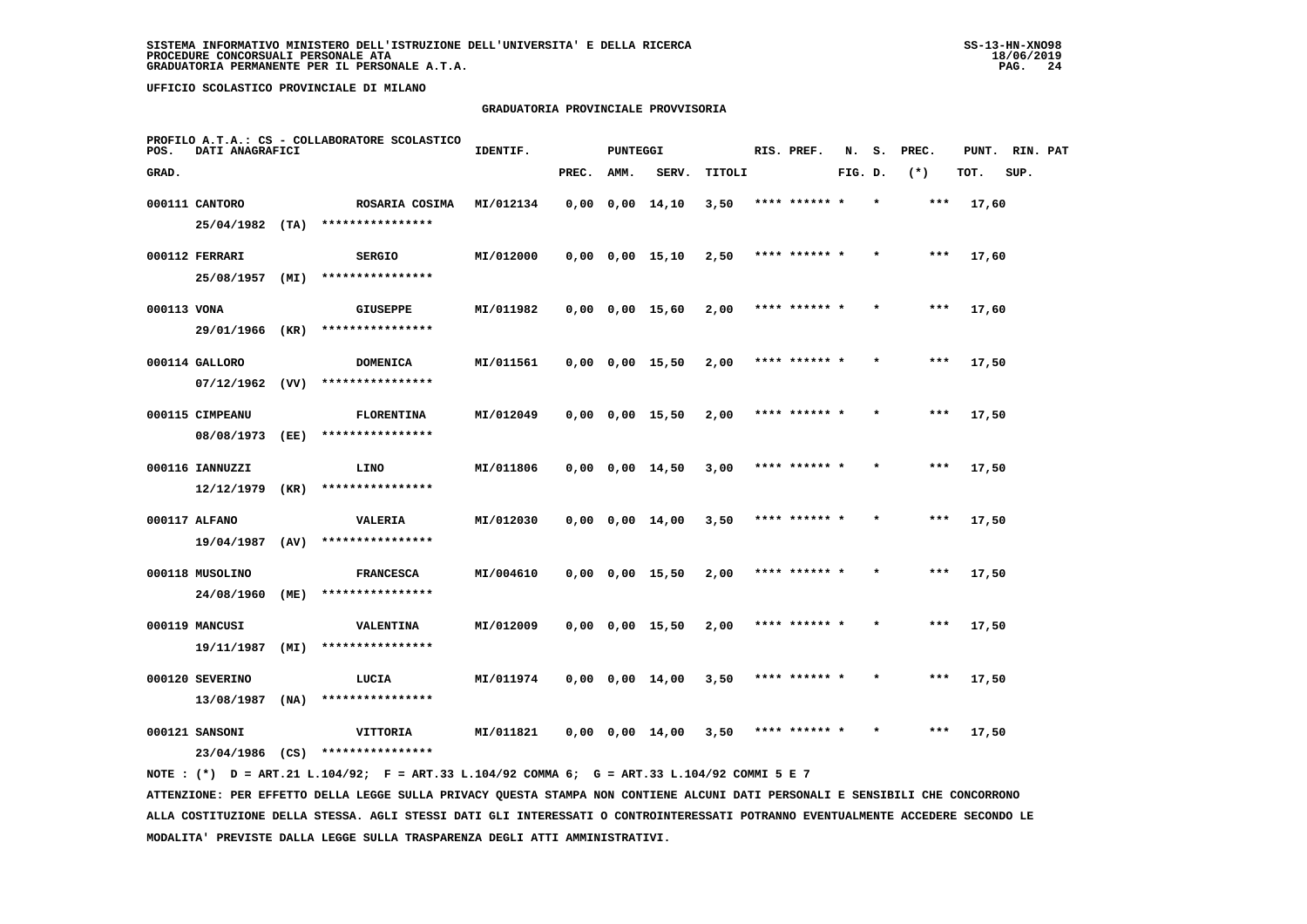# **GRADUATORIA PROVINCIALE PROVVISORIA**

| POS.        | DATI ANAGRAFICI                            |              | PROFILO A.T.A.: CS - COLLABORATORE SCOLASTICO    | IDENTIF.  |       | PUNTEGGI |                       |        | RIS. PREF.    | N.      |         | S. PREC. |       | PUNT. RIN. PAT |  |
|-------------|--------------------------------------------|--------------|--------------------------------------------------|-----------|-------|----------|-----------------------|--------|---------------|---------|---------|----------|-------|----------------|--|
| GRAD.       |                                            |              |                                                  |           | PREC. | AMM.     | SERV.                 | TITOLI |               | FIG. D. |         | $(*)$    | TOT.  | SUP.           |  |
|             | 000111 CANTORO<br>$25/04/1982$ (TA)        |              | ROSARIA COSIMA<br>****************               | MI/012134 |       |          | $0,00$ $0,00$ $14,10$ | 3,50   | **** ******   |         |         | $***$    | 17,60 |                |  |
|             | 000112 FERRARI                             |              | <b>SERGIO</b><br>****************                | MI/012000 |       |          | $0,00$ $0,00$ $15,10$ | 2,50   | **** ****** * |         |         | $***$    | 17,60 |                |  |
| 000113 VONA | 25/08/1957                                 | (MI)         | <b>GIUSEPPE</b>                                  | MI/011982 |       |          | 0,00 0,00 15,60       | 2,00   | **** ****** * |         | $\star$ | $***$    | 17,60 |                |  |
|             | 29/01/1966<br>000114 GALLORO               | (KR)         | ****************<br><b>DOMENICA</b>              | MI/011561 |       |          | $0,00$ $0,00$ $15,50$ | 2,00   | **** ****** * |         |         | $***$    | 17,50 |                |  |
|             | $07/12/1962$ (VV)<br>000115 CIMPEANU       |              | ****************<br><b>FLORENTINA</b>            | MI/012049 |       |          | $0,00$ $0,00$ $15,50$ | 2,00   | **** ****** * |         | $\star$ | $***$    | 17,50 |                |  |
|             | 08/08/1973                                 | (EE)         | ****************                                 |           |       |          |                       |        |               |         |         |          |       |                |  |
|             | 000116 IANNUZZI<br>12/12/1979              | (KR)         | LINO<br>****************                         | MI/011806 |       |          | $0,00$ $0,00$ $14,50$ | 3,00   | **** ****** * |         | $\star$ | ***      | 17,50 |                |  |
|             | 000117 ALFANO<br>19/04/1987 (AV)           |              | VALERIA<br>****************                      | MI/012030 |       |          | $0,00$ $0,00$ $14,00$ | 3,50   |               |         |         | $***$    | 17,50 |                |  |
|             | 000118 MUSOLINO<br>24/08/1960              | (ME)         | <b>FRANCESCA</b><br>****************             | MI/004610 |       |          | $0,00$ $0,00$ $15,50$ | 2,00   | **** ****** * |         |         | $***$    | 17,50 |                |  |
|             | 000119 MANCUSI<br>19/11/1987               | (MI)         | VALENTINA<br>****************                    | MI/012009 |       |          | $0,00$ $0,00$ $15,50$ | 2,00   | **** ****** * |         | $\star$ | $***$    | 17,50 |                |  |
|             | 000120 SEVERINO                            |              | LUCIA                                            | MI/011974 |       |          | $0,00$ $0,00$ $14,00$ | 3,50   | **** ****** * |         |         | $***$    | 17,50 |                |  |
|             | 13/08/1987<br>000121 SANSONI<br>23/04/1986 | (NA)<br>(CS) | ****************<br>VITTORIA<br>**************** | MI/011821 |       |          | $0,00$ $0,00$ $14,00$ | 3,50   | **** ****** * |         |         | $***$    | 17,50 |                |  |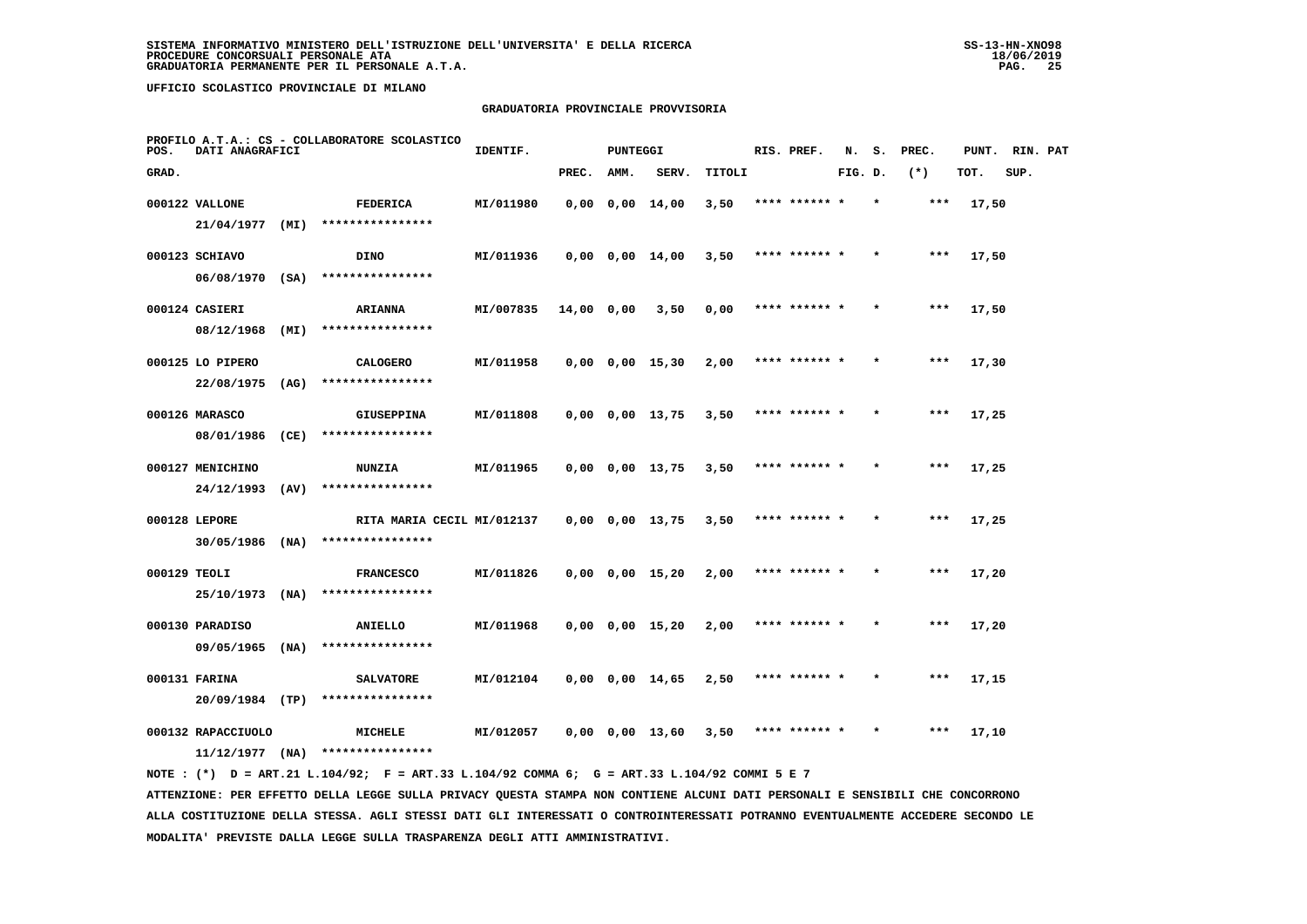# **GRADUATORIA PROVINCIALE PROVVISORIA**

| POS.         | DATI ANAGRAFICI                         |      | PROFILO A.T.A.: CS - COLLABORATORE SCOLASTICO | IDENTIF.  |            | PUNTEGGI |                       |        | RIS. PREF.    | N.      | s.      | PREC. | PUNT. | RIN. PAT |  |
|--------------|-----------------------------------------|------|-----------------------------------------------|-----------|------------|----------|-----------------------|--------|---------------|---------|---------|-------|-------|----------|--|
| GRAD.        |                                         |      |                                               |           | PREC.      | AMM.     | SERV.                 | TITOLI |               | FIG. D. |         | $(*)$ | TOT.  | SUP.     |  |
|              | 000122 VALLONE                          |      | FEDERICA                                      | MI/011980 |            |          | 0,00 0,00 14,00       | 3,50   | **** ****** * |         | $\star$ | ***   | 17,50 |          |  |
|              | 21/04/1977 (MI)                         |      | ****************                              |           |            |          |                       |        |               |         |         |       |       |          |  |
|              | 000123 SCHIAVO                          |      | <b>DINO</b>                                   | MI/011936 |            |          | $0,00$ $0,00$ $14,00$ | 3,50   | **** ****** * |         |         | ***   | 17,50 |          |  |
|              | 06/08/1970 (SA)                         |      | ****************                              |           |            |          |                       |        |               |         |         |       |       |          |  |
|              | 000124 CASIERI                          |      | <b>ARIANNA</b>                                | MI/007835 | 14,00 0,00 |          | 3,50                  | 0,00   | **** ****** * |         |         | ***   | 17,50 |          |  |
|              | 08/12/1968                              | (MI) | ****************                              |           |            |          |                       |        |               |         |         |       |       |          |  |
|              | 000125 LO PIPERO                        |      | <b>CALOGERO</b>                               | MI/011958 |            |          | $0,00$ $0,00$ $15,30$ | 2,00   | **** ****** * |         |         | ***   | 17,30 |          |  |
|              | 22/08/1975                              | (AG) | ****************                              |           |            |          |                       |        |               |         |         |       |       |          |  |
|              | 000126 MARASCO                          |      | <b>GIUSEPPINA</b>                             | MI/011808 |            |          | 0,00 0,00 13,75       | 3,50   | **** ****** * |         |         | ***   | 17,25 |          |  |
|              | 08/01/1986                              | (CE) | ****************                              |           |            |          |                       |        |               |         |         |       |       |          |  |
|              | 000127 MENICHINO                        |      | <b>NUNZIA</b>                                 | MI/011965 |            |          | $0,00$ $0,00$ $13,75$ | 3,50   | **** ****** * |         |         | ***   | 17,25 |          |  |
|              | 24/12/1993                              | (AV) | ****************                              |           |            |          |                       |        |               |         |         |       |       |          |  |
|              | 000128 LEPORE                           |      | RITA MARIA CECIL MI/012137                    |           |            |          | 0,00 0,00 13,75       | 3,50   | **** ****** * |         |         | ***   | 17,25 |          |  |
|              | $30/05/1986$ (NA)                       |      | ****************                              |           |            |          |                       |        |               |         |         |       |       |          |  |
| 000129 TEOLI |                                         |      | <b>FRANCESCO</b><br>****************          | MI/011826 |            |          | $0,00$ $0,00$ $15,20$ | 2,00   | **** ****** * |         |         | ***   | 17,20 |          |  |
|              | 25/10/1973 (NA)                         |      |                                               |           |            |          |                       |        |               |         |         |       |       |          |  |
|              | 000130 PARADISO<br>$09/05/1965$ (NA)    |      | ANIELLO<br>****************                   | MI/011968 |            |          | $0,00$ $0,00$ $15,20$ | 2,00   | **** ******   |         |         | ***   | 17,20 |          |  |
|              |                                         |      |                                               |           |            |          |                       |        |               |         |         |       |       |          |  |
|              | 000131 FARINA<br>20/09/1984 (TP)        |      | <b>SALVATORE</b><br>****************          | MI/012104 |            |          | 0,00 0,00 14,65       | 2,50   | **** ****** * |         |         | ***   | 17,15 |          |  |
|              |                                         |      |                                               |           |            |          |                       |        |               |         |         |       |       |          |  |
|              | 000132 RAPACCIUOLO<br>$11/12/1977$ (NA) |      | MICHELE<br>****************                   | MI/012057 |            |          | 0,00 0,00 13,60       | 3,50   | **** ****** * |         | $\star$ | ***   | 17,10 |          |  |
|              |                                         |      |                                               |           |            |          |                       |        |               |         |         |       |       |          |  |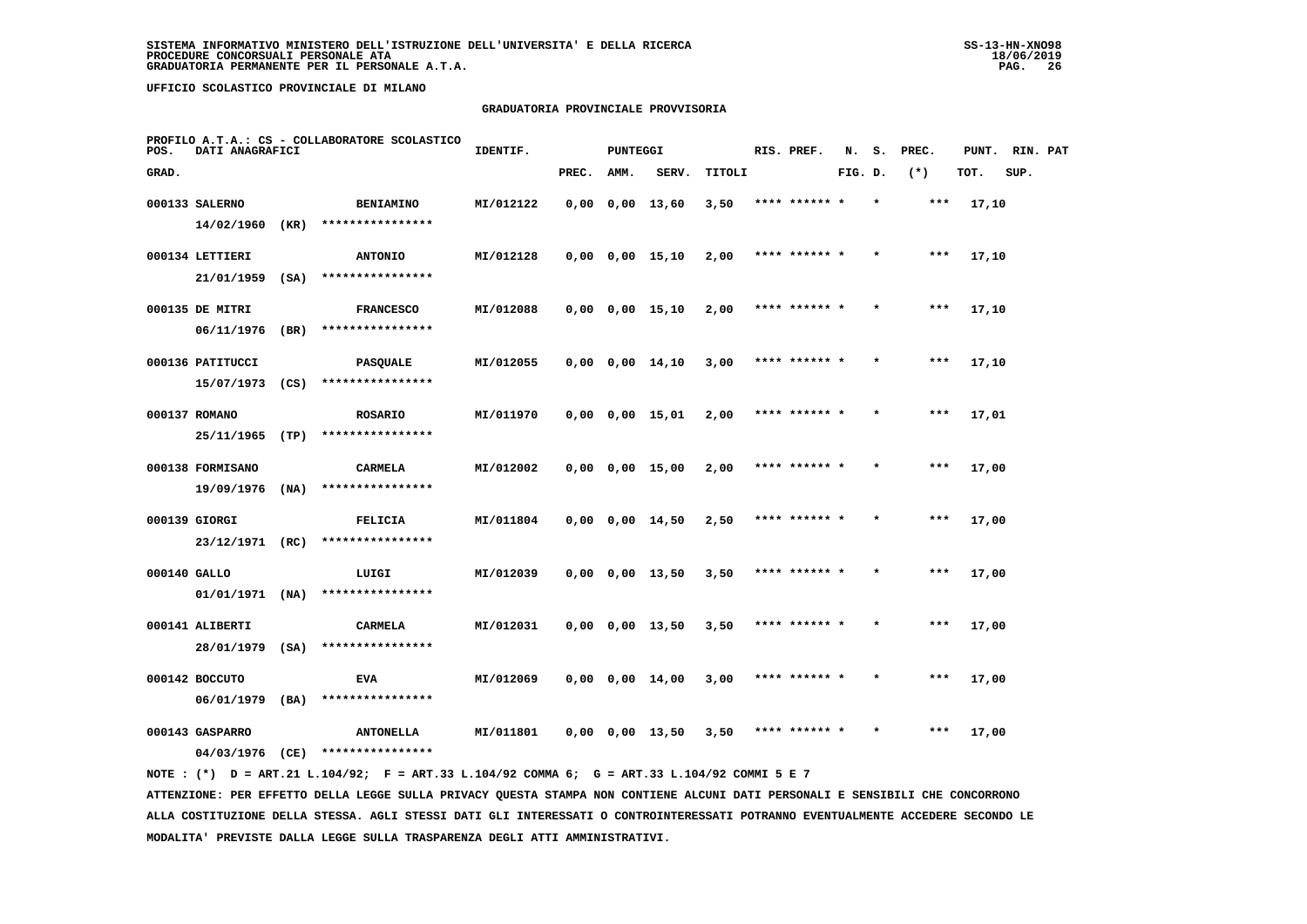# **GRADUATORIA PROVINCIALE PROVVISORIA**

| POS.         | DATI ANAGRAFICI   |      | PROFILO A.T.A.: CS - COLLABORATORE SCOLASTICO | IDENTIF.  |       | <b>PUNTEGGI</b> |                       |        | RIS. PREF.    | N.      | s. | PREC. | PUNT. | RIN. PAT |  |
|--------------|-------------------|------|-----------------------------------------------|-----------|-------|-----------------|-----------------------|--------|---------------|---------|----|-------|-------|----------|--|
| GRAD.        |                   |      |                                               |           | PREC. | AMM.            | SERV.                 | TITOLI |               | FIG. D. |    | $(*)$ | TOT.  | SUP.     |  |
|              | 000133 SALERNO    |      | <b>BENIAMINO</b>                              | MI/012122 |       |                 | $0,00$ $0,00$ $13,60$ | 3,50   | **** ****** * |         |    | ***   | 17,10 |          |  |
|              | 14/02/1960        | (KR) | ****************                              |           |       |                 |                       |        |               |         |    |       |       |          |  |
|              | 000134 LETTIERI   |      | <b>ANTONIO</b>                                | MI/012128 |       |                 | $0,00$ $0,00$ $15,10$ | 2,00   | **** ****** * |         |    | ***   | 17,10 |          |  |
|              | 21/01/1959        | (SA) | ****************                              |           |       |                 |                       |        |               |         |    |       |       |          |  |
|              | 000135 DE MITRI   |      | <b>FRANCESCO</b>                              | MI/012088 |       |                 | $0,00$ $0,00$ $15,10$ | 2,00   | **** ****** * |         |    | ***   | 17,10 |          |  |
|              | 06/11/1976        | (BR) | ****************                              |           |       |                 |                       |        |               |         |    |       |       |          |  |
|              | 000136 PATITUCCI  |      | <b>PASQUALE</b>                               | MI/012055 |       |                 | $0,00$ $0,00$ $14,10$ | 3,00   | **** ****** * |         |    | ***   | 17,10 |          |  |
|              | 15/07/1973        | (CS) | ****************                              |           |       |                 |                       |        |               |         |    |       |       |          |  |
|              | 000137 ROMANO     |      | <b>ROSARIO</b>                                | MI/011970 |       |                 | $0,00$ $0,00$ $15,01$ | 2,00   | **** ****** * |         |    | $***$ | 17,01 |          |  |
|              | 25/11/1965        | (TP) | ****************                              |           |       |                 |                       |        |               |         |    |       |       |          |  |
|              | 000138 FORMISANO  |      | <b>CARMELA</b>                                | MI/012002 |       |                 | $0,00$ $0,00$ $15,00$ | 2,00   | **** ****** * |         |    | $***$ | 17,00 |          |  |
|              | 19/09/1976        | (NA) | ****************                              |           |       |                 |                       |        |               |         |    |       |       |          |  |
|              | 000139 GIORGI     |      | <b>FELICIA</b>                                | MI/011804 |       |                 | $0,00$ $0,00$ $14,50$ | 2,50   | **** ****** * |         |    | ***   | 17,00 |          |  |
|              | 23/12/1971 (RC)   |      | ****************                              |           |       |                 |                       |        |               |         |    |       |       |          |  |
| 000140 GALLO |                   |      | LUIGI                                         | MI/012039 |       |                 | $0,00$ $0,00$ $13,50$ | 3,50   | **** ****** * |         |    | ***   | 17,00 |          |  |
|              | $01/01/1971$ (NA) |      | ****************                              |           |       |                 |                       |        |               |         |    |       |       |          |  |
|              | 000141 ALIBERTI   |      | CARMELA                                       | MI/012031 |       |                 | $0,00$ $0,00$ $13,50$ | 3,50   | **** ****** * |         |    | $***$ | 17,00 |          |  |
|              | 28/01/1979        | (SA) | ****************                              |           |       |                 |                       |        |               |         |    |       |       |          |  |
|              | 000142 BOCCUTO    |      | <b>EVA</b>                                    | MI/012069 |       |                 | $0,00$ $0,00$ $14,00$ | 3,00   | **** ****** * |         |    | $***$ | 17,00 |          |  |
|              | 06/01/1979        | (BA) | ****************                              |           |       |                 |                       |        |               |         |    |       |       |          |  |
|              | 000143 GASPARRO   |      | <b>ANTONELLA</b>                              | MI/011801 |       |                 | $0,00$ $0,00$ $13,50$ | 3,50   | **** ****** * |         |    | $***$ | 17,00 |          |  |
|              | 04/03/1976        | (CE) | ****************                              |           |       |                 |                       |        |               |         |    |       |       |          |  |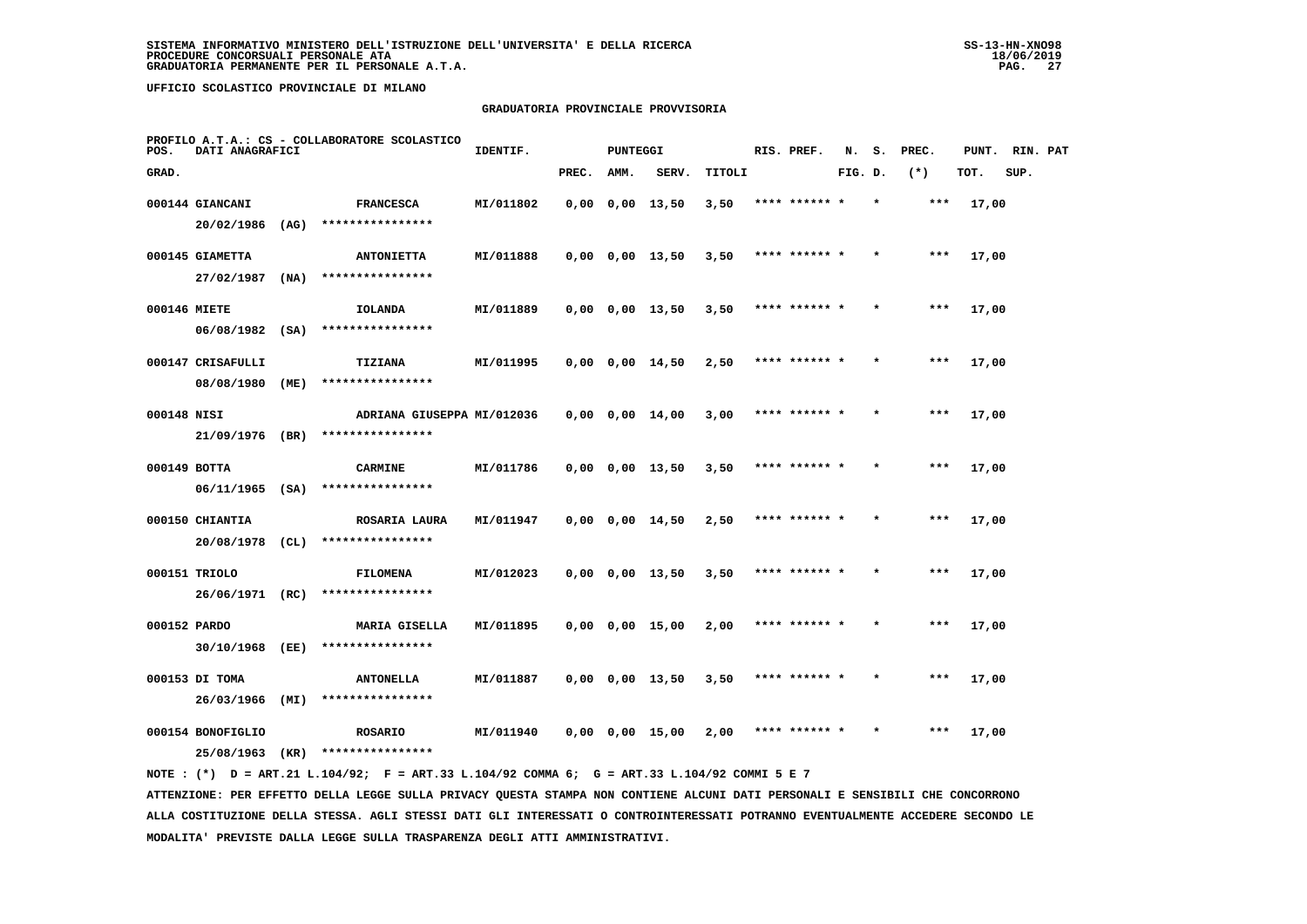# **GRADUATORIA PROVINCIALE PROVVISORIA**

| POS.  | DATI ANAGRAFICI                  |      | PROFILO A.T.A.: CS - COLLABORATORE SCOLASTICO | IDENTIF.  |       | <b>PUNTEGGI</b> |                         |        | RIS. PREF.    | N.      | s.      | PREC.   | PUNT. | RIN. PAT |  |
|-------|----------------------------------|------|-----------------------------------------------|-----------|-------|-----------------|-------------------------|--------|---------------|---------|---------|---------|-------|----------|--|
| GRAD. |                                  |      |                                               |           | PREC. | AMM.            | SERV.                   | TITOLI |               | FIG. D. |         | $(*)$   | TOT.  | SUP.     |  |
|       | 000144 GIANCANI                  |      | <b>FRANCESCA</b>                              | MI/011802 |       |                 | $0,00$ $0,00$ $13,50$   | 3,50   | **** ****** * |         | $\star$ | ***     | 17,00 |          |  |
|       | 20/02/1986                       | (AG) | ****************                              |           |       |                 |                         |        |               |         |         |         |       |          |  |
|       | 000145 GIAMETTA                  |      | <b>ANTONIETTA</b>                             | MI/011888 |       |                 | $0,00$ $0,00$ $13,50$   | 3,50   | **** ******   |         |         | ***     | 17,00 |          |  |
|       | 27/02/1987                       | (NA) | ****************                              |           |       |                 |                         |        |               |         |         |         |       |          |  |
|       | 000146 MIETE                     |      | IOLANDA                                       | MI/011889 |       |                 | $0,00$ $0,00$ $13,50$   | 3,50   | **** ****** * |         |         | $***$   | 17,00 |          |  |
|       | $06/08/1982$ (SA)                |      | ****************                              |           |       |                 |                         |        |               |         |         |         |       |          |  |
|       | 000147 CRISAFULLI                |      | TIZIANA                                       | MI/011995 |       |                 | 0,00 0,00 14,50         | 2,50   | **** ****** * |         | $\star$ | $* * *$ | 17,00 |          |  |
|       | 08/08/1980                       | (ME) | ****************                              |           |       |                 |                         |        |               |         |         |         |       |          |  |
|       | 000148 NISI                      |      | ADRIANA GIUSEPPA MI/012036                    |           |       |                 | $0,00$ $0,00$ $14,00$   | 3,00   | **** ****** * |         |         | $***$   | 17,00 |          |  |
|       | 21/09/1976 (BR)                  |      | ****************                              |           |       |                 |                         |        |               |         |         |         |       |          |  |
|       | 000149 BOTTA                     |      | <b>CARMINE</b>                                | MI/011786 |       |                 | $0,00$ $0,00$ $13,50$   | 3,50   | **** ****** * |         |         | $***$   | 17,00 |          |  |
|       | $06/11/1965$ (SA)                |      | ****************                              |           |       |                 |                         |        |               |         |         |         |       |          |  |
|       | 000150 CHIANTIA                  |      | ROSARIA LAURA<br>****************             | MI/011947 |       |                 | $0,00$ $0,00$ $14,50$   | 2,50   | **** ****** * |         |         | $***$   | 17,00 |          |  |
|       | 20/08/1978 (CL)                  |      |                                               |           |       |                 |                         |        |               |         |         |         |       |          |  |
|       | 000151 TRIOLO<br>26/06/1971 (RC) |      | <b>FILOMENA</b><br>****************           | MI/012023 |       |                 | $0.00 \t 0.00 \t 13.50$ | 3,50   | **** ****** * |         |         | ***     | 17,00 |          |  |
|       |                                  |      |                                               |           |       |                 |                         |        |               |         |         |         |       |          |  |
|       | 000152 PARDO<br>30/10/1968 (EE)  |      | <b>MARIA GISELLA</b><br>****************      | MI/011895 |       |                 | $0,00$ $0,00$ $15,00$   | 2,00   | **** ****** * |         |         | ***     | 17,00 |          |  |
|       |                                  |      |                                               |           |       |                 |                         |        |               |         |         |         |       |          |  |
|       | 000153 DI TOMA<br>26/03/1966     | (MI) | <b>ANTONELLA</b><br>****************          | MI/011887 |       |                 | $0,00$ $0,00$ $13,50$   | 3,50   | **** ****** * |         |         | ***     | 17,00 |          |  |
|       |                                  |      |                                               |           |       |                 |                         |        | **** ****** * |         |         | ***     |       |          |  |
|       | 000154 BONOFIGLIO<br>25/08/1963  | (KR) | <b>ROSARIO</b><br>****************            | MI/011940 |       |                 | $0,00$ $0,00$ $15,00$   | 2,00   |               |         |         |         | 17,00 |          |  |
|       |                                  |      |                                               |           |       |                 |                         |        |               |         |         |         |       |          |  |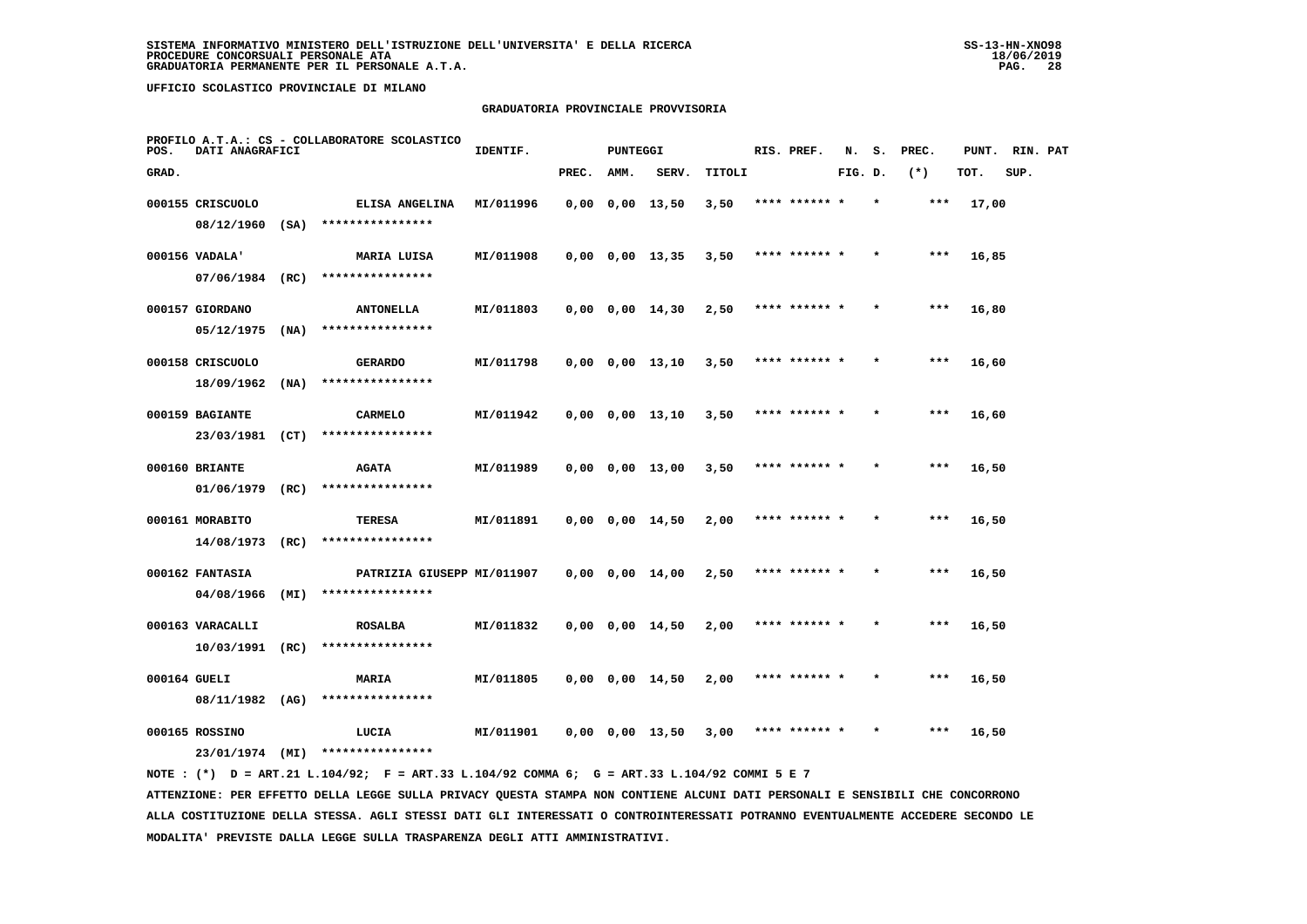# **GRADUATORIA PROVINCIALE PROVVISORIA**

| POS.         | DATI ANAGRAFICI   |      | PROFILO A.T.A.: CS - COLLABORATORE SCOLASTICO | IDENTIF.  |       | <b>PUNTEGGI</b> |                       |        | RIS. PREF.    | N.      | s.      | PREC. | PUNT. | RIN. PAT |  |
|--------------|-------------------|------|-----------------------------------------------|-----------|-------|-----------------|-----------------------|--------|---------------|---------|---------|-------|-------|----------|--|
| GRAD.        |                   |      |                                               |           | PREC. | AMM.            | SERV.                 | TITOLI |               | FIG. D. |         | $(*)$ | TOT.  | SUP.     |  |
|              | 000155 CRISCUOLO  |      | ELISA ANGELINA                                | MI/011996 |       |                 | $0,00$ $0,00$ $13,50$ | 3,50   | **** ****** * |         |         | ***   | 17,00 |          |  |
|              | $08/12/1960$ (SA) |      | ****************                              |           |       |                 |                       |        |               |         |         |       |       |          |  |
|              | 000156 VADALA'    |      | MARIA LUISA                                   | MI/011908 |       |                 | $0,00$ $0,00$ $13,35$ | 3,50   | **** ****** * |         |         | $***$ | 16,85 |          |  |
|              | $07/06/1984$ (RC) |      | ****************                              |           |       |                 |                       |        |               |         |         |       |       |          |  |
|              | 000157 GIORDANO   |      | <b>ANTONELLA</b>                              | MI/011803 |       |                 | $0,00$ $0,00$ $14,30$ | 2,50   | **** ****** * |         |         | $***$ | 16,80 |          |  |
|              | 05/12/1975        | (NA) | ****************                              |           |       |                 |                       |        |               |         |         |       |       |          |  |
|              | 000158 CRISCUOLO  |      | <b>GERARDO</b>                                | MI/011798 |       |                 | $0,00$ $0,00$ $13,10$ | 3,50   | **** ****** * |         |         | ***   | 16,60 |          |  |
|              | 18/09/1962        | (NA) | ****************                              |           |       |                 |                       |        |               |         |         |       |       |          |  |
|              | 000159 BAGIANTE   |      | CARMELO                                       | MI/011942 |       |                 | 0,00 0,00 13,10       | 3,50   | **** ****** * |         |         | $***$ | 16,60 |          |  |
|              | 23/03/1981        | (CT) | ****************                              |           |       |                 |                       |        |               |         |         |       |       |          |  |
|              | 000160 BRIANTE    |      | <b>AGATA</b>                                  | MI/011989 |       |                 | $0,00$ $0,00$ $13,00$ | 3,50   | **** ****** * |         |         | ***   | 16,50 |          |  |
|              | $01/06/1979$ (RC) |      | ****************                              |           |       |                 |                       |        |               |         |         |       |       |          |  |
|              | 000161 MORABITO   |      | TERESA                                        | MI/011891 |       |                 | 0,00 0,00 14,50       | 2,00   | **** ****** * |         | $\star$ | ***   | 16,50 |          |  |
|              | 14/08/1973        | (RC) | ****************                              |           |       |                 |                       |        |               |         |         |       |       |          |  |
|              | 000162 FANTASIA   |      | PATRIZIA GIUSEPP MI/011907                    |           |       |                 | $0,00$ $0,00$ $14,00$ | 2,50   | **** ****** * |         |         | ***   | 16,50 |          |  |
|              | 04/08/1966        | (MI) | ****************                              |           |       |                 |                       |        |               |         |         |       |       |          |  |
|              | 000163 VARACALLI  |      | <b>ROSALBA</b>                                | MI/011832 |       |                 | $0,00$ $0,00$ $14,50$ | 2,00   | **** ****** * |         |         | ***   | 16,50 |          |  |
|              | $10/03/1991$ (RC) |      | ****************                              |           |       |                 |                       |        |               |         |         |       |       |          |  |
| 000164 GUELI |                   |      | <b>MARIA</b>                                  | MI/011805 |       |                 | $0,00$ $0,00$ $14,50$ | 2,00   | **** ****** * |         |         | $***$ | 16,50 |          |  |
|              | 08/11/1982 (AG)   |      | ****************                              |           |       |                 |                       |        |               |         |         |       |       |          |  |
|              | 000165 ROSSINO    |      | LUCIA                                         | MI/011901 |       |                 | $0,00$ $0,00$ $13,50$ | 3,00   | **** ****** * |         |         | ***   | 16,50 |          |  |
|              | 23/01/1974 (MI)   |      | ****************                              |           |       |                 |                       |        |               |         |         |       |       |          |  |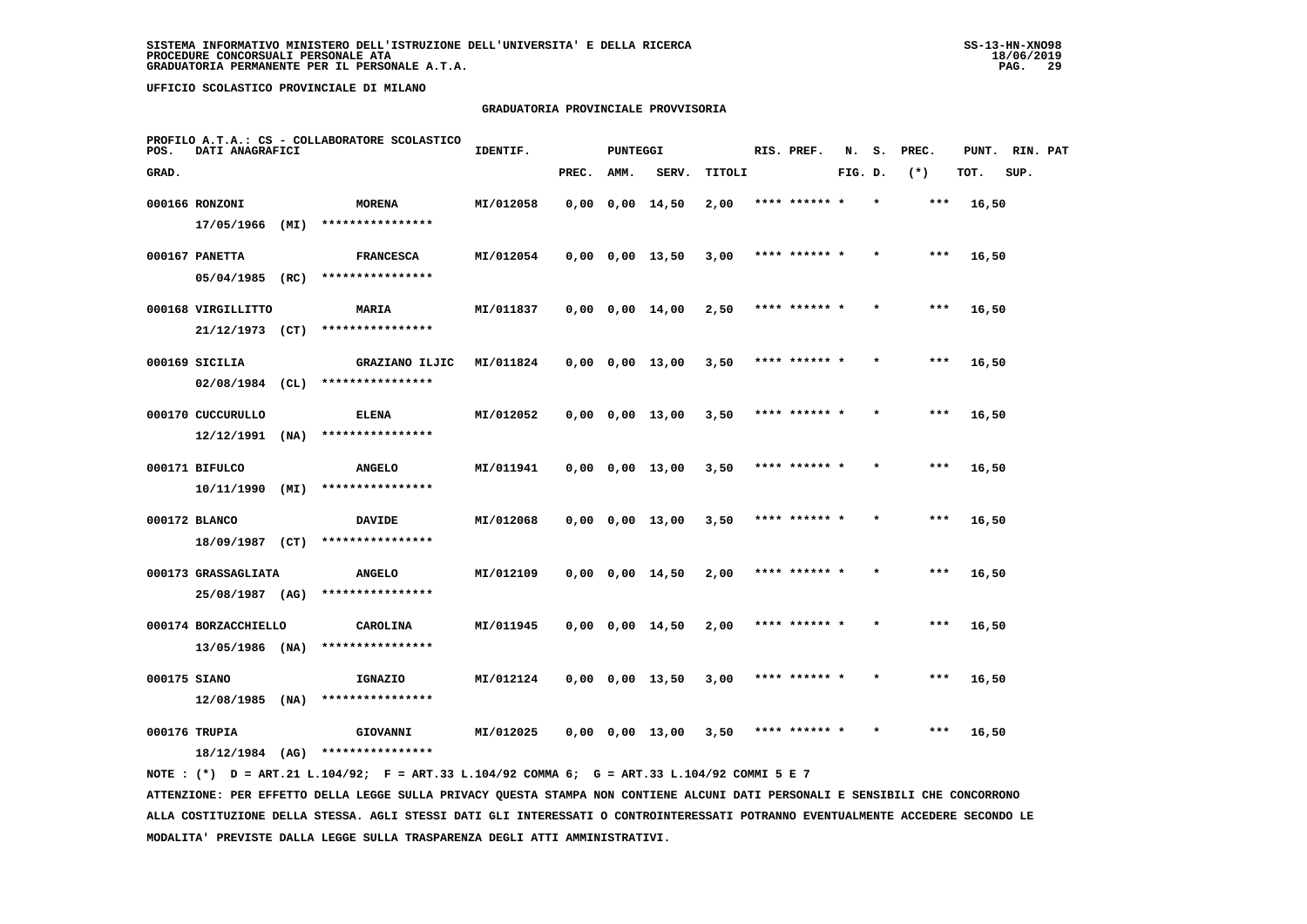# **GRADUATORIA PROVINCIALE PROVVISORIA**

| POS.  | DATI ANAGRAFICI                         |      | PROFILO A.T.A.: CS - COLLABORATORE SCOLASTICO | IDENTIF.  |       | <b>PUNTEGGI</b> |                         |        | RIS. PREF.    | N.      | s.      | PREC. | PUNT. | RIN. PAT |  |
|-------|-----------------------------------------|------|-----------------------------------------------|-----------|-------|-----------------|-------------------------|--------|---------------|---------|---------|-------|-------|----------|--|
| GRAD. |                                         |      |                                               |           | PREC. | AMM.            | SERV.                   | TITOLI |               | FIG. D. |         | $(*)$ | TOT.  | SUP.     |  |
|       | 000166 RONZONI                          |      | <b>MORENA</b>                                 | MI/012058 |       |                 | $0,00$ $0,00$ $14,50$   | 2,00   | **** ****** * |         | $\star$ | $***$ | 16,50 |          |  |
|       | 17/05/1966                              | (MI) | ****************                              |           |       |                 |                         |        |               |         |         |       |       |          |  |
|       | 000167 PANETTA                          |      | <b>FRANCESCA</b>                              | MI/012054 |       |                 | $0,00$ $0,00$ $13,50$   | 3,00   | **** ****** * |         |         | $***$ | 16,50 |          |  |
|       | $05/04/1985$ (RC)                       |      | ****************                              |           |       |                 |                         |        |               |         |         |       |       |          |  |
|       | 000168 VIRGILLITTO                      |      | MARIA                                         | MI/011837 |       |                 | $0,00$ $0,00$ $14,00$   | 2,50   | **** ****** * |         |         | $***$ | 16,50 |          |  |
|       | 21/12/1973 (CT)                         |      | ****************                              |           |       |                 |                         |        |               |         |         |       |       |          |  |
|       | 000169 SICILIA                          |      | GRAZIANO ILJIC                                | MI/011824 |       |                 | $0,00$ $0,00$ $13,00$   | 3,50   | **** ****** * |         |         | $***$ | 16,50 |          |  |
|       | $02/08/1984$ (CL)                       |      | ****************                              |           |       |                 |                         |        |               |         |         |       |       |          |  |
|       | 000170 CUCCURULLO                       |      | <b>ELENA</b>                                  | MI/012052 |       |                 | $0,00$ $0,00$ $13,00$   | 3,50   | **** ****** * |         |         | $***$ | 16,50 |          |  |
|       | 12/12/1991                              | (NA) | ****************                              |           |       |                 |                         |        |               |         |         |       |       |          |  |
|       | 000171 BIFULCO                          |      | <b>ANGELO</b>                                 | MI/011941 |       |                 | 0,00 0,00 13,00         | 3,50   | **** ****** * |         |         | ***   | 16,50 |          |  |
|       | 10/11/1990                              | (MI) | ****************                              |           |       |                 |                         |        |               |         |         |       |       |          |  |
|       | 000172 BLANCO                           |      | <b>DAVIDE</b>                                 | MI/012068 |       |                 | 0,00 0,00 13,00         | 3,50   | **** ****** * |         |         | ***   | 16,50 |          |  |
|       | 18/09/1987 (CT)                         |      | ****************                              |           |       |                 |                         |        |               |         |         |       |       |          |  |
|       | 000173 GRASSAGLIATA                     |      | <b>ANGELO</b><br>****************             | MI/012109 |       |                 | $0,00$ $0,00$ $14,50$   | 2,00   | **** ****** * |         |         | $***$ | 16,50 |          |  |
|       | 25/08/1987 (AG)                         |      |                                               |           |       |                 |                         |        |               |         |         |       |       |          |  |
|       | 000174 BORZACCHIELLO<br>13/05/1986 (NA) |      | CAROLINA<br>****************                  | MI/011945 |       |                 | $0,00$ $0,00$ $14,50$   | 2,00   | **** ****** * |         | $\star$ | ***   | 16,50 |          |  |
|       |                                         |      |                                               |           |       |                 |                         |        |               |         |         |       |       |          |  |
|       | 000175 SIANO<br>$12/08/1985$ (NA)       |      | IGNAZIO<br>****************                   | MI/012124 |       |                 | $0,00$ $0,00$ $13,50$   | 3,00   | **** ****** * |         |         | ***   | 16,50 |          |  |
|       |                                         |      |                                               |           |       |                 |                         |        |               |         |         |       |       |          |  |
|       | 000176 TRUPIA<br>18/12/1984 (AG)        |      | GIOVANNI<br>****************                  | MI/012025 |       |                 | $0.00 \t 0.00 \t 13.00$ | 3,50   | **** ****** * |         |         | ***   | 16,50 |          |  |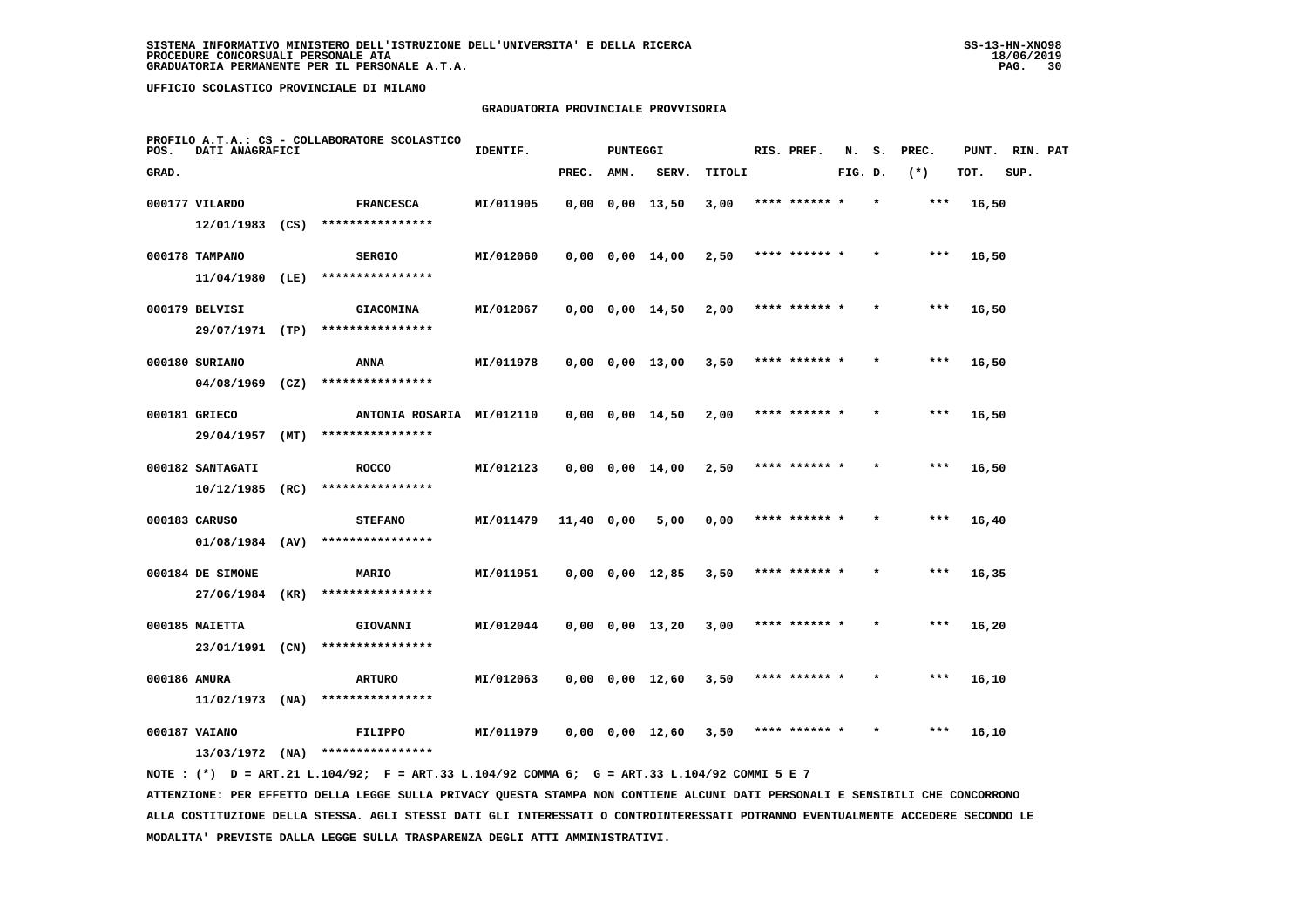# **GRADUATORIA PROVINCIALE PROVVISORIA**

| POS.         | DATI ANAGRAFICI                |      | PROFILO A.T.A.: CS - COLLABORATORE SCOLASTICO | IDENTIF.  |            | <b>PUNTEGGI</b> |                         |        | RIS. PREF.    | N.      | s.      | PREC. | PUNT. | RIN. PAT |  |
|--------------|--------------------------------|------|-----------------------------------------------|-----------|------------|-----------------|-------------------------|--------|---------------|---------|---------|-------|-------|----------|--|
| GRAD.        |                                |      |                                               |           | PREC.      | AMM.            | SERV.                   | TITOLI |               | FIG. D. |         | $(*)$ | TOT.  | SUP.     |  |
|              | 000177 VILARDO                 |      | <b>FRANCESCA</b>                              | MI/011905 |            |                 | $0.00 \t 0.00 \t 13.50$ | 3,00   | **** ****** * |         | $\star$ | ***   | 16,50 |          |  |
|              | $12/01/1983$ (CS)              |      | ****************                              |           |            |                 |                         |        |               |         |         |       |       |          |  |
|              | 000178 TAMPANO                 |      | <b>SERGIO</b>                                 | MI/012060 |            |                 | $0,00$ $0,00$ $14,00$   | 2,50   | **** ****** * |         |         | ***   | 16,50 |          |  |
|              | 11/04/1980 (LE)                |      | ****************                              |           |            |                 |                         |        |               |         |         |       |       |          |  |
|              | 000179 BELVISI                 |      | <b>GIACOMINA</b>                              | MI/012067 |            |                 | $0,00$ $0,00$ $14,50$   | 2,00   | **** ****** * |         |         | ***   | 16,50 |          |  |
|              | 29/07/1971 (TP)                |      | ****************                              |           |            |                 |                         |        |               |         |         |       |       |          |  |
|              | 000180 SURIANO                 |      | <b>ANNA</b><br>****************               | MI/011978 |            |                 | $0,00$ $0,00$ $13,00$   | 3,50   | **** ****** * |         |         | ***   | 16,50 |          |  |
|              | 04/08/1969                     | (CZ) |                                               |           |            |                 |                         |        |               |         |         |       |       |          |  |
|              | 000181 GRIECO<br>29/04/1957    | (MT) | ANTONIA ROSARIA MI/012110<br>**************** |           |            |                 | $0,00$ $0,00$ $14,50$   | 2,00   | **** ****** * |         |         | ***   | 16,50 |          |  |
|              |                                |      |                                               |           |            |                 |                         |        |               |         |         |       |       |          |  |
|              | 000182 SANTAGATI<br>10/12/1985 | (RC) | <b>ROCCO</b><br>****************              | MI/012123 |            |                 | $0,00$ $0,00$ $14,00$   | 2,50   | **** ****** * |         |         | $***$ | 16,50 |          |  |
|              | 000183 CARUSO                  |      | <b>STEFANO</b>                                | MI/011479 |            |                 |                         |        | **** ****** * |         |         | ***   | 16,40 |          |  |
|              | $01/08/1984$ (AV)              |      | ****************                              |           | 11,40 0,00 |                 | 5,00                    | 0,00   |               |         |         |       |       |          |  |
|              | 000184 DE SIMONE               |      | <b>MARIO</b>                                  | MI/011951 |            |                 | $0,00$ $0,00$ $12,85$   | 3,50   | **** ******   |         |         | ***   | 16,35 |          |  |
|              | 27/06/1984                     | (KR) | ****************                              |           |            |                 |                         |        |               |         |         |       |       |          |  |
|              | 000185 MAIETTA                 |      | GIOVANNI                                      | MI/012044 |            |                 | $0,00$ $0,00$ $13,20$   | 3,00   | **** ****** * |         |         | $***$ | 16,20 |          |  |
|              | 23/01/1991                     | (CN) | ****************                              |           |            |                 |                         |        |               |         |         |       |       |          |  |
| 000186 AMURA |                                |      | ARTURO                                        | MI/012063 |            |                 | $0,00$ $0,00$ $12,60$   | 3,50   | **** ****** * |         |         | ***   | 16,10 |          |  |
|              | 11/02/1973                     | (MA) | ****************                              |           |            |                 |                         |        |               |         |         |       |       |          |  |
|              | 000187 VAIANO                  |      | FILIPPO                                       | MI/011979 |            |                 | 0,00 0,00 12,60         | 3,50   | **** ****** * |         |         | ***   | 16,10 |          |  |
|              | $13/03/1972$ (NA)              |      | ****************                              |           |            |                 |                         |        |               |         |         |       |       |          |  |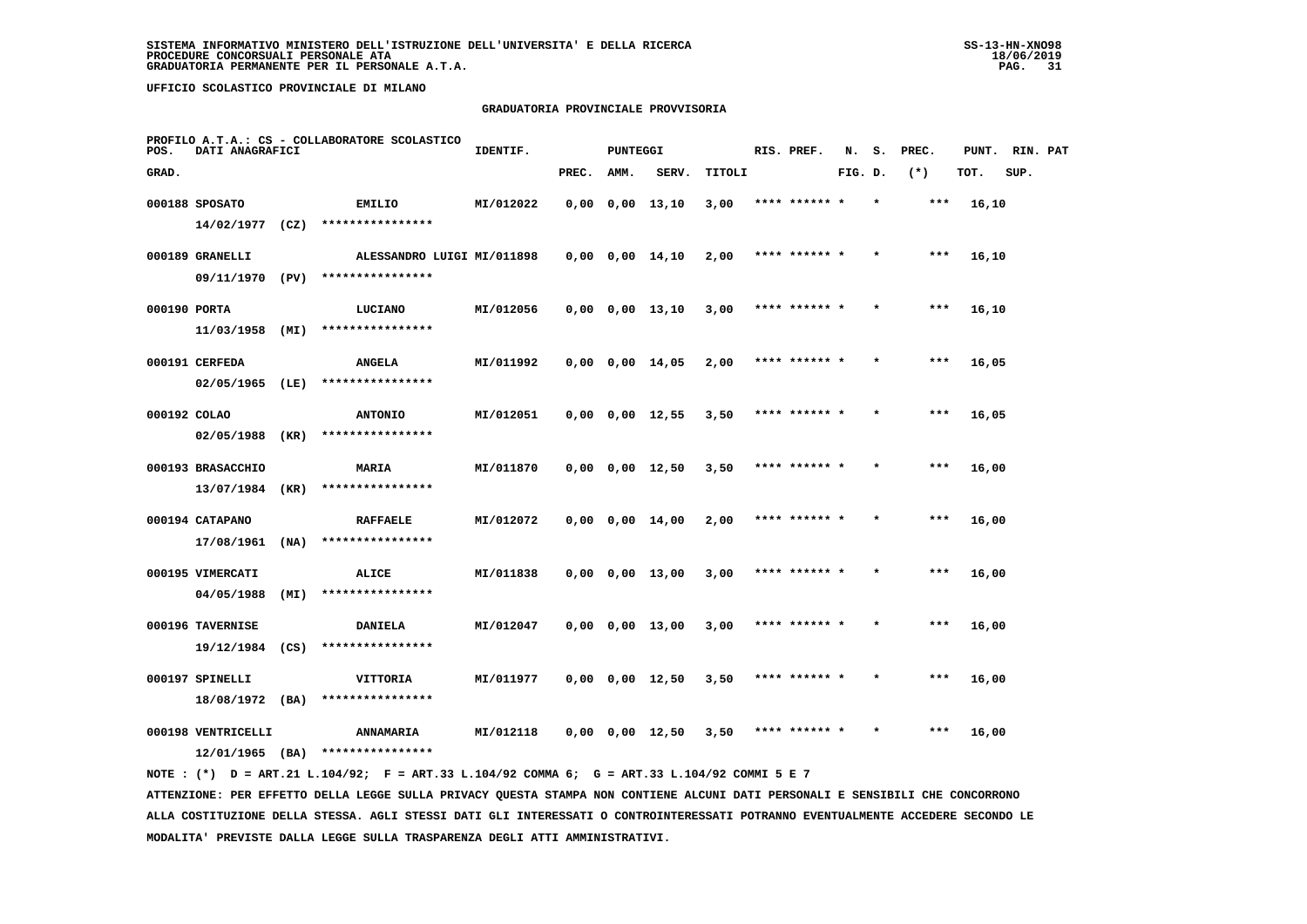# **GRADUATORIA PROVINCIALE PROVVISORIA**

| POS.         | DATI ANAGRAFICI                     |      | PROFILO A.T.A.: CS - COLLABORATORE SCOLASTICO | IDENTIF.  |       | <b>PUNTEGGI</b> |                       |               | RIS. PREF.    | N.      | s. | PREC. | PUNT. | RIN. PAT |  |
|--------------|-------------------------------------|------|-----------------------------------------------|-----------|-------|-----------------|-----------------------|---------------|---------------|---------|----|-------|-------|----------|--|
| GRAD.        |                                     |      |                                               |           | PREC. | AMM.            | SERV.                 | <b>TITOLI</b> |               | FIG. D. |    | $(*)$ | TOT.  | SUP.     |  |
|              | 000188 SPOSATO<br>$14/02/1977$ (CZ) |      | <b>EMILIO</b><br>****************             | MI/012022 |       |                 | $0,00$ $0,00$ $13,10$ | 3,00          | **** ****** * |         |    | ***   | 16,10 |          |  |
|              | 000189 GRANELLI                     |      | ALESSANDRO LUIGI MI/011898                    |           |       |                 | $0,00$ $0,00$ $14,10$ | 2,00          | **** ****** * |         |    | $***$ | 16,10 |          |  |
|              | 09/11/1970 (PV)                     |      | ****************                              |           |       |                 |                       |               |               |         |    |       |       |          |  |
| 000190 PORTA |                                     | (MI) | LUCIANO<br>****************                   | MI/012056 |       |                 | $0,00$ $0,00$ $13,10$ | 3,00          | **** ****** * |         |    | ***   | 16,10 |          |  |
|              | 11/03/1958<br>000191 CERFEDA        |      | <b>ANGELA</b>                                 | MI/011992 |       |                 | 0,00 0,00 14,05       | 2,00          | **** ****** * |         |    | ***   | 16,05 |          |  |
|              | 02/05/1965                          | (LE) | ****************                              |           |       |                 |                       |               |               |         |    |       |       |          |  |
| 000192 COLAO |                                     |      | <b>ANTONIO</b>                                | MI/012051 |       |                 | $0,00$ $0,00$ $12,55$ | 3,50          | **** ****** * |         |    | ***   | 16,05 |          |  |
|              | 02/05/1988                          | (KR) | ****************                              |           |       |                 |                       |               |               |         |    |       |       |          |  |
|              | 000193 BRASACCHIO<br>13/07/1984     | (KR) | MARIA<br>****************                     | MI/011870 |       |                 | $0,00$ $0,00$ $12,50$ | 3,50          | **** ****** * |         |    | $***$ | 16,00 |          |  |
|              | 000194 CATAPANO                     |      | <b>RAFFAELE</b>                               | MI/012072 |       |                 | $0,00$ $0,00$ $14,00$ | 2,00          | **** ****** * |         |    | ***   | 16,00 |          |  |
|              | 17/08/1961                          | (MA) | ****************                              |           |       |                 |                       |               |               |         |    |       |       |          |  |
|              | 000195 VIMERCATI<br>04/05/1988      | (MI) | ALICE<br>****************                     | MI/011838 |       |                 | $0,00$ $0,00$ $13,00$ | 3,00          | **** ****** * |         |    | ***   | 16,00 |          |  |
|              | 000196 TAVERNISE                    |      | DANIELA                                       | MI/012047 |       |                 | $0,00$ $0,00$ $13,00$ | 3,00          | **** ****** * |         |    | $***$ |       |          |  |
|              | 19/12/1984                          | (CS) | ****************                              |           |       |                 |                       |               |               |         |    |       | 16,00 |          |  |
|              | 000197 SPINELLI                     |      | VITTORIA                                      | MI/011977 |       |                 | $0,00$ $0,00$ $12,50$ | 3,50          | **** ****** * |         |    | ***   | 16,00 |          |  |
|              | 18/08/1972 (BA)                     |      | ****************                              |           |       |                 |                       |               |               |         |    |       |       |          |  |
|              | 000198 VENTRICELLI                  |      | <b>ANNAMARIA</b>                              | MI/012118 |       |                 | $0,00$ $0,00$ $12,50$ | 3,50          | **** ****** * |         |    | ***   | 16,00 |          |  |
|              | $12/01/1965$ (BA)                   |      | ****************                              |           |       |                 |                       |               |               |         |    |       |       |          |  |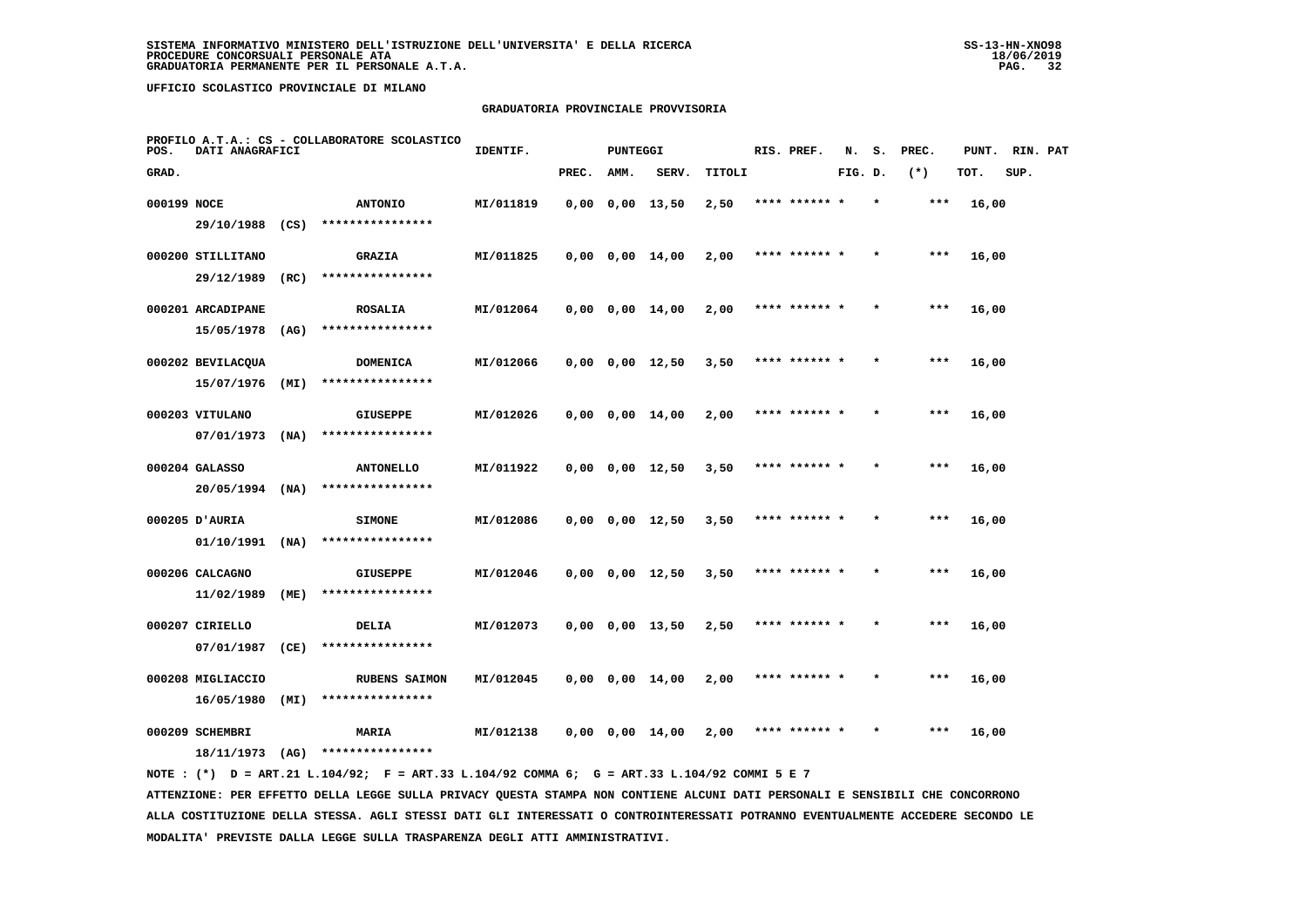#### **GRADUATORIA PROVINCIALE PROVVISORIA**

| POS.        | DATI ANAGRAFICI                 |      | PROFILO A.T.A.: CS - COLLABORATORE SCOLASTICO | IDENTIF.  |       | <b>PUNTEGGI</b> |                       |        | RIS. PREF.    | N.      | s. | PREC. | PUNT. | RIN. PAT |  |
|-------------|---------------------------------|------|-----------------------------------------------|-----------|-------|-----------------|-----------------------|--------|---------------|---------|----|-------|-------|----------|--|
| GRAD.       |                                 |      |                                               |           | PREC. | AMM.            | SERV.                 | TITOLI |               | FIG. D. |    | $(*)$ | TOT.  | SUP.     |  |
| 000199 NOCE |                                 |      | <b>ANTONIO</b>                                | MI/011819 |       |                 | $0,00$ $0,00$ $13,50$ | 2,50   | **** ****** * |         |    | ***   | 16,00 |          |  |
|             | 29/10/1988 (CS)                 |      | ****************                              |           |       |                 |                       |        |               |         |    |       |       |          |  |
|             | 000200 STILLITANO               |      | <b>GRAZIA</b>                                 | MI/011825 |       |                 | $0,00$ $0,00$ $14,00$ | 2,00   | **** ****** * |         |    | ***   | 16,00 |          |  |
|             | 29/12/1989                      | (RC) | ****************                              |           |       |                 |                       |        |               |         |    |       |       |          |  |
|             | 000201 ARCADIPANE               |      | <b>ROSALIA</b>                                | MI/012064 |       |                 | $0,00$ $0,00$ $14,00$ | 2,00   | **** ****** * |         |    | $***$ | 16,00 |          |  |
|             | 15/05/1978                      | (AG) | ****************                              |           |       |                 |                       |        |               |         |    |       |       |          |  |
|             | 000202 BEVILACOUA               |      | <b>DOMENICA</b>                               | MI/012066 |       |                 | $0,00$ $0,00$ $12,50$ | 3,50   | **** ****** * |         |    | ***   | 16,00 |          |  |
|             | 15/07/1976                      | (MI) | ****************                              |           |       |                 |                       |        |               |         |    |       |       |          |  |
|             | 000203 VITULANO                 |      | <b>GIUSEPPE</b>                               | MI/012026 |       |                 | $0,00$ $0,00$ $14,00$ | 2,00   | **** ****** * |         |    | $***$ | 16,00 |          |  |
|             | 07/01/1973                      | (NA) | ****************                              |           |       |                 |                       |        |               |         |    |       |       |          |  |
|             | 000204 GALASSO                  |      | <b>ANTONELLO</b>                              | MI/011922 |       |                 | $0,00$ $0,00$ $12,50$ | 3,50   | **** ****** * |         |    | $***$ | 16,00 |          |  |
|             | 20/05/1994                      | (NA) | ****************                              |           |       |                 |                       |        |               |         |    |       |       |          |  |
|             | 000205 D'AURIA<br>01/10/1991    | (MA) | <b>SIMONE</b><br>****************             | MI/012086 |       |                 | $0,00$ $0,00$ $12,50$ | 3,50   | **** ****** * |         |    | $***$ | 16,00 |          |  |
|             |                                 |      |                                               |           |       |                 |                       |        |               |         |    |       |       |          |  |
|             | 000206 CALCAGNO<br>11/02/1989   | (ME) | <b>GIUSEPPE</b><br>****************           | MI/012046 |       |                 | $0,00$ $0,00$ $12,50$ | 3,50   | **** ****** * |         |    | ***   | 16,00 |          |  |
|             |                                 |      |                                               |           |       |                 |                       |        |               |         |    |       |       |          |  |
|             | 000207 CIRIELLO<br>07/01/1987   | (CE) | DELIA<br>****************                     | MI/012073 |       |                 | $0,00$ $0,00$ $13,50$ | 2,50   | **** ****** * |         |    | $***$ | 16,00 |          |  |
|             |                                 |      |                                               |           |       |                 |                       |        |               |         |    | $***$ |       |          |  |
|             | 000208 MIGLIACCIO<br>16/05/1980 | (MI) | <b>RUBENS SAIMON</b><br>****************      | MI/012045 |       |                 | $0,00$ $0,00$ $14,00$ | 2,00   | **** ****** * |         |    |       | 16,00 |          |  |
|             | 000209 SCHEMBRI                 |      | <b>MARIA</b>                                  | MI/012138 |       |                 | $0,00$ $0,00$ $14,00$ | 2,00   | **** ****** * |         |    | ***   | 16,00 |          |  |
|             | 18/11/1973                      | (AG) | ****************                              |           |       |                 |                       |        |               |         |    |       |       |          |  |
|             |                                 |      |                                               |           |       |                 |                       |        |               |         |    |       |       |          |  |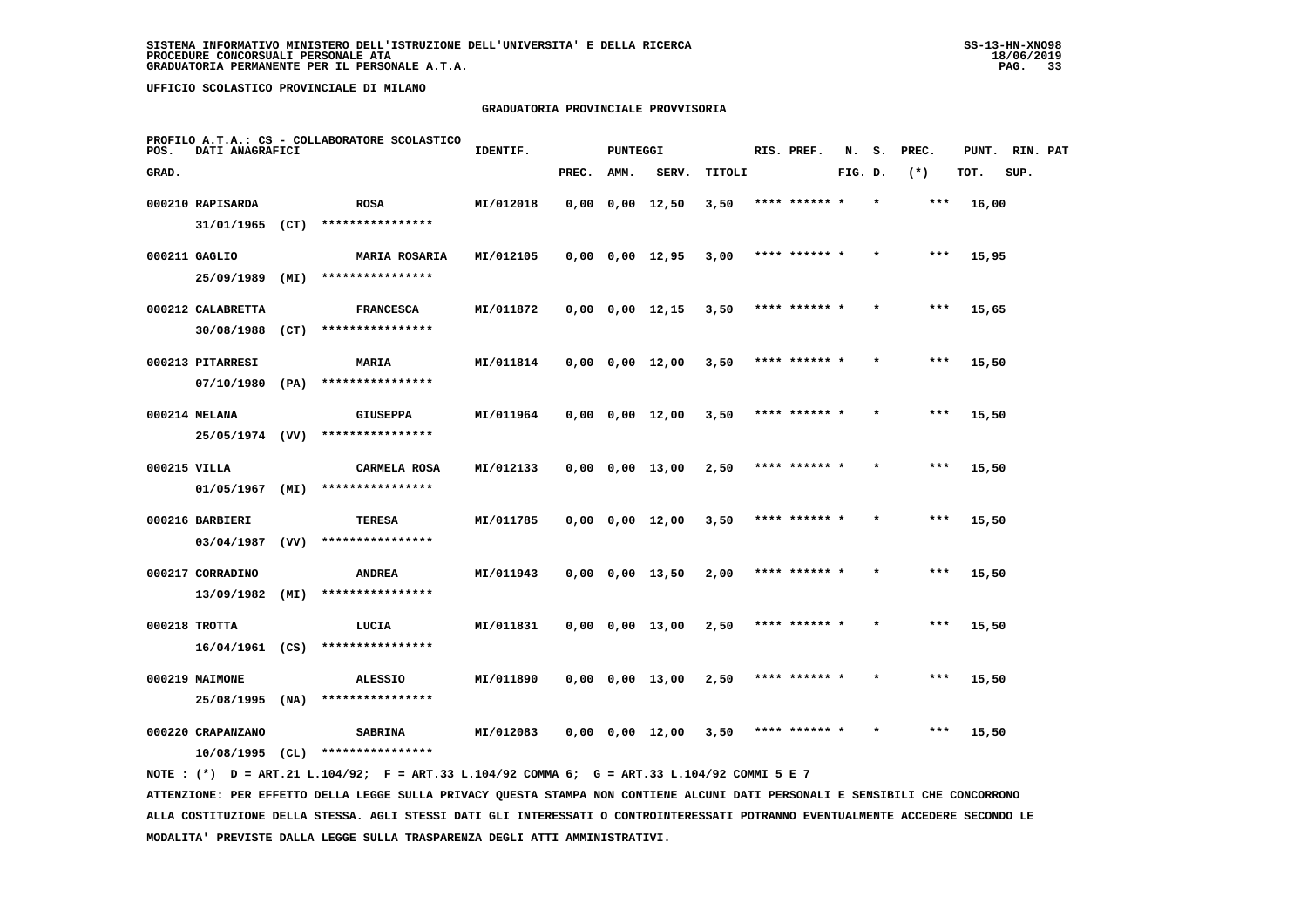#### **GRADUATORIA PROVINCIALE PROVVISORIA**

| POS.         | DATI ANAGRAFICI   |      | PROFILO A.T.A.: CS - COLLABORATORE SCOLASTICO | IDENTIF.  |       | <b>PUNTEGGI</b> |                       |        | RIS. PREF.    | N.      | s. | PREC. |       | PUNT. RIN. PAT |  |
|--------------|-------------------|------|-----------------------------------------------|-----------|-------|-----------------|-----------------------|--------|---------------|---------|----|-------|-------|----------------|--|
| GRAD.        |                   |      |                                               |           | PREC. | AMM.            | SERV.                 | TITOLI |               | FIG. D. |    | $(*)$ | TOT.  | SUP.           |  |
|              | 000210 RAPISARDA  |      | <b>ROSA</b>                                   | MI/012018 |       |                 | $0,00$ $0,00$ $12,50$ | 3,50   | **** ****** * |         |    | ***   | 16,00 |                |  |
|              | 31/01/1965 (CT)   |      | ****************                              |           |       |                 |                       |        |               |         |    |       |       |                |  |
|              | 000211 GAGLIO     |      | <b>MARIA ROSARIA</b>                          | MI/012105 |       |                 | $0,00$ $0,00$ $12,95$ | 3,00   | **** ****** * |         |    | $***$ | 15,95 |                |  |
|              | 25/09/1989        | (MI) | ****************                              |           |       |                 |                       |        |               |         |    |       |       |                |  |
|              | 000212 CALABRETTA |      | <b>FRANCESCA</b>                              | MI/011872 |       |                 | $0,00$ $0,00$ $12,15$ | 3,50   | **** ****** * |         |    | ***   | 15,65 |                |  |
|              | 30/08/1988        | (CT) | ****************                              |           |       |                 |                       |        |               |         |    |       |       |                |  |
|              | 000213 PITARRESI  |      | MARIA                                         | MI/011814 |       |                 | $0,00$ $0,00$ $12,00$ | 3,50   | **** ****** * |         |    | ***   | 15,50 |                |  |
|              | 07/10/1980        | (PA) | ****************                              |           |       |                 |                       |        |               |         |    |       |       |                |  |
|              | 000214 MELANA     |      | <b>GIUSEPPA</b>                               | MI/011964 |       |                 | $0,00$ $0,00$ $12,00$ | 3,50   | **** ****** * |         |    | ***   | 15,50 |                |  |
|              | 25/05/1974 (VV)   |      | ****************                              |           |       |                 |                       |        |               |         |    |       |       |                |  |
| 000215 VILLA |                   |      | CARMELA ROSA                                  | MI/012133 |       |                 | $0,00$ $0,00$ $13,00$ | 2,50   | **** ****** * |         |    | $***$ | 15,50 |                |  |
|              | $01/05/1967$ (MI) |      | ****************                              |           |       |                 |                       |        |               |         |    |       |       |                |  |
|              | 000216 BARBIERI   |      | TERESA                                        | MI/011785 |       |                 | $0,00$ $0,00$ $12,00$ | 3,50   | **** ****** * |         |    | ***   | 15,50 |                |  |
|              | 03/04/1987        | (VV) | ****************                              |           |       |                 |                       |        |               |         |    |       |       |                |  |
|              | 000217 CORRADINO  |      | <b>ANDREA</b>                                 | MI/011943 |       |                 | $0,00$ $0,00$ $13,50$ | 2,00   | **** ****** * |         |    | ***   | 15,50 |                |  |
|              | 13/09/1982        | (MI) | ****************                              |           |       |                 |                       |        |               |         |    |       |       |                |  |
|              | 000218 TROTTA     |      | LUCIA                                         | MI/011831 |       |                 | $0,00$ $0,00$ $13,00$ | 2,50   | **** ****** * |         |    | ***   | 15,50 |                |  |
|              | 16/04/1961 (CS)   |      | ****************                              |           |       |                 |                       |        |               |         |    |       |       |                |  |
|              | 000219 MAIMONE    |      | <b>ALESSIO</b>                                | MI/011890 |       |                 | $0,00$ $0,00$ $13,00$ | 2,50   | **** ****** * |         |    | ***   | 15,50 |                |  |
|              | 25/08/1995        | (NA) | ****************                              |           |       |                 |                       |        |               |         |    |       |       |                |  |
|              | 000220 CRAPANZANO |      | <b>SABRINA</b>                                | MI/012083 |       |                 | $0,00$ $0,00$ $12,00$ | 3,50   | **** ****** * |         |    | $***$ | 15,50 |                |  |
|              | $10/08/1995$ (CL) |      | ****************                              |           |       |                 |                       |        |               |         |    |       |       |                |  |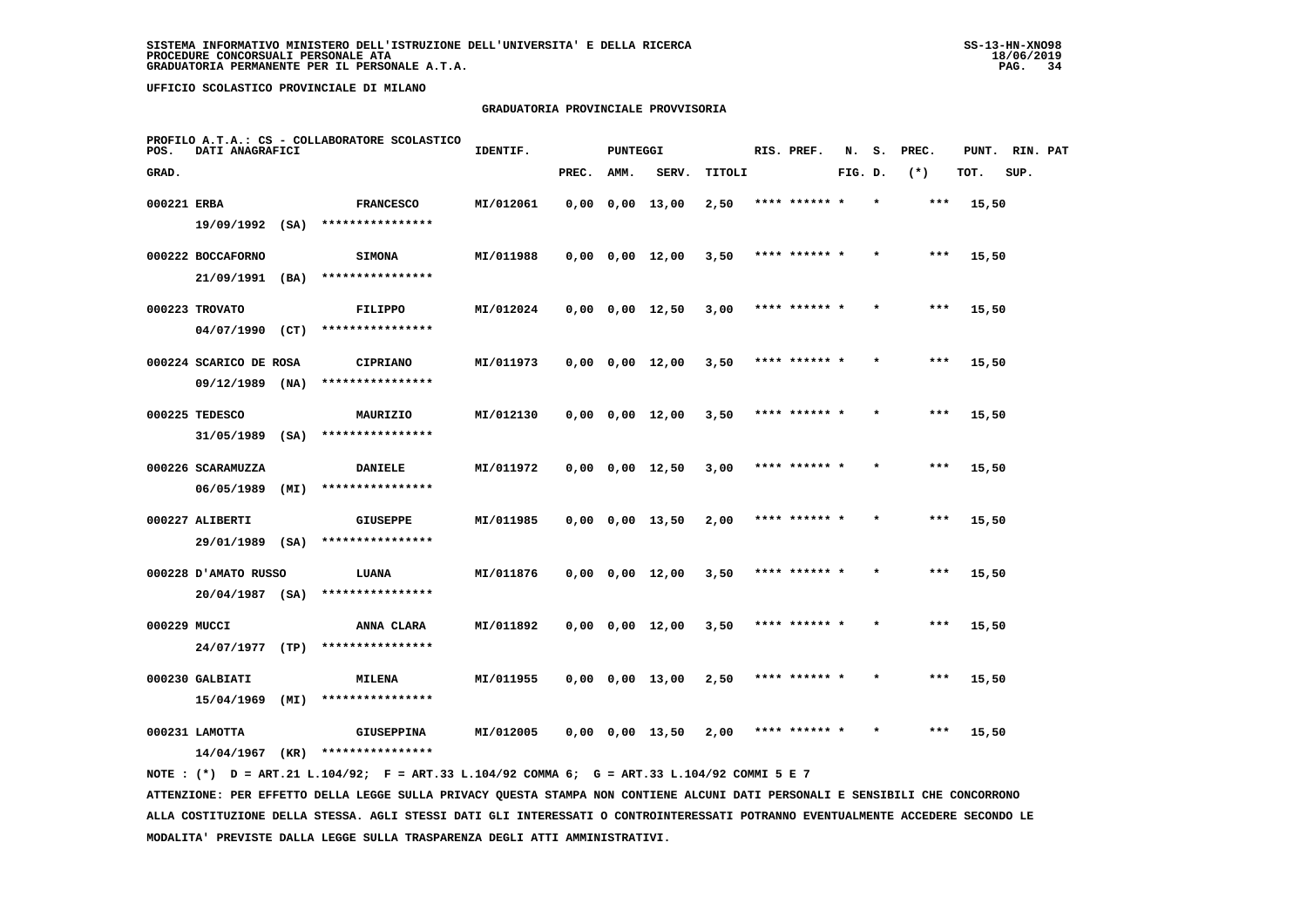# **GRADUATORIA PROVINCIALE PROVVISORIA**

| POS.         | DATI ANAGRAFICI                |      | PROFILO A.T.A.: CS - COLLABORATORE SCOLASTICO | IDENTIF.  |       | <b>PUNTEGGI</b> |                         |        | RIS. PREF.    | N.      | s.      | PREC. | PUNT. | RIN. PAT |  |
|--------------|--------------------------------|------|-----------------------------------------------|-----------|-------|-----------------|-------------------------|--------|---------------|---------|---------|-------|-------|----------|--|
| GRAD.        |                                |      |                                               |           | PREC. | AMM.            | SERV.                   | TITOLI |               | FIG. D. |         | $(*)$ | TOT.  | SUP.     |  |
| 000221 ERBA  |                                |      | <b>FRANCESCO</b>                              | MI/012061 |       |                 | $0,00$ $0,00$ $13,00$   | 2,50   | **** ****** * |         | $\star$ | $***$ | 15,50 |          |  |
|              | $19/09/1992$ (SA)              |      | ****************                              |           |       |                 |                         |        |               |         |         |       |       |          |  |
|              | 000222 BOCCAFORNO              |      | <b>SIMONA</b>                                 | MI/011988 |       |                 | $0,00$ $0,00$ $12,00$   | 3,50   | **** ****** * |         |         | $***$ | 15,50 |          |  |
|              | 21/09/1991 (BA)                |      | ****************                              |           |       |                 |                         |        |               |         |         |       |       |          |  |
|              | 000223 TROVATO                 |      | <b>FILIPPO</b>                                | MI/012024 |       |                 | $0,00$ $0,00$ $12,50$   | 3,00   | **** ****** * |         |         | $***$ | 15,50 |          |  |
|              | $04/07/1990$ (CT)              |      | ****************                              |           |       |                 |                         |        |               |         |         |       |       |          |  |
|              | 000224 SCARICO DE ROSA         |      | <b>CIPRIANO</b>                               | MI/011973 |       |                 | $0,00$ $0,00$ $12,00$   | 3,50   | **** ****** * |         |         | $***$ | 15,50 |          |  |
|              | $09/12/1989$ (NA)              |      | ****************                              |           |       |                 |                         |        |               |         |         |       |       |          |  |
|              | 000225 TEDESCO                 |      | MAURIZIO                                      | MI/012130 |       |                 | $0,00$ $0,00$ $12,00$   | 3,50   | **** ****** * |         |         | $***$ | 15,50 |          |  |
|              | 31/05/1989                     | (SA) | ****************                              |           |       |                 |                         |        |               |         |         |       |       |          |  |
|              | 000226 SCARAMUZZA              |      | <b>DANIELE</b>                                | MI/011972 |       |                 | $0,00$ $0,00$ $12,50$   | 3,00   | **** ****** * |         | $\star$ | ***   | 15,50 |          |  |
|              | 06/05/1989                     | (MI) | ****************                              |           |       |                 |                         |        |               |         |         |       |       |          |  |
|              | 000227 ALIBERTI                |      | <b>GIUSEPPE</b>                               | MI/011985 |       |                 | $0,00$ $0,00$ $13,50$   | 2,00   | **** ******   |         |         | ***   | 15,50 |          |  |
|              | 29/01/1989 (SA)                |      | ****************                              |           |       |                 |                         |        |               |         |         |       |       |          |  |
|              | 000228 D'AMATO RUSSO           |      | LUANA                                         | MI/011876 |       |                 | $0,00$ $0,00$ $12,00$   | 3,50   | **** ****** * |         |         | ***   | 15,50 |          |  |
|              | $20/04/1987$ (SA)              |      | ****************                              |           |       |                 |                         |        |               |         |         |       |       |          |  |
| 000229 MUCCI |                                |      | ANNA CLARA                                    | MI/011892 |       |                 | $0,00$ $0,00$ $12,00$   | 3,50   | **** ****** * |         | $\star$ | $***$ | 15,50 |          |  |
|              | 24/07/1977                     | (TP) | ****************                              |           |       |                 |                         |        |               |         |         |       |       |          |  |
|              | 000230 GALBIATI                |      | MILENA                                        | MI/011955 |       |                 | $0,00$ $0,00$ $13,00$   | 2,50   | **** ****** * |         |         | ***   | 15,50 |          |  |
|              | 15/04/1969                     | (MI) | ****************                              |           |       |                 |                         |        |               |         |         |       |       |          |  |
|              | $000231$ LAMOTTA<br>14/04/1967 | (KR) | <b>GIUSEPPINA</b><br>****************         | MI/012005 |       |                 | $0.00 \t 0.00 \t 13.50$ | 2,00   | **** ****** * |         |         | $***$ | 15,50 |          |  |
|              |                                |      |                                               |           |       |                 |                         |        |               |         |         |       |       |          |  |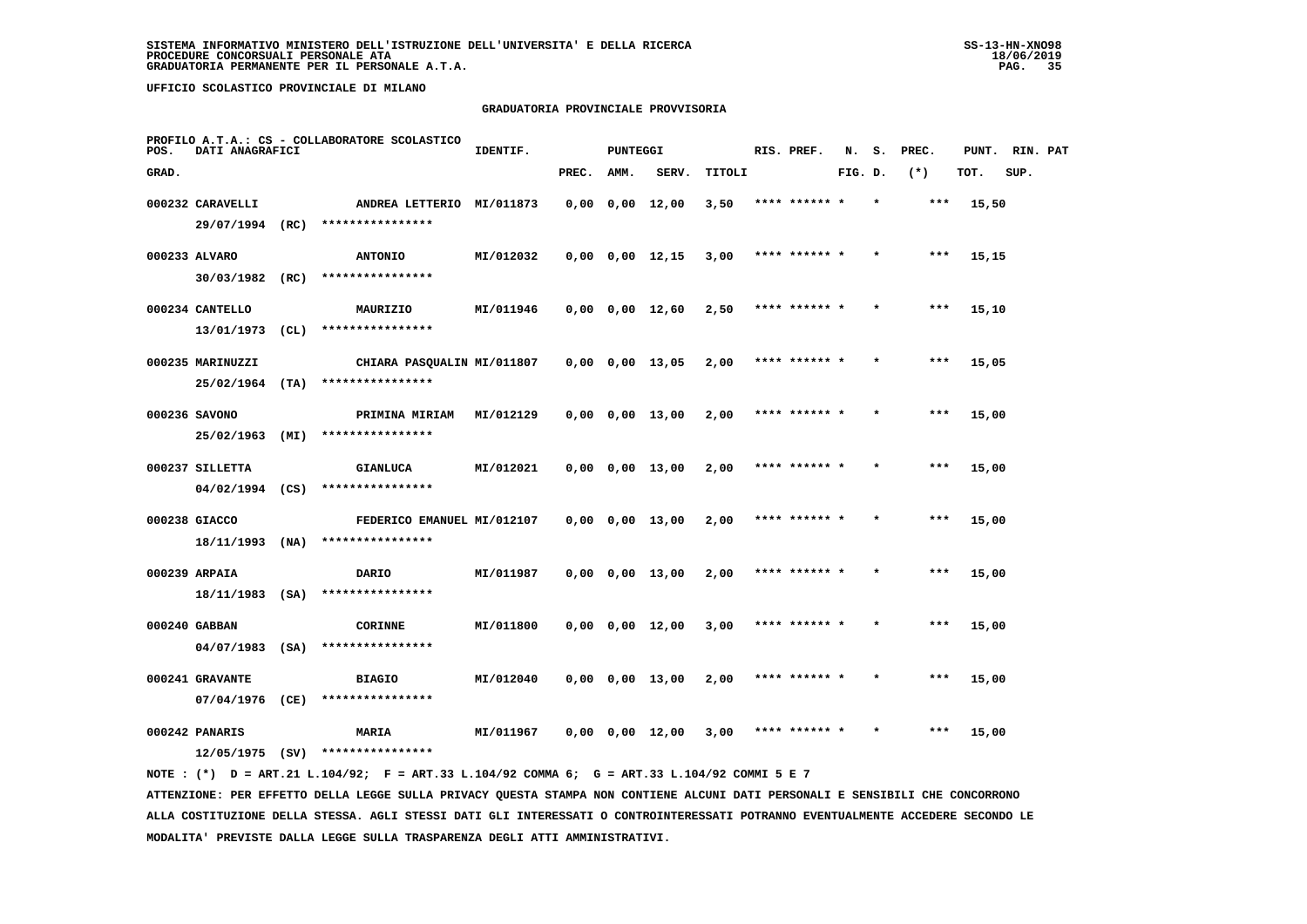#### **GRADUATORIA PROVINCIALE PROVVISORIA**

| POS.  | DATI ANAGRAFICI             |      | PROFILO A.T.A.: CS - COLLABORATORE SCOLASTICO | IDENTIF.  |       | PUNTEGGI |                       |        | RIS. PREF.    | N.      | s.      | PREC.  |       | PUNT. RIN. PAT |  |
|-------|-----------------------------|------|-----------------------------------------------|-----------|-------|----------|-----------------------|--------|---------------|---------|---------|--------|-------|----------------|--|
| GRAD. |                             |      |                                               |           | PREC. | AMM.     | SERV.                 | TITOLI |               | FIG. D. |         | $(* )$ | TOT.  | SUP.           |  |
|       | 000232 CARAVELLI            |      | ANDREA LETTERIO MI/011873                     |           |       |          | $0,00$ $0,00$ $12,00$ | 3,50   | **** ******   |         |         | ***    | 15,50 |                |  |
|       | 29/07/1994 (RC)             |      | ****************                              |           |       |          |                       |        |               |         |         |        |       |                |  |
|       | 000233 ALVARO               |      | <b>ANTONIO</b>                                | MI/012032 |       |          | $0,00$ $0,00$ $12,15$ | 3,00   | **** ****** * |         |         | ***    | 15,15 |                |  |
|       | 30/03/1982                  | (RC) | ****************                              |           |       |          |                       |        |               |         |         |        |       |                |  |
|       | 000234 CANTELLO             |      | MAURIZIO                                      | MI/011946 |       |          | $0,00$ $0,00$ $12,60$ | 2,50   | **** ****** * |         | $\star$ | ***    | 15,10 |                |  |
|       | 13/01/1973                  | CL)  | ****************                              |           |       |          |                       |        |               |         |         |        |       |                |  |
|       | 000235 MARINUZZI            |      | CHIARA PASQUALIN MI/011807                    |           |       |          | $0,00$ $0,00$ $13,05$ | 2,00   | **** ****** * |         |         | $***$  | 15,05 |                |  |
|       | $25/02/1964$ (TA)           |      | ****************                              |           |       |          |                       |        |               |         |         |        |       |                |  |
|       | 000236 SAVONO               |      | PRIMINA MIRIAM                                | MI/012129 |       |          | $0,00$ $0,00$ $13,00$ | 2,00   | **** ****** * |         |         | $***$  | 15,00 |                |  |
|       | 25/02/1963                  | (MI) | ****************                              |           |       |          |                       |        |               |         |         |        |       |                |  |
|       | 000237 SILLETTA             |      | <b>GIANLUCA</b>                               | MI/012021 |       |          | $0,00$ $0,00$ $13,00$ | 2,00   | **** ****** * |         |         | $***$  | 15,00 |                |  |
|       | $04/02/1994$ (CS)           |      | ****************                              |           |       |          |                       |        |               |         |         |        |       |                |  |
|       | 000238 GIACCO               |      | FEDERICO EMANUEL MI/012107                    |           |       |          | $0,00$ $0,00$ $13,00$ | 2,00   | **** ****** * |         |         | $***$  | 15,00 |                |  |
|       | 18/11/1993                  | (NA) | ****************                              |           |       |          |                       |        |               |         |         |        |       |                |  |
|       | 000239 ARPAIA               |      | DARIO                                         | MI/011987 |       |          | $0,00$ $0,00$ $13,00$ | 2,00   | **** ****** * |         |         | ***    | 15,00 |                |  |
|       | 18/11/1983 (SA)             |      | ****************                              |           |       |          |                       |        |               |         |         |        |       |                |  |
|       |                             |      |                                               |           |       |          |                       |        |               |         |         | ***    |       |                |  |
|       | 000240 GABBAN<br>04/07/1983 | (SA) | <b>CORINNE</b><br>****************            | MI/011800 |       |          | $0,00$ $0,00$ $12,00$ | 3,00   | **** ****** * |         |         |        | 15,00 |                |  |
|       |                             |      |                                               |           |       |          |                       |        |               |         |         |        |       |                |  |
|       | 000241 GRAVANTE             |      | <b>BIAGIO</b>                                 | MI/012040 |       |          | $0,00$ $0,00$ $13,00$ | 2,00   | **** ****** * |         |         | $***$  | 15,00 |                |  |
|       | 07/04/1976                  | (CE) | ****************                              |           |       |          |                       |        |               |         |         |        |       |                |  |
|       | 000242 PANARIS              |      | <b>MARIA</b>                                  | MI/011967 |       |          | $0,00$ $0,00$ $12,00$ | 3,00   | **** ****** * |         |         | ***    | 15,00 |                |  |
|       | 12/05/1975 (SV)             |      | ****************                              |           |       |          |                       |        |               |         |         |        |       |                |  |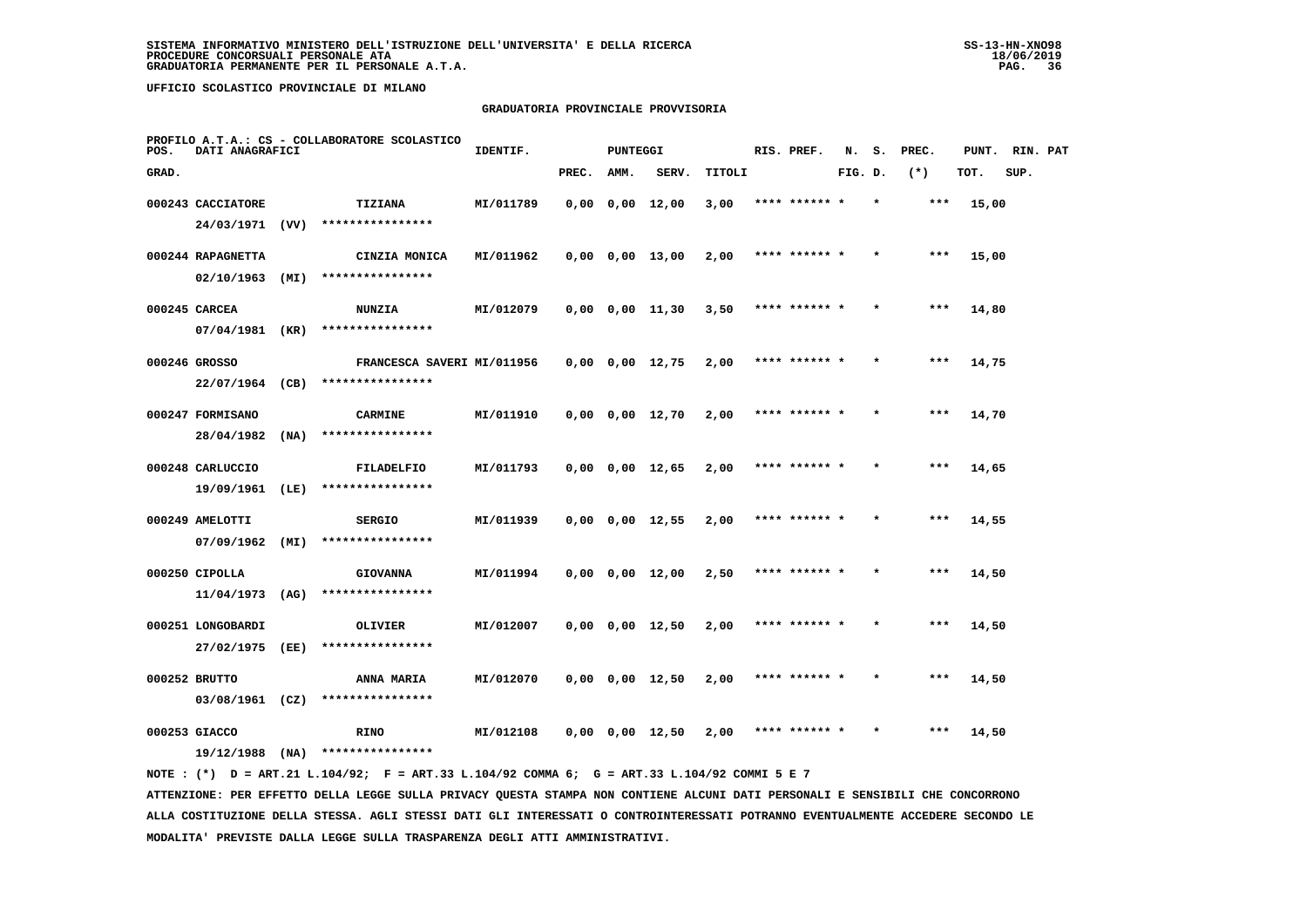# **GRADUATORIA PROVINCIALE PROVVISORIA**

| POS.  | DATI ANAGRAFICI   |      | PROFILO A.T.A.: CS - COLLABORATORE SCOLASTICO | IDENTIF.  |       | PUNTEGGI |                       |        | RIS. PREF.    | N.      | s.      | PREC.  |       | PUNT. RIN. PAT |  |
|-------|-------------------|------|-----------------------------------------------|-----------|-------|----------|-----------------------|--------|---------------|---------|---------|--------|-------|----------------|--|
| GRAD. |                   |      |                                               |           | PREC. | AMM.     | SERV.                 | TITOLI |               | FIG. D. |         | $(* )$ | TOT.  | SUP.           |  |
|       | 000243 CACCIATORE |      | TIZIANA                                       | MI/011789 |       |          | $0,00$ $0,00$ $12,00$ | 3,00   |               |         |         | $***$  | 15,00 |                |  |
|       | 24/03/1971 (VV)   |      | ****************                              |           |       |          |                       |        |               |         |         |        |       |                |  |
|       | 000244 RAPAGNETTA |      | CINZIA MONICA                                 | MI/011962 |       |          | $0,00$ $0,00$ $13,00$ | 2,00   | **** ****** * |         |         | $***$  | 15,00 |                |  |
|       | 02/10/1963        | (MI) | ****************                              |           |       |          |                       |        |               |         |         |        |       |                |  |
|       | 000245 CARCEA     |      | <b>NUNZIA</b>                                 | MI/012079 |       |          | $0,00$ $0,00$ $11,30$ | 3,50   | **** ****** * |         | $\star$ | ***    | 14,80 |                |  |
|       | 07/04/1981        | (KR) | ****************                              |           |       |          |                       |        |               |         |         |        |       |                |  |
|       | 000246 GROSSO     |      | FRANCESCA SAVERI MI/011956                    |           |       |          | $0,00$ $0,00$ $12,75$ | 2,00   | **** ****** * |         |         | $***$  | 14,75 |                |  |
|       | 22/07/1964 (CB)   |      | ****************                              |           |       |          |                       |        |               |         |         |        |       |                |  |
|       | 000247 FORMISANO  |      | <b>CARMINE</b>                                | MI/011910 |       |          | $0,00$ $0,00$ $12,70$ | 2,00   | **** ****** * |         |         | $***$  | 14,70 |                |  |
|       | 28/04/1982        | (MA) | ****************                              |           |       |          |                       |        |               |         |         |        |       |                |  |
|       | 000248 CARLUCCIO  |      | FILADELFIO                                    | MI/011793 |       |          | $0,00$ $0,00$ $12,65$ | 2,00   | **** ****** * |         |         | $***$  | 14,65 |                |  |
|       | 19/09/1961        | (LE) | ****************                              |           |       |          |                       |        |               |         |         |        |       |                |  |
|       | 000249 AMELOTTI   |      | <b>SERGIO</b>                                 | MI/011939 |       |          | $0,00$ $0,00$ $12,55$ | 2,00   | **** ****** * |         |         | ***    | 14,55 |                |  |
|       | 07/09/1962        | (MI) | ****************                              |           |       |          |                       |        |               |         |         |        |       |                |  |
|       | 000250 CIPOLLA    |      | <b>GIOVANNA</b>                               | MI/011994 |       |          | $0,00$ $0,00$ $12,00$ | 2,50   | **** ****** * |         |         | ***    | 14,50 |                |  |
|       | 11/04/1973        | (AG) | ****************                              |           |       |          |                       |        |               |         |         |        |       |                |  |
|       | 000251 LONGOBARDI |      | OLIVIER                                       | MI/012007 |       |          | $0,00$ $0,00$ $12,50$ | 2,00   | **** ****** * |         |         | ***    | 14,50 |                |  |
|       | 27/02/1975        | (EE) | ****************                              |           |       |          |                       |        |               |         |         |        |       |                |  |
|       | 000252 BRUTTO     |      | ANNA MARIA                                    | MI/012070 |       |          | $0,00$ $0,00$ $12,50$ | 2,00   | **** ****** * |         |         | $***$  | 14,50 |                |  |
|       | 03/08/1961        | (CZ) | ****************                              |           |       |          |                       |        |               |         |         |        |       |                |  |
|       | 000253 GIACCO     |      | <b>RINO</b>                                   | MI/012108 |       |          | $0,00$ $0,00$ $12,50$ | 2,00   | **** ****** * |         |         | ***    | 14,50 |                |  |
|       | $19/12/1988$ (NA) |      | ****************                              |           |       |          |                       |        |               |         |         |        |       |                |  |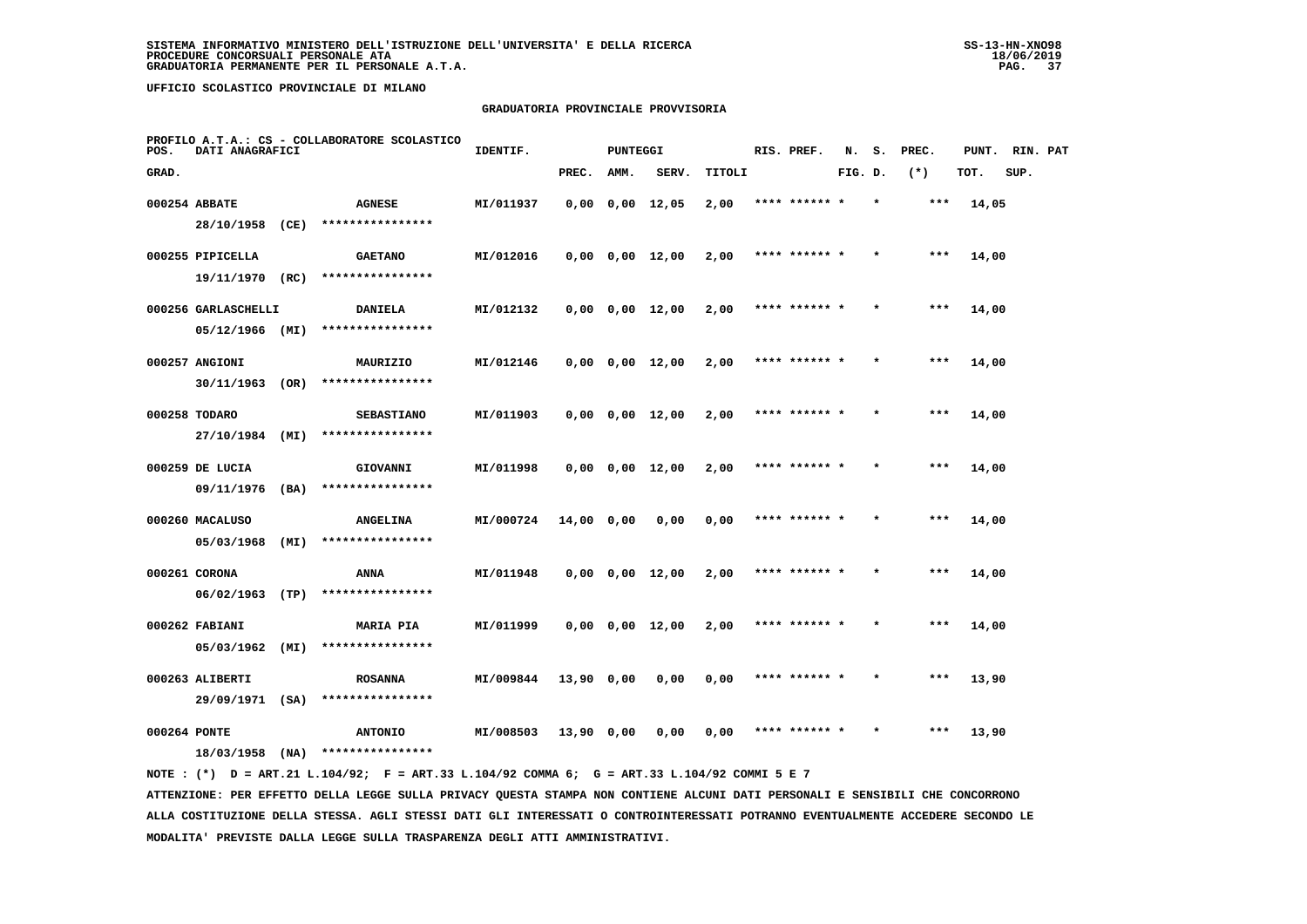#### **GRADUATORIA PROVINCIALE PROVVISORIA**

| POS.         | DATI ANAGRAFICI     |      | PROFILO A.T.A.: CS - COLLABORATORE SCOLASTICO | IDENTIF.  |              | <b>PUNTEGGI</b> |                       |        | RIS. PREF.    | N.      | s.      | PREC. | PUNT. | RIN. PAT |  |
|--------------|---------------------|------|-----------------------------------------------|-----------|--------------|-----------------|-----------------------|--------|---------------|---------|---------|-------|-------|----------|--|
| GRAD.        |                     |      |                                               |           | PREC.        | AMM.            | SERV.                 | TITOLI |               | FIG. D. |         | $(*)$ | TOT.  | SUP.     |  |
|              | 000254 ABBATE       |      | <b>AGNESE</b>                                 | MI/011937 |              |                 | $0,00$ $0,00$ $12,05$ | 2,00   | **** ****** * |         | $\star$ | $***$ | 14,05 |          |  |
|              | 28/10/1958          | (CE) | ****************                              |           |              |                 |                       |        |               |         |         |       |       |          |  |
|              | 000255 PIPICELLA    |      | <b>GAETANO</b>                                | MI/012016 |              |                 | $0,00$ $0,00$ $12,00$ | 2,00   | **** ****** * |         |         | ***   | 14,00 |          |  |
|              | 19/11/1970 (RC)     |      | ****************                              |           |              |                 |                       |        |               |         |         |       |       |          |  |
|              | 000256 GARLASCHELLI |      | <b>DANIELA</b>                                | MI/012132 |              |                 | $0,00$ $0,00$ $12,00$ | 2,00   | **** ****** * |         |         | $***$ | 14,00 |          |  |
|              | 05/12/1966 (MI)     |      | ****************                              |           |              |                 |                       |        |               |         |         |       |       |          |  |
|              | 000257 ANGIONI      |      | MAURIZIO                                      | MI/012146 |              |                 | $0,00$ $0,00$ $12,00$ | 2,00   | **** ****** * |         | $\star$ | $***$ | 14,00 |          |  |
|              | 30/11/1963          | (OR) | ****************                              |           |              |                 |                       |        |               |         |         |       |       |          |  |
|              | 000258 TODARO       |      | <b>SEBASTIANO</b>                             | MI/011903 |              |                 | $0,00$ $0,00$ $12,00$ | 2,00   | **** ****** * |         |         | $***$ | 14,00 |          |  |
|              | 27/10/1984 (MI)     |      | ****************                              |           |              |                 |                       |        |               |         |         |       |       |          |  |
|              | 000259 DE LUCIA     |      | GIOVANNI                                      | MI/011998 |              |                 | $0,00$ $0,00$ $12,00$ | 2,00   | **** ******   |         |         | $***$ | 14,00 |          |  |
|              | 09/11/1976 (BA)     |      | ****************                              |           |              |                 |                       |        |               |         |         |       |       |          |  |
|              | 000260 MACALUSO     |      | <b>ANGELINA</b>                               | MI/000724 | $14,00$ 0,00 |                 | 0,00                  | 0,00   | **** ****** * |         |         | ***   | 14,00 |          |  |
|              | 05/03/1968          | (MI) | ****************                              |           |              |                 |                       |        |               |         |         |       |       |          |  |
|              | 000261 CORONA       |      | ANNA                                          | MI/011948 |              |                 | $0,00$ $0,00$ $12,00$ | 2,00   | **** ****** * |         |         | ***   | 14,00 |          |  |
|              | 06/02/1963          | (TP) | ****************                              |           |              |                 |                       |        |               |         |         |       |       |          |  |
|              | 000262 FABIANI      |      | <b>MARIA PIA</b>                              | MI/011999 |              |                 | $0,00$ $0,00$ $12,00$ | 2,00   | **** ****** * |         |         | ***   | 14,00 |          |  |
|              | 05/03/1962          | (MI) | ****************                              |           |              |                 |                       |        |               |         |         |       |       |          |  |
|              | 000263 ALIBERTI     |      | <b>ROSANNA</b>                                | MI/009844 | 13,90 0,00   |                 | 0,00                  | 0,00   | **** ****** * |         |         | $***$ | 13,90 |          |  |
|              | 29/09/1971 (SA)     |      | ****************                              |           |              |                 |                       |        |               |         |         |       |       |          |  |
| 000264 PONTE |                     |      | <b>ANTONIO</b>                                | MI/008503 | 13,90 0,00   |                 | 0.00                  | 0.00   | **** ****** * |         |         | ***   | 13,90 |          |  |
|              | 18/03/1958          | (NA) | ****************                              |           |              |                 |                       |        |               |         |         |       |       |          |  |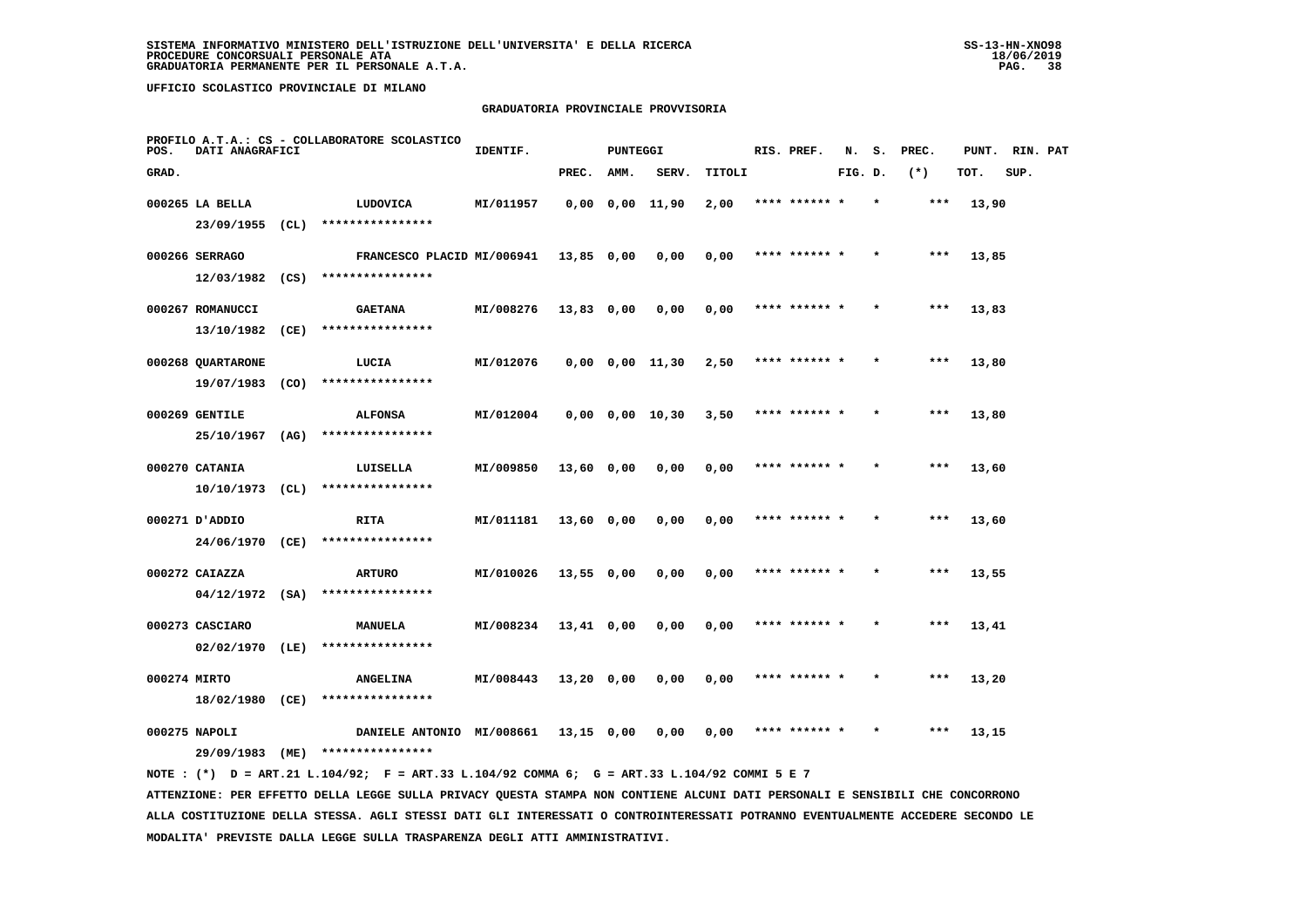#### **GRADUATORIA PROVINCIALE PROVVISORIA**

| POS.         | DATI ANAGRAFICI                      |      | PROFILO A.T.A.: CS - COLLABORATORE SCOLASTICO            | IDENTIF.  |              | <b>PUNTEGGI</b> |                       |        | RIS. PREF.    | N.      | s.      | PREC. | PUNT. | RIN. PAT |  |
|--------------|--------------------------------------|------|----------------------------------------------------------|-----------|--------------|-----------------|-----------------------|--------|---------------|---------|---------|-------|-------|----------|--|
| GRAD.        |                                      |      |                                                          |           | PREC.        | AMM.            | SERV.                 | TITOLI |               | FIG. D. |         | $(*)$ | TOT.  | SUP.     |  |
|              | 000265 LA BELLA<br>$23/09/1955$ (CL) |      | LUDOVICA<br>****************                             | MI/011957 |              |                 | $0,00$ $0,00$ $11,90$ | 2,00   | **** ****** * |         |         | ***   | 13,90 |          |  |
|              | 000266 SERRAGO                       |      | FRANCESCO PLACID MI/006941                               |           | 13,85 0,00   |                 | 0,00                  | 0,00   | **** ****** * |         |         | ***   | 13,85 |          |  |
|              | 000267 ROMANUCCI                     |      | $12/03/1982$ (CS) ****************<br><b>GAETANA</b>     | MI/008276 | 13,83 0,00   |                 | 0,00                  | 0,00   | **** ****** * |         |         | ***   | 13,83 |          |  |
|              | 13/10/1982 (CE)<br>000268 QUARTARONE |      | ****************<br>LUCIA                                | MI/012076 |              |                 | 0,00 0,00 11,30       | 2,50   | **** ****** * |         |         | ***   | 13,80 |          |  |
|              | 19/07/1983 (CO)<br>000269 GENTILE    |      | ****************<br><b>ALFONSA</b>                       | MI/012004 |              |                 | $0,00$ $0,00$ $10,30$ | 3,50   | **** ****** * |         |         | ***   | 13,80 |          |  |
|              | 25/10/1967 (AG)<br>000270 CATANIA    |      | ****************<br>LUISELLA                             | MI/009850 | 13,60 0,00   |                 | 0,00                  | 0,00   | **** ****** * |         |         | $***$ | 13,60 |          |  |
|              | $10/10/1973$ (CL)                    |      | ****************                                         |           |              |                 |                       |        |               |         |         |       |       |          |  |
|              | 000271 D'ADDIO<br>24/06/1970 (CE)    |      | RITA<br>****************                                 | MI/011181 | 13,60 0,00   |                 | 0,00                  | 0,00   | **** ****** * |         |         | $***$ | 13,60 |          |  |
|              | 000272 CAIAZZA<br>$04/12/1972$ (SA)  |      | <b>ARTURO</b><br>****************                        | MI/010026 | $13,55$ 0,00 |                 | 0,00                  | 0,00   | **** ****** * |         |         | ***   | 13,55 |          |  |
|              | 000273 CASCIARO<br>02/02/1970 (LE)   |      | MANUELA<br>****************                              | MI/008234 | 13,41 0,00   |                 | 0,00                  | 0,00   |               |         |         | ***   | 13,41 |          |  |
| 000274 MIRTO | 18/02/1980 (CE)                      |      | <b>ANGELINA</b><br>****************                      | MI/008443 | 13,20 0,00   |                 | 0,00                  | 0,00   | **** ****** * |         |         | $***$ | 13,20 |          |  |
|              | 000275 NAPOLI<br>29/09/1983          | (ME) | DANIELE ANTONIO MI/008661 13,15 0,00<br>**************** |           |              |                 | 0,00                  | 0,00   | **** ****** * |         | $\star$ | ***   | 13,15 |          |  |
|              |                                      |      |                                                          |           |              |                 |                       |        |               |         |         |       |       |          |  |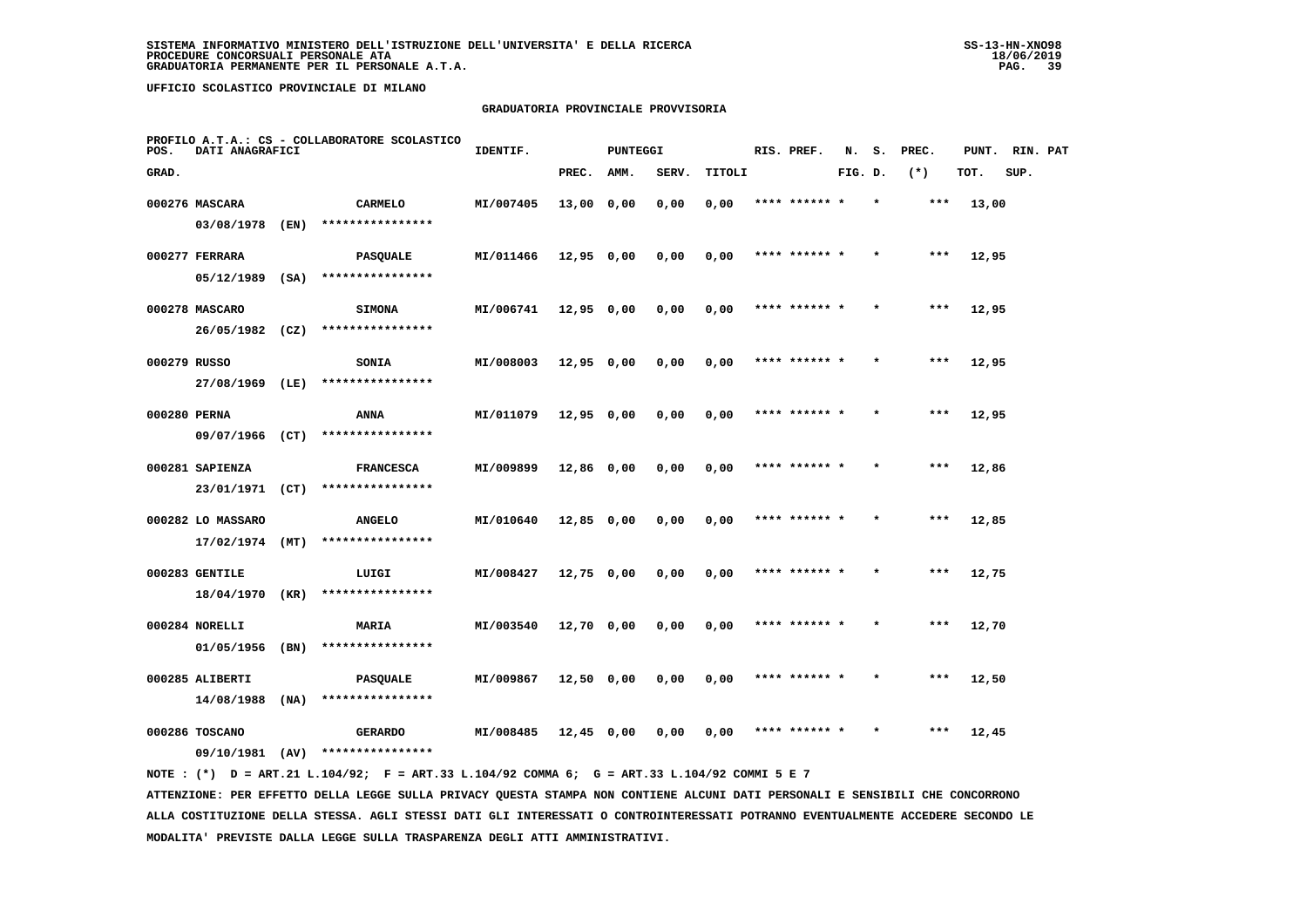# **GRADUATORIA PROVINCIALE PROVVISORIA**

| POS.  | DATI ANAGRAFICI               |      | PROFILO A.T.A.: CS - COLLABORATORE SCOLASTICO | IDENTIF.  |              | <b>PUNTEGGI</b> |       |        | RIS. PREF.    | N.      | s.      | PREC. | PUNT. | RIN. PAT |  |
|-------|-------------------------------|------|-----------------------------------------------|-----------|--------------|-----------------|-------|--------|---------------|---------|---------|-------|-------|----------|--|
| GRAD. |                               |      |                                               |           | PREC.        | AMM.            | SERV. | TITOLI |               | FIG. D. |         | $(*)$ | TOT.  | SUP.     |  |
|       | 000276 MASCARA                |      | CARMELO                                       | MI/007405 | 13,00 0,00   |                 | 0.00  | 0,00   | **** ****** * |         | $\star$ | ***   | 13,00 |          |  |
|       | 03/08/1978                    | (EN) | ****************                              |           |              |                 |       |        |               |         |         |       |       |          |  |
|       | 000277 FERRARA                |      | <b>PASQUALE</b>                               | MI/011466 | 12,95 0,00   |                 | 0,00  | 0,00   | **** ****** * |         |         | ***   | 12,95 |          |  |
|       | 05/12/1989 (SA)               |      | ****************                              |           |              |                 |       |        |               |         |         |       |       |          |  |
|       | 000278 MASCARO                |      | <b>SIMONA</b>                                 | MI/006741 | 12,95 0,00   |                 | 0,00  | 0,00   | **** ****** * |         |         | ***   | 12,95 |          |  |
|       | 26/05/1982 (CZ)               |      | ****************                              |           |              |                 |       |        |               |         |         |       |       |          |  |
|       | 000279 RUSSO                  |      | <b>SONIA</b>                                  | MI/008003 | $12,95$ 0,00 |                 | 0,00  | 0,00   | **** ****** * |         |         | ***   | 12,95 |          |  |
|       | 27/08/1969                    | (LE) | ****************                              |           |              |                 |       |        |               |         |         |       |       |          |  |
|       | 000280 PERNA                  |      | <b>ANNA</b>                                   | MI/011079 | 12,95 0,00   |                 | 0,00  | 0,00   | **** ****** * |         |         | ***   | 12,95 |          |  |
|       | 09/07/1966 (CT)               |      | ****************                              |           |              |                 |       |        |               |         |         |       |       |          |  |
|       | 000281 SAPIENZA               |      | <b>FRANCESCA</b>                              | MI/009899 | 12,86 0,00   |                 | 0,00  | 0,00   | **** ****** * |         |         | $***$ | 12,86 |          |  |
|       | 23/01/1971 (CT)               |      | ****************                              |           |              |                 |       |        |               |         |         |       |       |          |  |
|       | 000282 LO MASSARO             |      | <b>ANGELO</b><br>****************             | MI/010640 | 12,85 0,00   |                 | 0,00  | 0,00   | **** ****** * |         |         | $***$ | 12,85 |          |  |
|       | $17/02/1974$ (MT)             |      |                                               |           |              |                 |       |        |               |         |         |       |       |          |  |
|       | 000283 GENTILE                |      | LUIGI<br>****************                     | MI/008427 | 12,75 0,00   |                 | 0,00  | 0,00   |               |         |         | ***   | 12,75 |          |  |
|       | 18/04/1970 (KR)               |      |                                               |           |              |                 |       |        |               |         |         |       |       |          |  |
|       | 000284 NORELLI<br>01/05/1956  | (BN) | <b>MARIA</b><br>****************              | MI/003540 | 12,70 0,00   |                 | 0,00  | 0,00   | **** ****** * |         |         | $***$ | 12,70 |          |  |
|       |                               |      |                                               |           |              |                 |       |        |               |         |         |       |       |          |  |
|       | 000285 ALIBERTI<br>14/08/1988 | (NA) | <b>PASQUALE</b><br>****************           | MI/009867 | $12,50$ 0,00 |                 | 0,00  | 0,00   | **** ****** * |         | $\star$ | ***   | 12,50 |          |  |
|       |                               |      |                                               |           |              |                 |       |        |               |         |         |       |       |          |  |
|       | 000286 TOSCANO                |      | <b>GERARDO</b>                                | MI/008485 | 12,45 0,00   |                 | 0,00  | 0,00   | **** ****** * |         |         | ***   | 12,45 |          |  |
|       | 09/10/1981 (AV)               |      | ****************                              |           |              |                 |       |        |               |         |         |       |       |          |  |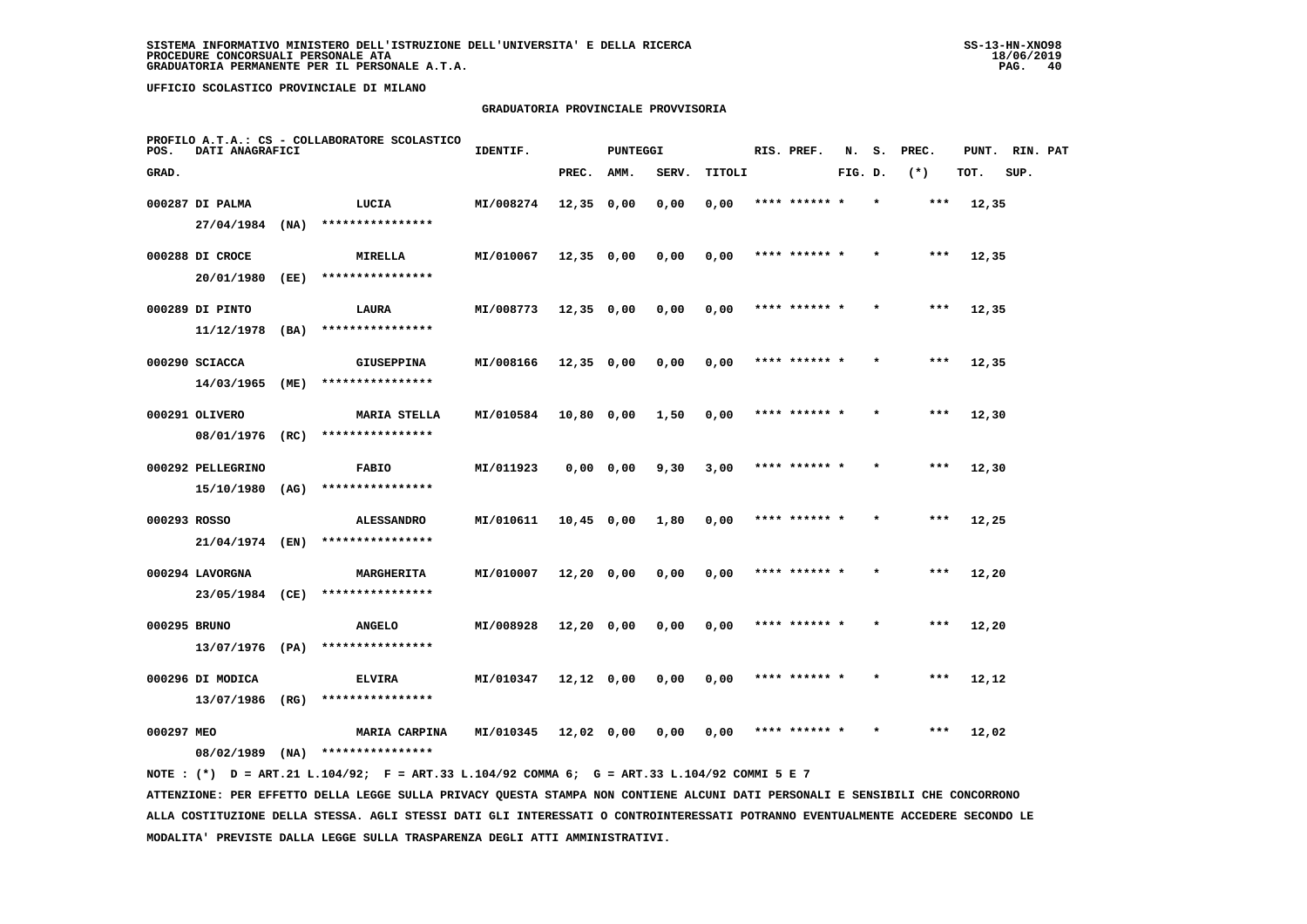# **GRADUATORIA PROVINCIALE PROVVISORIA**

| POS.       | DATI ANAGRAFICI   |      | PROFILO A.T.A.: CS - COLLABORATORE SCOLASTICO | IDENTIF.  |              | PUNTEGGI      |       |        |      | RIS. PREF.    | N.      | s.      | PREC. | PUNT. | RIN. PAT |  |
|------------|-------------------|------|-----------------------------------------------|-----------|--------------|---------------|-------|--------|------|---------------|---------|---------|-------|-------|----------|--|
| GRAD.      |                   |      |                                               |           | PREC.        | <b>AMM.</b>   | SERV. | TITOLI |      |               | FIG. D. |         | $(*)$ | TOT.  | SUP.     |  |
|            | 000287 DI PALMA   |      | LUCIA                                         | MI/008274 | $12,35$ 0,00 |               | 0,00  | 0,00   |      | **** ****** * |         | $\star$ | $***$ | 12,35 |          |  |
|            | 27/04/1984        | (NA) | ****************                              |           |              |               |       |        |      |               |         |         |       |       |          |  |
|            | 000288 DI CROCE   |      | <b>MIRELLA</b>                                | MI/010067 | $12,35$ 0,00 |               | 0,00  | 0,00   |      | **** ****** * |         |         | $***$ | 12,35 |          |  |
|            | 20/01/1980        | (EE) | ****************                              |           |              |               |       |        |      |               |         |         |       |       |          |  |
|            | 000289 DI PINTO   |      | LAURA                                         | MI/008773 | $12,35$ 0,00 |               | 0,00  | 0,00   |      | **** ****** * |         | $\star$ | ***   | 12,35 |          |  |
|            | 11/12/1978        | (BA) | ****************                              |           |              |               |       |        |      |               |         |         |       |       |          |  |
|            | 000290 SCIACCA    |      | <b>GIUSEPPINA</b>                             | MI/008166 | $12,35$ 0,00 |               | 0,00  | 0,00   |      | **** ****** * |         |         | $***$ | 12,35 |          |  |
|            | 14/03/1965 (ME)   |      | ****************                              |           |              |               |       |        |      |               |         |         |       |       |          |  |
|            | 000291 OLIVERO    |      | <b>MARIA STELLA</b>                           | MI/010584 | $10,80$ 0,00 |               | 1,50  | 0,00   |      | **** ****** * |         | $\star$ | $***$ | 12,30 |          |  |
|            | 08/01/1976 (RC)   |      | ****************                              |           |              |               |       |        |      |               |         |         |       |       |          |  |
|            | 000292 PELLEGRINO |      | <b>FABIO</b>                                  | MI/011923 |              | $0,00$ $0,00$ | 9,30  | 3,00   |      | **** ****** * |         | $\star$ | ***   | 12,30 |          |  |
|            | 15/10/1980        | (AG) | ****************                              |           |              |               |       |        |      |               |         |         |       |       |          |  |
|            | 000293 ROSSO      |      | <b>ALESSANDRO</b>                             | MI/010611 | $10,45$ 0,00 |               | 1,80  | 0,00   |      |               |         |         | $***$ | 12,25 |          |  |
|            | 21/04/1974 (EN)   |      | ****************                              |           |              |               |       |        |      |               |         |         |       |       |          |  |
|            | 000294 LAVORGNA   |      | <b>MARGHERITA</b>                             | MI/010007 | $12,20$ 0,00 |               | 0,00  | 0,00   |      | **** ****** * |         |         | $***$ | 12,20 |          |  |
|            | 23/05/1984 (CE)   |      | ****************                              |           |              |               |       |        |      |               |         |         |       |       |          |  |
|            | 000295 BRUNO      |      | <b>ANGELO</b>                                 | MI/008928 | $12,20$ 0,00 |               | 0,00  | 0,00   |      | **** ****** * |         |         | $***$ | 12,20 |          |  |
|            | 13/07/1976 (PA)   |      | ****************                              |           |              |               |       |        |      |               |         |         |       |       |          |  |
|            | 000296 DI MODICA  |      | <b>ELVIRA</b>                                 | MI/010347 | 12,12 0,00   |               | 0,00  | 0,00   |      | **** ****** * |         |         | $***$ | 12,12 |          |  |
|            | 13/07/1986        | (RG) | ****************                              |           |              |               |       |        |      |               |         |         |       |       |          |  |
| 000297 MEO | 08/02/1989        | (NA) | <b>MARIA CARPINA</b><br>****************      | MI/010345 | 12,02 0,00   |               | 0.00  | 0,00   | **** |               |         |         | ***   | 12,02 |          |  |
|            |                   |      |                                               |           |              |               |       |        |      |               |         |         |       |       |          |  |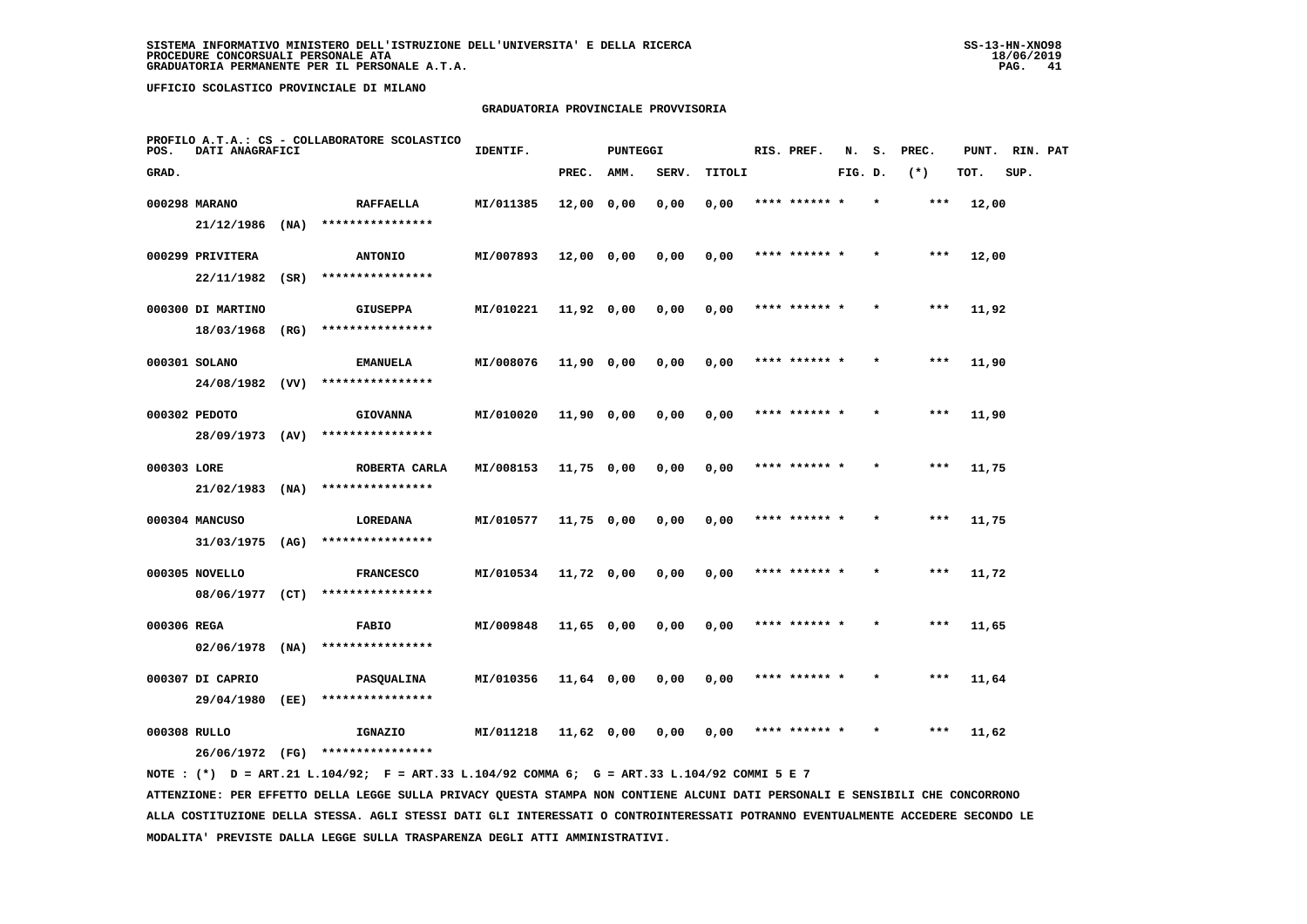# **GRADUATORIA PROVINCIALE PROVVISORIA**

| POS.         | DATI ANAGRAFICI   |      | PROFILO A.T.A.: CS - COLLABORATORE SCOLASTICO | IDENTIF.  |              | <b>PUNTEGGI</b> |       |        | RIS. PREF.    | N.      | s.      | PREC. | PUNT. | RIN. PAT |  |
|--------------|-------------------|------|-----------------------------------------------|-----------|--------------|-----------------|-------|--------|---------------|---------|---------|-------|-------|----------|--|
| GRAD.        |                   |      |                                               |           | PREC.        | AMM.            | SERV. | TITOLI |               | FIG. D. |         | $(*)$ | TOT.  | SUP.     |  |
|              | 000298 MARANO     |      | <b>RAFFAELLA</b>                              | MI/011385 | 12,00 0,00   |                 | 0,00  | 0,00   | **** ****** * |         | $\star$ | $***$ | 12,00 |          |  |
|              | 21/12/1986        | (NA) | ****************                              |           |              |                 |       |        |               |         |         |       |       |          |  |
|              | 000299 PRIVITERA  |      | <b>ANTONIO</b>                                | MI/007893 | 12,00 0,00   |                 | 0,00  | 0,00   | **** ****** * |         |         | $***$ | 12,00 |          |  |
|              | 22/11/1982        | (SR) | ****************                              |           |              |                 |       |        |               |         |         |       |       |          |  |
|              | 000300 DI MARTINO |      | <b>GIUSEPPA</b>                               | MI/010221 | 11,92 0,00   |                 | 0,00  | 0,00   | **** ****** * |         |         | $***$ | 11,92 |          |  |
|              | 18/03/1968        | (RG) | ****************                              |           |              |                 |       |        |               |         |         |       |       |          |  |
|              | 000301 SOLANO     |      | <b>EMANUELA</b>                               | MI/008076 | 11,90 0,00   |                 | 0,00  | 0,00   | **** ****** * |         |         | $***$ | 11,90 |          |  |
|              | 24/08/1982 (VV)   |      | ****************                              |           |              |                 |       |        |               |         |         |       |       |          |  |
|              | 000302 PEDOTO     |      | <b>GIOVANNA</b>                               | MI/010020 | 11,90 0,00   |                 | 0,00  | 0,00   | **** ****** * |         |         | $***$ | 11,90 |          |  |
|              | 28/09/1973 (AV)   |      | ****************                              |           |              |                 |       |        |               |         |         |       |       |          |  |
| 000303 LORE  |                   |      | ROBERTA CARLA                                 | MI/008153 | 11,75 0,00   |                 | 0,00  | 0,00   |               |         |         | $***$ | 11,75 |          |  |
|              | 21/02/1983        | (NA) | ****************                              |           |              |                 |       |        |               |         |         |       |       |          |  |
|              | 000304 MANCUSO    |      | LOREDANA                                      | MI/010577 | 11,75 0,00   |                 | 0,00  | 0,00   | **** ****** * |         |         | $***$ | 11,75 |          |  |
|              | $31/03/1975$ (AG) |      | ****************                              |           |              |                 |       |        |               |         |         |       |       |          |  |
|              | 000305 NOVELLO    |      | <b>FRANCESCO</b>                              | MI/010534 | 11,72 0,00   |                 | 0,00  | 0,00   | **** ****** * |         |         | $***$ | 11,72 |          |  |
|              | 08/06/1977 (CT)   |      | ****************                              |           |              |                 |       |        |               |         |         |       |       |          |  |
| 000306 REGA  |                   |      | <b>FABIO</b>                                  | MI/009848 | 11,65 0,00   |                 | 0,00  | 0,00   | **** ****** * |         |         | ***   | 11,65 |          |  |
|              | 02/06/1978        | (NA) | ****************                              |           |              |                 |       |        |               |         |         |       |       |          |  |
|              | 000307 DI CAPRIO  |      | PASQUALINA                                    | MI/010356 | 11,64 0,00   |                 | 0,00  | 0,00   | **** ****** * |         |         | $***$ | 11,64 |          |  |
|              | 29/04/1980        | (EE) | ****************                              |           |              |                 |       |        |               |         |         |       |       |          |  |
| 000308 RULLO |                   |      | IGNAZIO                                       | MI/011218 | $11,62$ 0,00 |                 | 0.00  | 0.00   | **** ****** * |         |         | ***   | 11,62 |          |  |
|              | 26/06/1972 (FG)   |      | ****************                              |           |              |                 |       |        |               |         |         |       |       |          |  |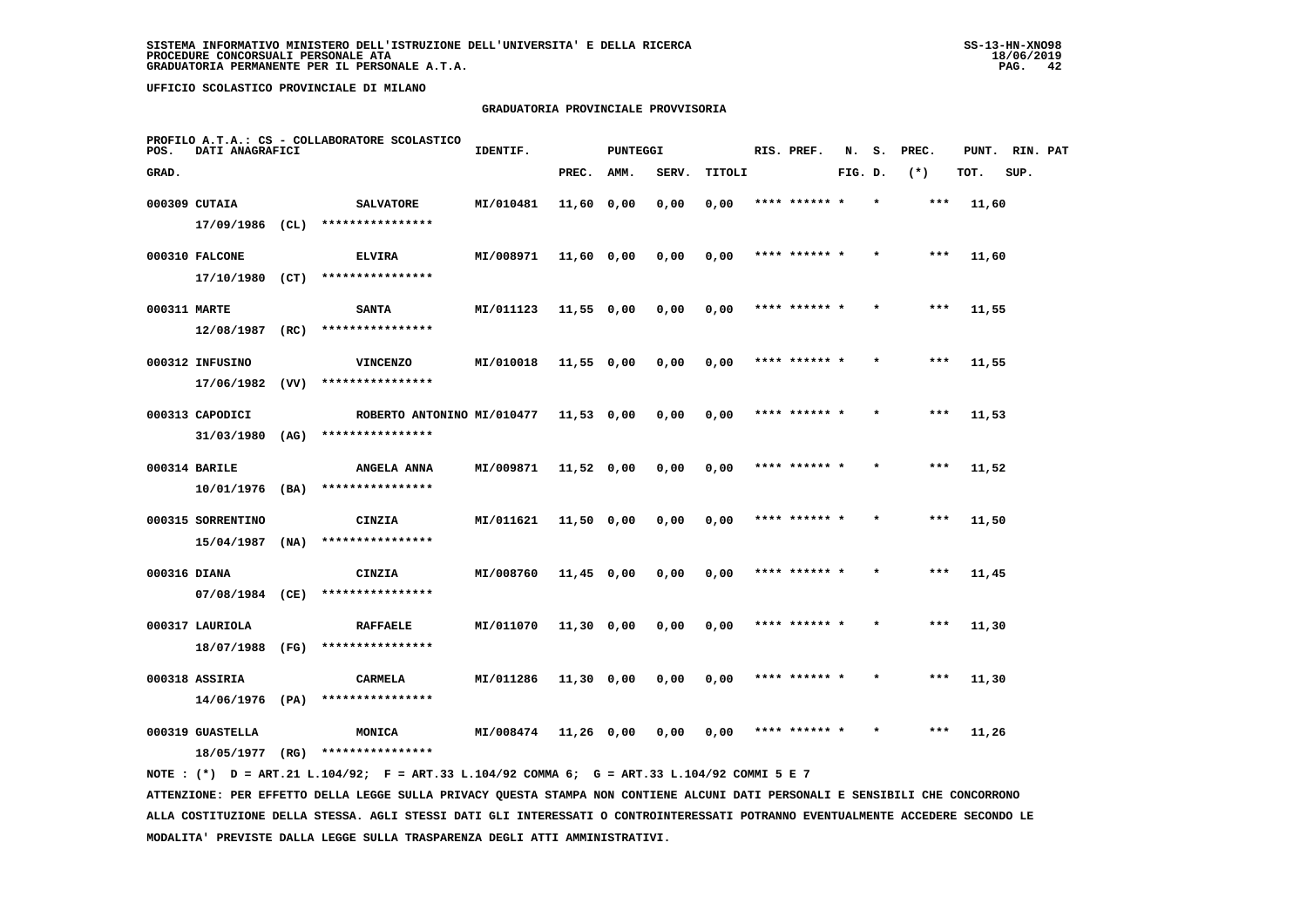# **GRADUATORIA PROVINCIALE PROVVISORIA**

| POS.         | DATI ANAGRAFICI   |      | PROFILO A.T.A.: CS - COLLABORATORE SCOLASTICO | IDENTIF.  |              | <b>PUNTEGGI</b> |       |        | RIS. PREF.    | N.      | s.      | PREC. | PUNT. | RIN. PAT |  |
|--------------|-------------------|------|-----------------------------------------------|-----------|--------------|-----------------|-------|--------|---------------|---------|---------|-------|-------|----------|--|
| GRAD.        |                   |      |                                               |           | PREC.        | AMM.            | SERV. | TITOLI |               | FIG. D. |         | $(*)$ | TOT.  | SUP.     |  |
|              | 000309 CUTAIA     |      | <b>SALVATORE</b>                              | MI/010481 | 11,60 0,00   |                 | 0,00  | 0,00   | **** ****** * |         |         | ***   | 11,60 |          |  |
|              | 17/09/1986 (CL)   |      | ****************                              |           |              |                 |       |        |               |         |         |       |       |          |  |
|              | 000310 FALCONE    |      | <b>ELVIRA</b>                                 | MI/008971 | 11,60 0,00   |                 | 0,00  | 0,00   | **** ****** * |         |         | $***$ | 11,60 |          |  |
|              | 17/10/1980 (CT)   |      | ****************                              |           |              |                 |       |        |               |         |         |       |       |          |  |
| 000311 MARTE |                   |      | <b>SANTA</b>                                  | MI/011123 | $11,55$ 0,00 |                 | 0,00  | 0,00   | **** ****** * |         |         | ***   | 11,55 |          |  |
|              | $12/08/1987$ (RC) |      | ****************                              |           |              |                 |       |        |               |         |         |       |       |          |  |
|              | 000312 INFUSINO   |      | <b>VINCENZO</b>                               | MI/010018 | 11,55 0,00   |                 | 0,00  | 0,00   | **** ****** * |         |         | ***   | 11,55 |          |  |
|              | 17/06/1982        | (VV) | ****************                              |           |              |                 |       |        |               |         |         |       |       |          |  |
|              | 000313 CAPODICI   |      | ROBERTO ANTONINO MI/010477                    |           | $11,53$ 0,00 |                 | 0,00  | 0,00   | **** ****** * |         |         | $***$ | 11,53 |          |  |
|              | 31/03/1980 (AG)   |      | ****************                              |           |              |                 |       |        |               |         |         |       |       |          |  |
|              | 000314 BARILE     |      | <b>ANGELA ANNA</b>                            | MI/009871 | $11,52$ 0,00 |                 | 0,00  | 0,00   | **** ****** * |         |         | $***$ | 11,52 |          |  |
|              | $10/01/1976$ (BA) |      | ****************                              |           |              |                 |       |        |               |         |         |       |       |          |  |
|              | 000315 SORRENTINO |      | CINZIA                                        | MI/011621 | 11,50 0,00   |                 | 0,00  | 0,00   | **** ****** * |         | $\star$ | ***   | 11,50 |          |  |
|              | 15/04/1987        | (NA) | ****************                              |           |              |                 |       |        |               |         |         |       |       |          |  |
| 000316 DIANA |                   |      | CINZIA                                        | MI/008760 | $11,45$ 0,00 |                 | 0,00  | 0,00   | **** ****** * |         |         | ***   | 11,45 |          |  |
|              | 07/08/1984 (CE)   |      | ****************                              |           |              |                 |       |        |               |         |         |       |       |          |  |
|              | 000317 LAURIOLA   |      | <b>RAFFAELE</b>                               | MI/011070 | 11,30 0,00   |                 | 0,00  | 0,00   | **** ****** * |         |         | ***   | 11,30 |          |  |
|              | 18/07/1988        | (FG) | ****************                              |           |              |                 |       |        |               |         |         |       |       |          |  |
|              | 000318 ASSIRIA    |      | CARMELA                                       | MI/011286 | $11,30$ 0,00 |                 | 0,00  | 0,00   | **** ****** * |         |         | $***$ | 11,30 |          |  |
|              | 14/06/1976 (PA)   |      | ****************                              |           |              |                 |       |        |               |         |         |       |       |          |  |
|              | 000319 GUASTELLA  |      | MONICA<br>****************                    | MI/008474 | 11,26 0,00   |                 | 0,00  | 0,00   | **** ****** * |         | $\star$ | $***$ | 11,26 |          |  |
|              | 18/05/1977        | (RG) |                                               |           |              |                 |       |        |               |         |         |       |       |          |  |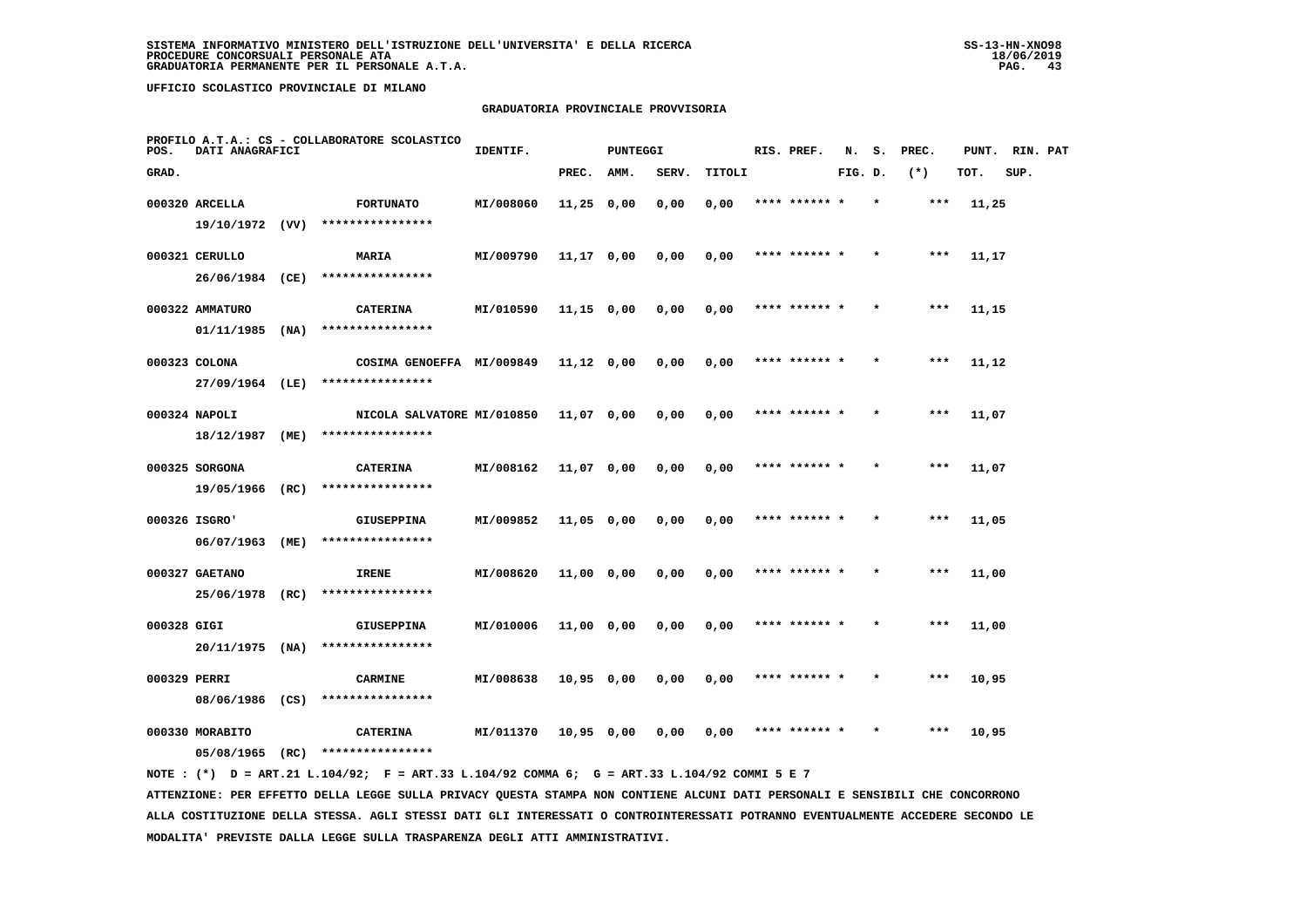# **GRADUATORIA PROVINCIALE PROVVISORIA**

| POS.         | DATI ANAGRAFICI   |      | PROFILO A.T.A.: CS - COLLABORATORE SCOLASTICO | IDENTIF.  |              | <b>PUNTEGGI</b> |       |        | RIS. PREF.    | N.      | s.      | PREC. | PUNT. | RIN. PAT |  |
|--------------|-------------------|------|-----------------------------------------------|-----------|--------------|-----------------|-------|--------|---------------|---------|---------|-------|-------|----------|--|
| GRAD.        |                   |      |                                               |           | PREC.        | <b>AMM.</b>     | SERV. | TITOLI |               | FIG. D. |         | $(*)$ | TOT.  | SUP.     |  |
|              | 000320 ARCELLA    |      | <b>FORTUNATO</b>                              | MI/008060 | $11,25$ 0,00 |                 | 0,00  | 0,00   | **** ****** * |         |         | ***   | 11,25 |          |  |
|              | 19/10/1972 (VV)   |      | ****************                              |           |              |                 |       |        |               |         |         |       |       |          |  |
|              | 000321 CERULLO    |      | MARIA                                         | MI/009790 | 11,17 0,00   |                 | 0,00  | 0,00   | **** ****** * |         |         | $***$ | 11,17 |          |  |
|              | 26/06/1984 (CE)   |      | ****************                              |           |              |                 |       |        |               |         |         |       |       |          |  |
|              | 000322 AMMATURO   |      | <b>CATERINA</b>                               | MI/010590 | 11,15 0,00   |                 | 0,00  | 0,00   | **** ****** * |         |         | ***   | 11,15 |          |  |
|              | $01/11/1985$ (NA) |      | ****************                              |           |              |                 |       |        |               |         |         |       |       |          |  |
|              | 000323 COLONA     |      | COSIMA GENOEFFA MI/009849                     |           | 11,12 0,00   |                 | 0,00  | 0,00   | **** ****** * |         |         | ***   | 11,12 |          |  |
|              | 27/09/1964 (LE)   |      | ****************                              |           |              |                 |       |        |               |         |         |       |       |          |  |
|              | 000324 NAPOLI     |      | NICOLA SALVATORE MI/010850                    |           | 11,07 0,00   |                 | 0,00  | 0,00   | **** ****** * |         |         | $***$ | 11,07 |          |  |
|              | 18/12/1987        | (ME) | ****************                              |           |              |                 |       |        |               |         |         |       |       |          |  |
|              | 000325 SORGONA    |      | <b>CATERINA</b>                               | MI/008162 | $11,07$ 0,00 |                 | 0,00  | 0,00   | **** ****** * |         |         | $***$ | 11,07 |          |  |
|              | 19/05/1966 (RC)   |      | ****************                              |           |              |                 |       |        |               |         |         |       |       |          |  |
|              | 000326 ISGRO'     |      | <b>GIUSEPPINA</b>                             | MI/009852 | 11,05 0,00   |                 | 0,00  | 0,00   | **** ****** * |         | $\star$ | ***   | 11,05 |          |  |
|              | 06/07/1963        | (ME) | ****************                              |           |              |                 |       |        |               |         |         |       |       |          |  |
|              | 000327 GAETANO    |      | IRENE                                         | MI/008620 | 11,00 0,00   |                 | 0,00  | 0,00   | **** ****** * |         |         | ***   | 11,00 |          |  |
|              | 25/06/1978 (RC)   |      | ****************                              |           |              |                 |       |        |               |         |         |       |       |          |  |
| 000328 GIGI  |                   |      | <b>GIUSEPPINA</b>                             | MI/010006 | 11,00 0,00   |                 | 0,00  | 0,00   | **** ****** * |         |         | ***   | 11,00 |          |  |
|              | $20/11/1975$ (NA) |      | ****************                              |           |              |                 |       |        |               |         |         |       |       |          |  |
| 000329 PERRI |                   |      | <b>CARMINE</b><br>****************            | MI/008638 | 10,95 0,00   |                 | 0,00  | 0,00   | **** ****** * |         |         | ***   | 10,95 |          |  |
|              | 08/06/1986 (CS)   |      |                                               |           |              |                 |       |        |               |         |         |       |       |          |  |
|              | 000330 MORABITO   |      | <b>CATERINA</b>                               | MI/011370 | $10,95$ 0,00 |                 | 0,00  | 0,00   | **** ****** * |         |         | ***   | 10,95 |          |  |
|              | 05/08/1965        | (RC) | ****************                              |           |              |                 |       |        |               |         |         |       |       |          |  |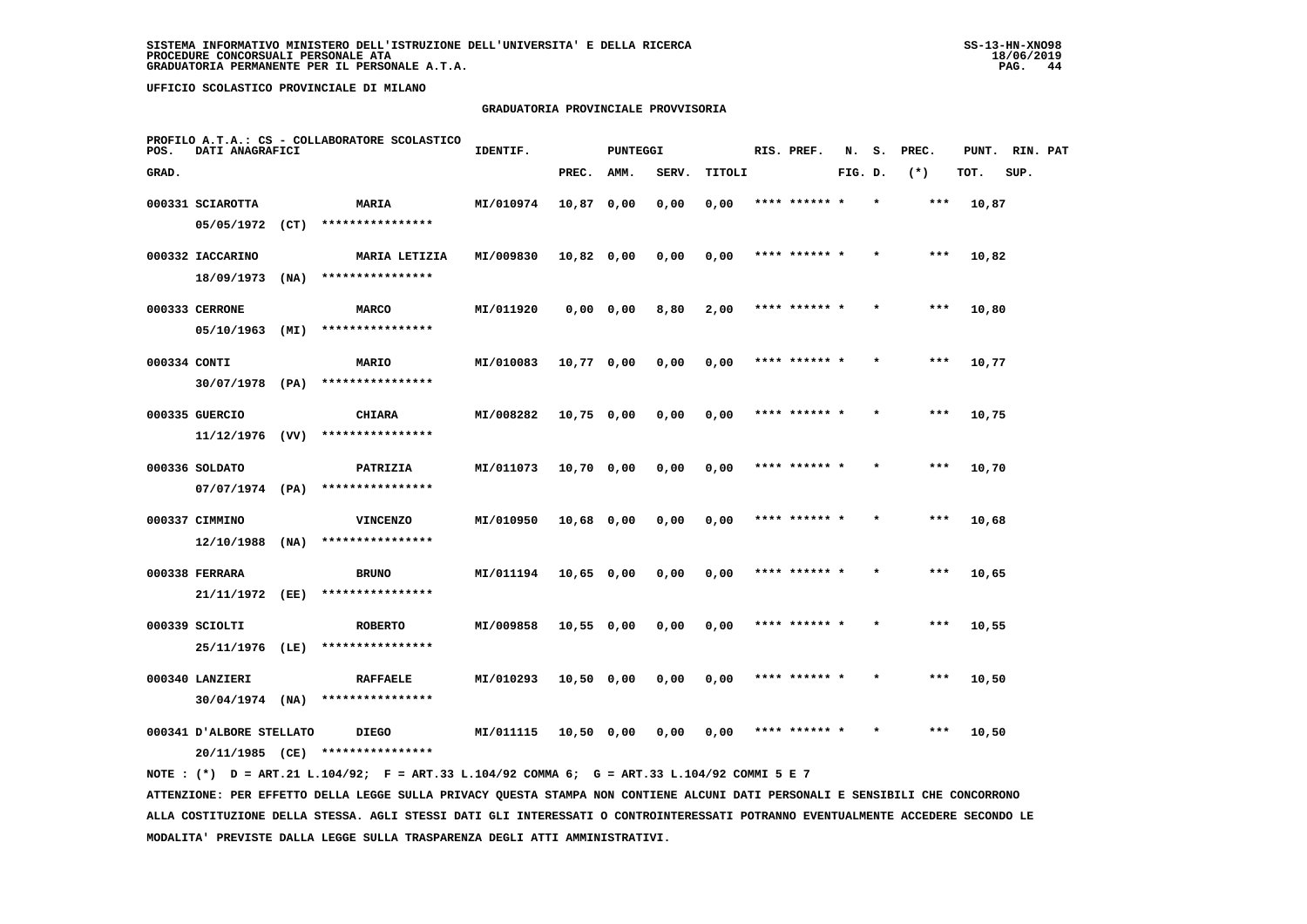# **GRADUATORIA PROVINCIALE PROVVISORIA**

| POS.         | DATI ANAGRAFICI          |      | PROFILO A.T.A.: CS - COLLABORATORE SCOLASTICO | IDENTIF.  |              | <b>PUNTEGGI</b> |       |        | RIS. PREF.    | N.      | s.      | PREC. | PUNT. | RIN. PAT |  |
|--------------|--------------------------|------|-----------------------------------------------|-----------|--------------|-----------------|-------|--------|---------------|---------|---------|-------|-------|----------|--|
| GRAD.        |                          |      |                                               |           | PREC.        | AMM.            | SERV. | TITOLI |               | FIG. D. |         | $(*)$ | TOT.  | SUP.     |  |
|              | 000331 SCIAROTTA         |      | MARIA                                         | MI/010974 | 10,87 0,00   |                 | 0,00  | 0,00   | **** ****** * |         |         | ***   | 10,87 |          |  |
|              | 05/05/1972               | (CT) | ****************                              |           |              |                 |       |        |               |         |         |       |       |          |  |
|              | 000332 IACCARINO         |      | MARIA LETIZIA                                 | MI/009830 | 10,82 0,00   |                 | 0,00  | 0,00   | **** ****** * |         |         | $***$ | 10,82 |          |  |
|              | 18/09/1973               | (NA) | ****************                              |           |              |                 |       |        |               |         |         |       |       |          |  |
|              | 000333 CERRONE           |      | <b>MARCO</b>                                  | MI/011920 |              | 0,0000,00       | 8,80  | 2,00   | **** ****** * |         |         | $***$ | 10,80 |          |  |
|              | 05/10/1963 (MI)          |      | ****************                              |           |              |                 |       |        |               |         |         |       |       |          |  |
| 000334 CONTI |                          |      | <b>MARIO</b>                                  | MI/010083 | 10,77 0,00   |                 | 0,00  | 0,00   | **** ****** * |         |         | ***   | 10,77 |          |  |
|              | $30/07/1978$ (PA)        |      | ****************                              |           |              |                 |       |        |               |         |         |       |       |          |  |
|              | 000335 GUERCIO           |      | <b>CHIARA</b>                                 | MI/008282 | $10,75$ 0,00 |                 | 0,00  | 0,00   | **** ****** * |         |         | $***$ | 10,75 |          |  |
|              | $11/12/1976$ (VV)        |      | ****************                              |           |              |                 |       |        |               |         |         |       |       |          |  |
|              | 000336 SOLDATO           |      | PATRIZIA                                      | MI/011073 | 10,70 0,00   |                 | 0,00  | 0,00   | **** ****** * |         |         | $***$ | 10,70 |          |  |
|              | $07/07/1974$ (PA)        |      | ****************                              |           |              |                 |       |        |               |         |         |       |       |          |  |
|              | 000337 CIMMINO           |      | <b>VINCENZO</b>                               | MI/010950 | 10,68 0,00   |                 | 0,00  | 0,00   | **** ****** * |         |         | ***   | 10,68 |          |  |
|              | 12/10/1988               | (NA) | ****************                              |           |              |                 |       |        |               |         |         |       |       |          |  |
|              | 000338 FERRARA           |      | <b>BRUNO</b>                                  | MI/011194 | $10,65$ 0,00 |                 | 0,00  | 0,00   |               |         |         | ***   | 10,65 |          |  |
|              | 21/11/1972 (EE)          |      | ****************                              |           |              |                 |       |        |               |         |         |       |       |          |  |
|              | 000339 SCIOLTI           |      | <b>ROBERTO</b>                                | MI/009858 | $10,55$ 0,00 |                 | 0,00  | 0,00   | **** ****** * |         |         | $***$ | 10,55 |          |  |
|              | 25/11/1976 (LE)          |      | ****************                              |           |              |                 |       |        |               |         |         |       |       |          |  |
|              | 000340 LANZIERI          |      | <b>RAFFAELE</b>                               | MI/010293 | 10,50 0,00   |                 | 0,00  | 0,00   | **** ****** * |         | $\star$ | ***   | 10,50 |          |  |
|              | $30/04/1974$ (NA)        |      | ****************                              |           |              |                 |       |        |               |         |         |       |       |          |  |
|              | 000341 D'ALBORE STELLATO |      | <b>DIEGO</b>                                  | MI/011115 | 10,50 0,00   |                 | 0,00  | 0,00   | **** ****** * |         |         | $***$ | 10,50 |          |  |
|              | 20/11/1985 (CE)          |      | ****************                              |           |              |                 |       |        |               |         |         |       |       |          |  |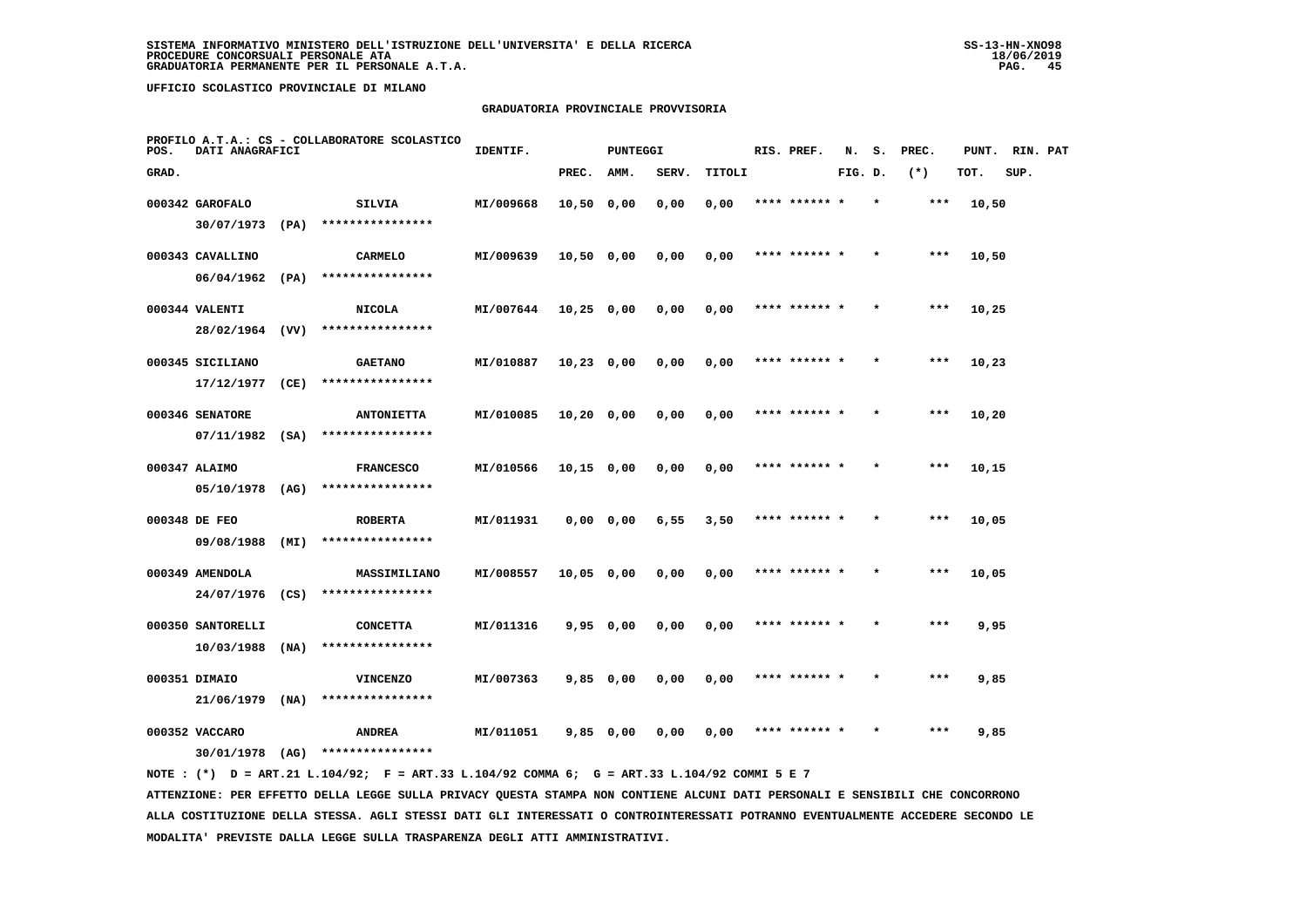# **GRADUATORIA PROVINCIALE PROVVISORIA**

| POS.  | DATI ANAGRAFICI   |      | PROFILO A.T.A.: CS - COLLABORATORE SCOLASTICO | IDENTIF.  |              | <b>PUNTEGGI</b> |       |        | RIS. PREF.    | N.      | s.      | PREC. | PUNT. | RIN. PAT |  |
|-------|-------------------|------|-----------------------------------------------|-----------|--------------|-----------------|-------|--------|---------------|---------|---------|-------|-------|----------|--|
| GRAD. |                   |      |                                               |           | PREC.        | AMM.            | SERV. | TITOLI |               | FIG. D. |         | $(*)$ | TOT.  | SUP.     |  |
|       | 000342 GAROFALO   |      | SILVIA                                        | MI/009668 | 10,50 0,00   |                 | 0,00  | 0,00   | **** ****** * |         | $\star$ | ***   | 10,50 |          |  |
|       | $30/07/1973$ (PA) |      | ****************                              |           |              |                 |       |        |               |         |         |       |       |          |  |
|       | 000343 CAVALLINO  |      | <b>CARMELO</b>                                | MI/009639 | $10,50$ 0,00 |                 | 0,00  | 0,00   | **** ****** * |         |         | ***   | 10,50 |          |  |
|       | $06/04/1962$ (PA) |      | ****************                              |           |              |                 |       |        |               |         |         |       |       |          |  |
|       | 000344 VALENTI    |      | <b>NICOLA</b>                                 | MI/007644 | $10,25$ 0,00 |                 | 0,00  | 0,00   | **** ****** * |         |         | $***$ | 10,25 |          |  |
|       | 28/02/1964 (VV)   |      | ****************                              |           |              |                 |       |        |               |         |         |       |       |          |  |
|       | 000345 SICILIANO  |      | <b>GAETANO</b>                                | MI/010887 | $10,23$ 0,00 |                 | 0,00  | 0,00   | **** ****** * |         |         | ***   | 10,23 |          |  |
|       | 17/12/1977        | (CE) | ****************                              |           |              |                 |       |        |               |         |         |       |       |          |  |
|       | 000346 SENATORE   |      | <b>ANTONIETTA</b>                             | MI/010085 | $10,20$ 0,00 |                 | 0,00  | 0,00   | **** ****** * |         |         | $***$ | 10,20 |          |  |
|       | $07/11/1982$ (SA) |      | ****************                              |           |              |                 |       |        |               |         |         |       |       |          |  |
|       | 000347 ALAIMO     |      | <b>FRANCESCO</b>                              | MI/010566 | 10,15 0,00   |                 | 0,00  | 0,00   | **** ****** * |         |         | $***$ | 10,15 |          |  |
|       | 05/10/1978 (AG)   |      | ****************                              |           |              |                 |       |        |               |         |         |       |       |          |  |
|       | 000348 DE FEO     |      | <b>ROBERTA</b>                                | MI/011931 |              | 0,0000,00       | 6,55  | 3,50   | **** ****** * |         |         | $***$ | 10,05 |          |  |
|       | 09/08/1988        | (MI) | ****************                              |           |              |                 |       |        |               |         |         |       |       |          |  |
|       | 000349 AMENDOLA   |      | MASSIMILIANO                                  | MI/008557 | 10,05 0,00   |                 | 0,00  | 0,00   | **** ****** * |         |         | ***   | 10,05 |          |  |
|       | 24/07/1976 (CS)   |      | ****************                              |           |              |                 |       |        |               |         |         |       |       |          |  |
|       | 000350 SANTORELLI |      | <b>CONCETTA</b>                               | MI/011316 | 9,950,00     |                 | 0,00  | 0,00   | **** ****** * |         |         | $***$ | 9,95  |          |  |
|       | 10/03/1988        | (NA) | ****************                              |           |              |                 |       |        |               |         |         |       |       |          |  |
|       | 000351 DIMAIO     |      | <b>VINCENZO</b>                               | MI/007363 | 9,85 0,00    |                 | 0,00  | 0,00   | **** ****** * |         |         | ***   | 9,85  |          |  |
|       | 21/06/1979        | (MA) | ****************                              |           |              |                 |       |        |               |         |         |       |       |          |  |
|       | 000352 VACCARO    |      | <b>ANDREA</b>                                 | MI/011051 | 9,85 0,00    |                 | 0,00  | 0,00   |               |         |         | ***   | 9,85  |          |  |
|       | 30/01/1978 (AG)   |      | ****************                              |           |              |                 |       |        |               |         |         |       |       |          |  |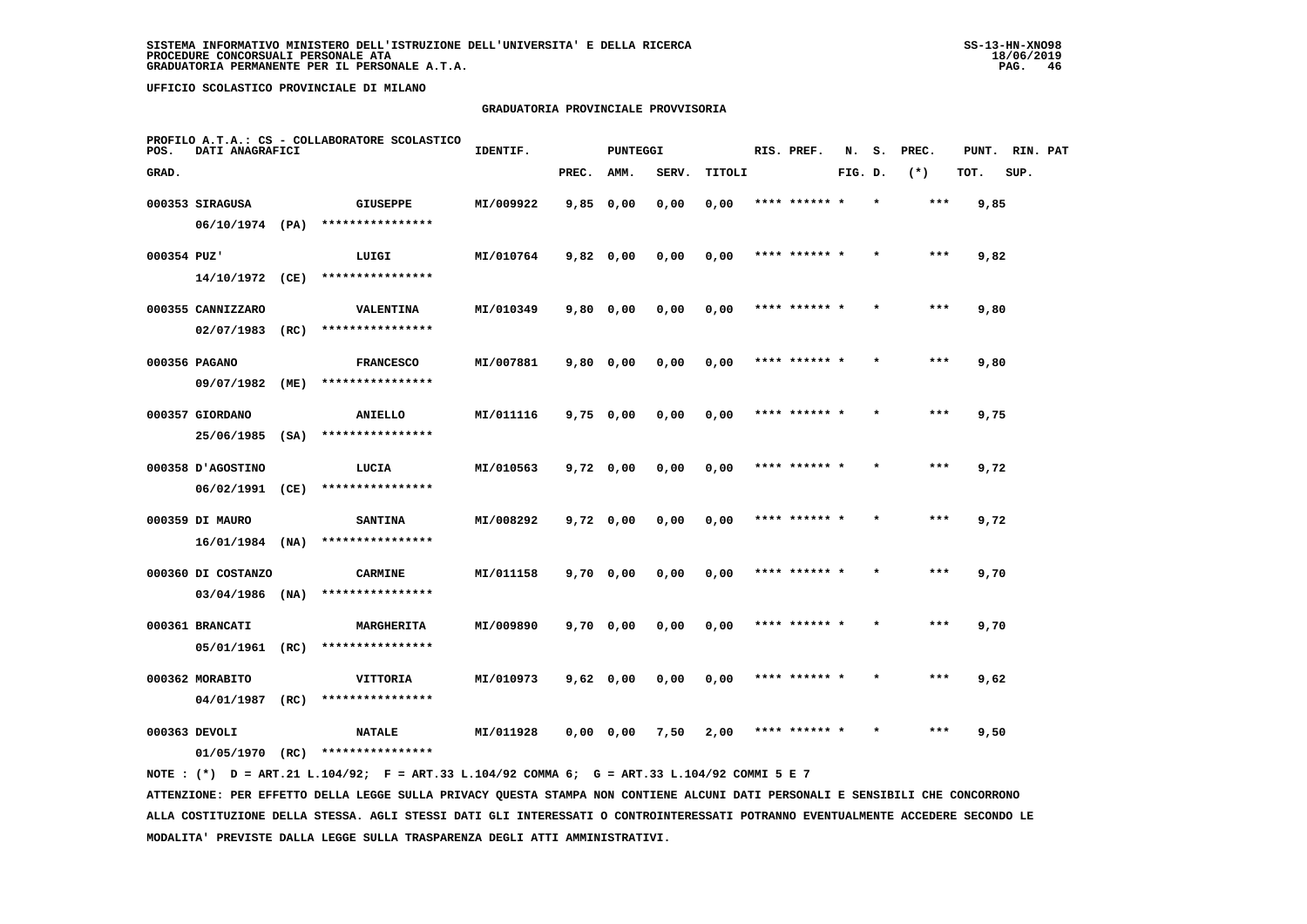# **GRADUATORIA PROVINCIALE PROVVISORIA**

| POS.        | DATI ANAGRAFICI               |      | PROFILO A.T.A.: CS - COLLABORATORE SCOLASTICO | IDENTIF.  |             | PUNTEGGI |       |        |      | RIS. PREF.    | N.      |         | S. PREC. | PUNT. RIN. PAT |      |  |
|-------------|-------------------------------|------|-----------------------------------------------|-----------|-------------|----------|-------|--------|------|---------------|---------|---------|----------|----------------|------|--|
| GRAD.       |                               |      |                                               |           | PREC.       | AMM.     | SERV. | TITOLI |      |               | FIG. D. |         | $(*)$    | TOT.           | SUP. |  |
|             | 000353 SIRAGUSA               |      | <b>GIUSEPPE</b>                               | MI/009922 | $9,85$ 0,00 |          | 0,00  | 0,00   |      |               |         |         | ***      | 9,85           |      |  |
|             | $06/10/1974$ (PA)             |      | ****************                              |           |             |          |       |        |      |               |         |         |          |                |      |  |
| 000354 PUZ' |                               |      | LUIGI                                         | MI/010764 | $9,82$ 0,00 |          | 0.00  | 0,00   |      | **** ****** * |         |         | $***$    | 9,82           |      |  |
|             | $14/10/1972$ (CE)             |      | ****************                              |           |             |          |       |        |      |               |         |         |          |                |      |  |
|             | 000355 CANNIZZARO             |      | <b>VALENTINA</b>                              | MI/010349 | 9,80 0,00   |          | 0,00  | 0,00   |      | **** ****** * |         | $\star$ | $***$    | 9,80           |      |  |
|             | 02/07/1983                    | (RC) | ****************                              |           |             |          |       |        |      |               |         |         |          |                |      |  |
|             | 000356 PAGANO                 |      | <b>FRANCESCO</b>                              | MI/007881 | $9,80$ 0,00 |          | 0,00  | 0,00   |      | **** ****** * |         |         | $***$    | 9,80           |      |  |
|             | 09/07/1982                    | (ME) | ****************                              |           |             |          |       |        |      |               |         |         |          |                |      |  |
|             | 000357 GIORDANO               |      | ANIELLO                                       | MI/011116 | $9,75$ 0,00 |          | 0,00  | 0,00   |      | **** ****** * |         |         | $***$    | 9,75           |      |  |
|             | 25/06/1985 (SA)               |      | ****************                              |           |             |          |       |        |      |               |         |         |          |                |      |  |
|             | 000358 JAGOSTINO              |      | LUCIA                                         | MI/010563 | $9,72$ 0,00 |          | 0,00  | 0,00   |      | **** ****** * |         |         | ***      | 9,72           |      |  |
|             | 06/02/1991                    | (CE) | ****************                              |           |             |          |       |        |      |               |         |         |          |                |      |  |
|             | 000359 DI MAURO               |      | <b>SANTINA</b>                                | MI/008292 | $9,72$ 0,00 |          | 0,00  | 0,00   | **** |               |         |         | $***$    | 9,72           |      |  |
|             | $16/01/1984$ (NA)             |      | ****************                              |           |             |          |       |        |      |               |         |         |          |                |      |  |
|             | 000360 DI COSTANZO            |      | <b>CARMINE</b>                                | MI/011158 | $9,70$ 0,00 |          | 0,00  | 0,00   |      | **** ****** * |         |         | $***$    | 9,70           |      |  |
|             | $03/04/1986$ (NA)             |      | ****************                              |           |             |          |       |        |      |               |         |         |          |                |      |  |
|             | 000361 BRANCATI               |      | MARGHERITA                                    | MI/009890 | 9,70 0,00   |          | 0,00  | 0,00   |      | **** ****** * |         |         | $***$    | 9,70           |      |  |
|             | 05/01/1961                    | (RC) | ****************                              |           |             |          |       |        |      |               |         |         |          |                |      |  |
|             |                               |      |                                               |           |             |          |       |        |      | **** ****** * |         |         | $***$    |                |      |  |
|             | 000362 MORABITO<br>04/01/1987 | (RC) | VITTORIA<br>****************                  | MI/010973 | $9,62$ 0,00 |          | 0,00  | 0,00   |      |               |         |         |          | 9,62           |      |  |
|             |                               |      |                                               |           |             |          |       |        |      |               |         |         |          |                |      |  |
|             | 000363 DEVOLI                 |      | <b>NATALE</b>                                 | MI/011928 | 0,0000,00   |          | 7,50  | 2,00   |      |               |         |         | ***      | 9,50           |      |  |
|             | 01/05/1970 (RC)               |      | ****************                              |           |             |          |       |        |      |               |         |         |          |                |      |  |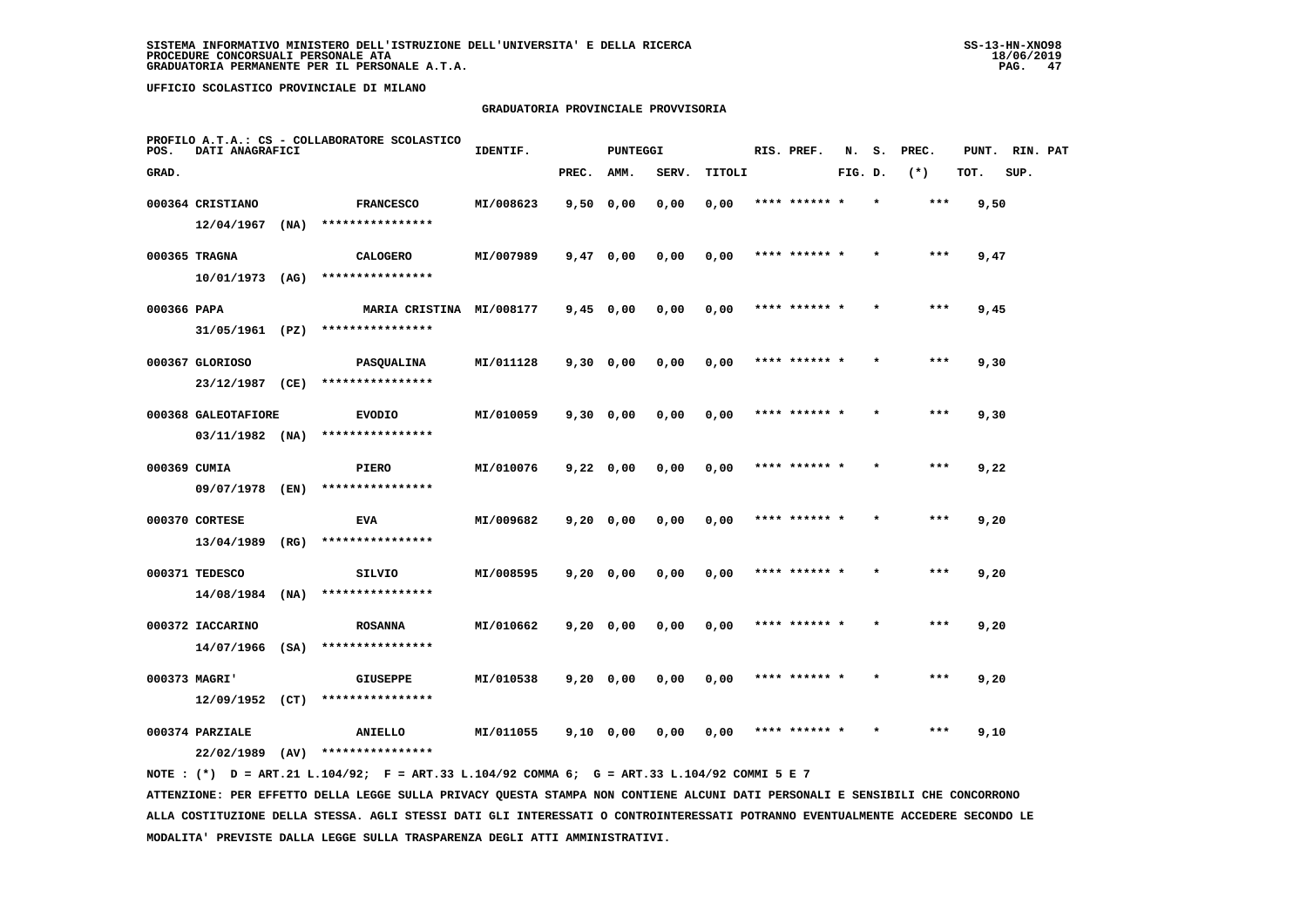# **GRADUATORIA PROVINCIALE PROVVISORIA**

| POS.         | DATI ANAGRAFICI                       |      | PROFILO A.T.A.: CS - COLLABORATORE SCOLASTICO | IDENTIF.  |             | <b>PUNTEGGI</b> |       |        | RIS. PREF.    | N.      | s. | PREC. | PUNT. | RIN. PAT |  |
|--------------|---------------------------------------|------|-----------------------------------------------|-----------|-------------|-----------------|-------|--------|---------------|---------|----|-------|-------|----------|--|
| GRAD.        |                                       |      |                                               |           | PREC.       | AMM.            | SERV. | TITOLI |               | FIG. D. |    | $(*)$ | TOT.  | SUP.     |  |
|              | 000364 CRISTIANO                      |      | <b>FRANCESCO</b>                              | MI/008623 | 9,50 0,00   |                 | 0,00  | 0,00   | **** ****** * |         |    | $***$ | 9,50  |          |  |
|              | 12/04/1967                            | (NA) | ****************                              |           |             |                 |       |        |               |         |    |       |       |          |  |
|              | 000365 TRAGNA                         |      | <b>CALOGERO</b>                               | MI/007989 | $9,47$ 0,00 |                 | 0,00  | 0,00   | **** ****** * |         |    | $***$ | 9,47  |          |  |
|              | $10/01/1973$ (AG)                     |      | ****************                              |           |             |                 |       |        |               |         |    |       |       |          |  |
| 000366 PAPA  |                                       |      | MARIA CRISTINA MI/008177                      |           | $9,45$ 0,00 |                 | 0,00  | 0,00   | **** ****** * |         |    | $***$ | 9,45  |          |  |
|              | 31/05/1961 (PZ)                       |      | ****************                              |           |             |                 |       |        |               |         |    |       |       |          |  |
|              | 000367 GLORIOSO                       |      | <b>PASQUALINA</b>                             | MI/011128 | $9,30$ 0,00 |                 | 0,00  | 0,00   | **** ****** * |         |    | $***$ | 9,30  |          |  |
|              | 23/12/1987 (CE)                       |      | ****************                              |           |             |                 |       |        |               |         |    |       |       |          |  |
|              | 000368 GALEOTAFIORE                   |      | <b>EVODIO</b>                                 | MI/010059 | 9,30 0,00   |                 | 0,00  | 0,00   | **** ****** * |         |    | ***   | 9,30  |          |  |
|              | $03/11/1982$ (NA)                     |      | ****************                              |           |             |                 |       |        |               |         |    |       |       |          |  |
| 000369 CUMIA |                                       |      | <b>PIERO</b>                                  | MI/010076 | $9,22$ 0,00 |                 | 0,00  | 0,00   | **** ****** * |         |    | ***   | 9,22  |          |  |
|              | 09/07/1978 (EN)                       |      | ****************                              |           |             |                 |       |        |               |         |    |       |       |          |  |
|              | 000370 CORTESE                        |      | <b>EVA</b><br>****************                | MI/009682 | $9,20$ 0,00 |                 | 0,00  | 0,00   | **** ******   |         |    | ***   | 9,20  |          |  |
|              | 13/04/1989                            | (RG) |                                               |           |             |                 |       |        |               |         |    |       |       |          |  |
|              | 000371 TEDESCO<br>$14/08/1984$ (NA)   |      | SILVIO<br>****************                    | MI/008595 | $9,20$ 0,00 |                 | 0,00  | 0,00   | **** ****** * |         |    | ***   | 9,20  |          |  |
|              |                                       |      |                                               |           |             |                 |       |        |               |         |    |       |       |          |  |
|              | 000372 IACCARINO<br>$14/07/1966$ (SA) |      | <b>ROSANNA</b><br>****************            | MI/010662 | $9,20$ 0,00 |                 | 0,00  | 0,00   | **** ****** * |         |    | $***$ | 9,20  |          |  |
|              |                                       |      |                                               |           |             |                 |       |        |               |         |    |       |       |          |  |
|              | 000373 MAGRI'<br>$12/09/1952$ (CT)    |      | <b>GIUSEPPE</b><br>****************           | MI/010538 | $9,20$ 0,00 |                 | 0,00  | 0,00   | **** ****** * |         |    | ***   | 9,20  |          |  |
|              |                                       |      |                                               |           |             |                 |       |        |               |         |    |       |       |          |  |
|              | 000374 PARZIALE                       |      | ANIELLO<br>****************                   | MI/011055 | 9,10 0,00   |                 | 0,00  | 0,00   | **** ****** * |         |    | ***   | 9,10  |          |  |
|              | 22/02/1989                            | (AV) |                                               |           |             |                 |       |        |               |         |    |       |       |          |  |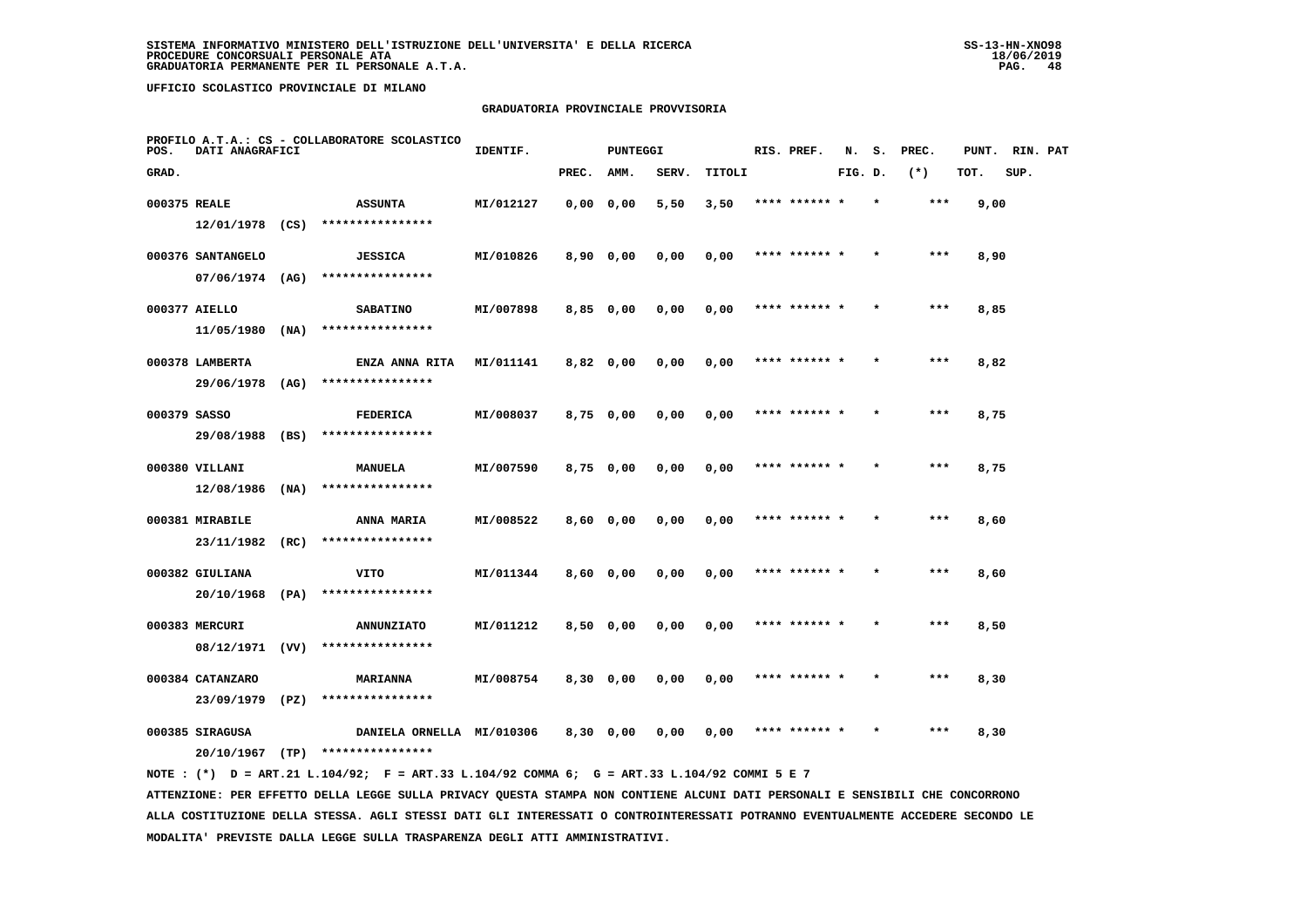# **GRADUATORIA PROVINCIALE PROVVISORIA**

| POS.         | DATI ANAGRAFICI   |      | PROFILO A.T.A.: CS - COLLABORATORE SCOLASTICO | IDENTIF.  |           | <b>PUNTEGGI</b> |       |        | RIS. PREF.    | N.      | s.      | PREC. | PUNT. | RIN. PAT |  |
|--------------|-------------------|------|-----------------------------------------------|-----------|-----------|-----------------|-------|--------|---------------|---------|---------|-------|-------|----------|--|
| GRAD.        |                   |      |                                               |           | PREC.     | AMM.            | SERV. | TITOLI |               | FIG. D. |         | $(*)$ | TOT.  | SUP.     |  |
| 000375 REALE |                   |      | <b>ASSUNTA</b>                                | MI/012127 |           | 0,0000,00       | 5,50  | 3,50   | **** ****** * |         |         | $***$ | 9,00  |          |  |
|              | 12/01/1978 (CS)   |      | ****************                              |           |           |                 |       |        |               |         |         |       |       |          |  |
|              | 000376 SANTANGELO |      | <b>JESSICA</b>                                | MI/010826 |           | 8,90 0,00       | 0,00  | 0,00   | **** ******   |         |         | ***   | 8,90  |          |  |
|              | 07/06/1974 (AG)   |      | ****************                              |           |           |                 |       |        |               |         |         |       |       |          |  |
|              | 000377 AIELLO     |      | <b>SABATINO</b>                               | MI/007898 |           | $8,85$ 0,00     | 0,00  | 0,00   | **** ****** * |         |         | $***$ | 8,85  |          |  |
|              | 11/05/1980        | (NA) | ****************                              |           |           |                 |       |        |               |         |         |       |       |          |  |
|              | 000378 LAMBERTA   |      | <b>ENZA ANNA RITA</b>                         | MI/011141 |           | 8,82 0,00       | 0,00  | 0,00   | **** ****** * |         | $\star$ | ***   | 8,82  |          |  |
|              | 29/06/1978        | (AG) | ****************                              |           |           |                 |       |        |               |         |         |       |       |          |  |
| 000379 SASSO |                   |      | <b>FEDERICA</b>                               | MI/008037 |           | 8,75 0,00       | 0,00  | 0,00   | **** ****** * |         |         | ***   | 8,75  |          |  |
|              | 29/08/1988 (BS)   |      | ****************                              |           |           |                 |       |        |               |         |         |       |       |          |  |
|              | 000380 VILLANI    |      | MANUELA                                       | MI/007590 |           | 8,75 0,00       | 0,00  | 0,00   | **** ****** * |         |         | ***   | 8,75  |          |  |
|              | 12/08/1986        | (NA) | ****************                              |           |           |                 |       |        |               |         |         |       |       |          |  |
|              | 000381 MIRABILE   |      | ANNA MARIA                                    | MI/008522 |           | 8,60 0,00       | 0,00  | 0,00   | **** ****** * |         |         | $***$ | 8,60  |          |  |
|              | 23/11/1982        | (RC) | ****************                              |           |           |                 |       |        |               |         |         |       |       |          |  |
|              | 000382 GIULIANA   |      | VITO                                          | MI/011344 |           | $8,60$ 0,00     | 0,00  | 0,00   | **** ******   |         |         | ***   | 8,60  |          |  |
|              | 20/10/1968 (PA)   |      | ****************                              |           |           |                 |       |        |               |         |         |       |       |          |  |
|              | 000383 MERCURI    |      | <b>ANNUNZIATO</b>                             | MI/011212 |           | 8,50 0,00       | 0,00  | 0,00   | **** ****** * |         |         | ***   | 8,50  |          |  |
|              | 08/12/1971 (VV)   |      | ****************                              |           |           |                 |       |        |               |         |         |       |       |          |  |
|              | 000384 CATANZARO  |      | <b>MARIANNA</b>                               | MI/008754 |           | 8,30 0,00       | 0,00  | 0,00   | **** ****** * |         |         | ***   | 8,30  |          |  |
|              | 23/09/1979        | (PZ) | ****************                              |           |           |                 |       |        |               |         |         |       |       |          |  |
|              | 000385 SIRAGUSA   |      | DANIELA ORNELLA MI/010306                     |           | 8,30 0,00 |                 | 0,00  | 0,00   | **** ****** * |         |         | ***   | 8,30  |          |  |
|              | 20/10/1967        | (TP) | ****************                              |           |           |                 |       |        |               |         |         |       |       |          |  |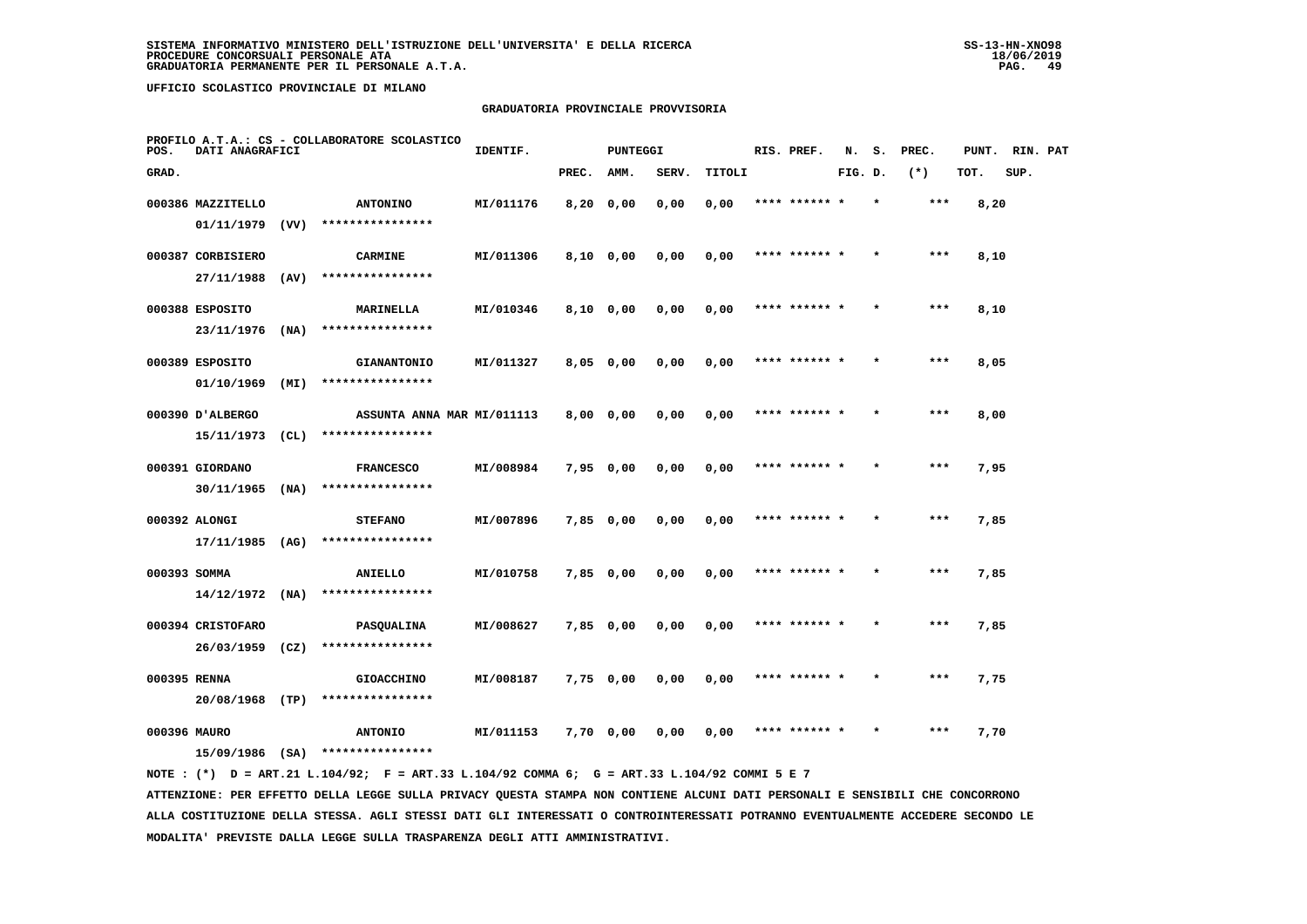# **GRADUATORIA PROVINCIALE PROVVISORIA**

| POS.         | DATI ANAGRAFICI   |      | PROFILO A.T.A.: CS - COLLABORATORE SCOLASTICO | IDENTIF.  |                | PUNTEGGI |       |        | RIS. PREF.    | N.      | s.      | PREC. | PUNT. | RIN. PAT |  |
|--------------|-------------------|------|-----------------------------------------------|-----------|----------------|----------|-------|--------|---------------|---------|---------|-------|-------|----------|--|
| GRAD.        |                   |      |                                               |           | PREC.          | AMM.     | SERV. | TITOLI |               | FIG. D. |         | $(*)$ | TOT.  | SUP.     |  |
|              | 000386 MAZZITELLO |      | <b>ANTONINO</b>                               | MI/011176 | $8,20$ 0,00    |          | 0,00  | 0,00   | **** ****** * |         | $\star$ | $***$ | 8,20  |          |  |
|              | 01/11/1979        | (VV) | ****************                              |           |                |          |       |        |               |         |         |       |       |          |  |
|              | 000387 CORBISIERO |      | <b>CARMINE</b>                                | MI/011306 | $8,10$ 0,00    |          | 0,00  | 0,00   | **** ****** * |         |         | ***   | 8,10  |          |  |
|              | 27/11/1988        | (AV) | ****************                              |           |                |          |       |        |               |         |         |       |       |          |  |
|              | 000388 ESPOSITO   |      | MARINELLA                                     | MI/010346 | 8,10 0,00      |          | 0,00  | 0,00   | **** ****** * |         |         | $***$ | 8,10  |          |  |
|              | 23/11/1976        | (NA) | ****************                              |           |                |          |       |        |               |         |         |       |       |          |  |
|              | 000389 ESPOSITO   |      | <b>GIANANTONIO</b>                            | MI/011327 | $8,05$ 0,00    |          | 0,00  | 0,00   | **** ****** * |         |         | ***   | 8,05  |          |  |
|              | 01/10/1969        | (MI) | ****************                              |           |                |          |       |        |               |         |         |       |       |          |  |
|              | 000390 D'ALBERGO  |      | ASSUNTA ANNA MAR MI/011113                    |           | $8,00 \t 0,00$ |          | 0,00  | 0,00   | **** ****** * |         |         | ***   | 8,00  |          |  |
|              | 15/11/1973        | (CL) | ****************                              |           |                |          |       |        |               |         |         |       |       |          |  |
|              | 000391 GIORDANO   |      | <b>FRANCESCO</b>                              | MI/008984 | 7,95 0,00      |          | 0,00  | 0,00   | **** ****** * |         | $\star$ | $***$ | 7,95  |          |  |
|              | 30/11/1965        | (NA) | ****************                              |           |                |          |       |        |               |         |         |       |       |          |  |
|              | 000392 ALONGI     |      | <b>STEFANO</b>                                | MI/007896 | 7,85 0,00      |          | 0,00  | 0,00   |               |         |         | ***   | 7,85  |          |  |
|              | 17/11/1985 (AG)   |      | ****************                              |           |                |          |       |        |               |         |         |       |       |          |  |
| 000393 SOMMA |                   |      | ANIELLO                                       | MI/010758 | 7,85 0,00      |          | 0,00  | 0,00   | **** ****** * |         |         | $***$ | 7,85  |          |  |
|              | $14/12/1972$ (NA) |      | ****************                              |           |                |          |       |        |               |         |         |       |       |          |  |
|              | 000394 CRISTOFARO |      | <b>PASQUALINA</b>                             | MI/008627 | $7,85$ 0,00    |          | 0,00  | 0,00   | **** ****** * |         | $\star$ | $***$ | 7,85  |          |  |
|              | 26/03/1959        | (CZ) | ****************                              |           |                |          |       |        |               |         |         |       |       |          |  |
| 000395 RENNA |                   |      | <b>GIOACCHINO</b>                             | MI/008187 | 7,75 0,00      |          | 0,00  | 0,00   | **** ****** * |         |         | $***$ | 7,75  |          |  |
|              | 20/08/1968 (TP)   |      | ****************                              |           |                |          |       |        |               |         |         |       |       |          |  |
| 000396 MAURO | 15/09/1986        |      | <b>ANTONIO</b><br>****************            | MI/011153 | 7,70 0,00      |          | 0,00  | 0,00   |               |         |         | ***   | 7,70  |          |  |
|              |                   | (SA) |                                               |           |                |          |       |        |               |         |         |       |       |          |  |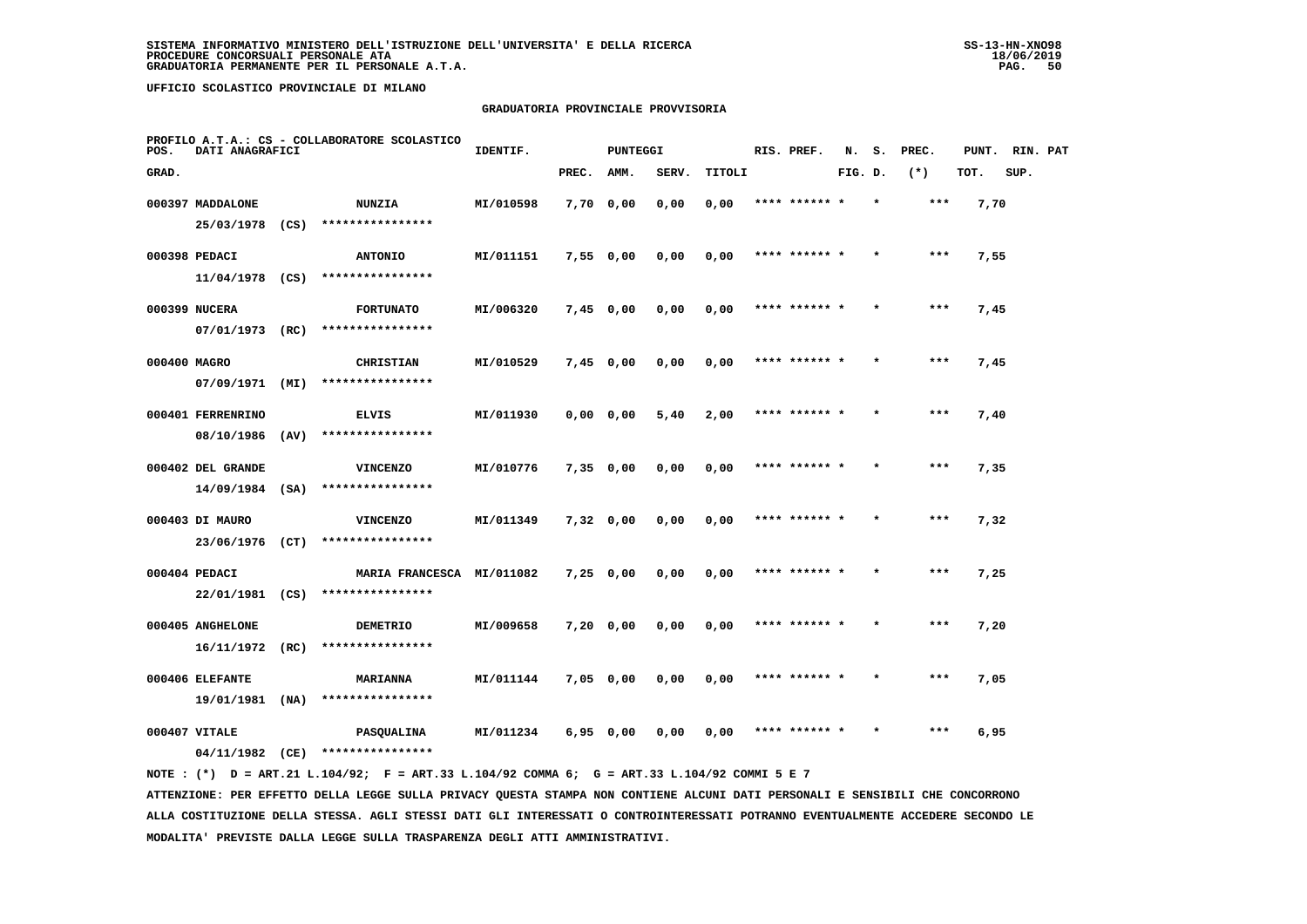# **GRADUATORIA PROVINCIALE PROVVISORIA**

| POS.         | DATI ANAGRAFICI                    | PROFILO A.T.A.: CS - COLLABORATORE SCOLASTICO | IDENTIF.                                      |           | <b>PUNTEGGI</b> |             |       |        | RIS. PREF. | N.            | s.      | PREC.   | PUNT. | RIN. PAT |      |  |
|--------------|------------------------------------|-----------------------------------------------|-----------------------------------------------|-----------|-----------------|-------------|-------|--------|------------|---------------|---------|---------|-------|----------|------|--|
| GRAD.        |                                    |                                               |                                               |           | PREC.           | AMM.        | SERV. | TITOLI |            |               | FIG. D. |         | $(*)$ | TOT.     | SUP. |  |
|              | 000397 MADDALONE                   |                                               | <b>NUNZIA</b>                                 | MI/010598 |                 | 7,70 0,00   | 0,00  | 0,00   |            | **** ****** * |         | $\star$ | $***$ | 7,70     |      |  |
|              | 25/03/1978 (CS)                    |                                               | ****************                              |           |                 |             |       |        |            |               |         |         |       |          |      |  |
|              | 000398 PEDACI                      |                                               | <b>ANTONIO</b>                                | MI/011151 | 7,55 0,00       |             | 0,00  | 0,00   |            |               |         |         | ***   | 7,55     |      |  |
|              | $11/04/1978$ (CS)                  |                                               | ****************                              |           |                 |             |       |        |            |               |         |         |       |          |      |  |
|              | 000399 NUCERA                      |                                               | <b>FORTUNATO</b>                              | MI/006320 |                 | $7,45$ 0,00 | 0,00  | 0,00   |            | **** ****** * |         |         | ***   | 7,45     |      |  |
|              | 07/01/1973 (RC)                    |                                               | ****************                              |           |                 |             |       |        |            |               |         |         |       |          |      |  |
| 000400 MAGRO |                                    |                                               | <b>CHRISTIAN</b>                              | MI/010529 |                 | $7,45$ 0,00 | 0,00  | 0,00   |            | **** ****** * |         |         | $***$ | 7,45     |      |  |
|              | 07/09/1971 (MI)                    |                                               | ****************                              |           |                 |             |       |        |            |               |         |         |       |          |      |  |
|              | 000401 FERRENRINO                  |                                               | <b>ELVIS</b>                                  | MI/011930 |                 | 0,0000,00   | 5,40  | 2,00   |            | **** ****** * |         |         | ***   | 7,40     |      |  |
|              | 08/10/1986                         | (AV)                                          | ****************                              |           |                 |             |       |        |            |               |         |         |       |          |      |  |
|              | 000402 DEL GRANDE                  |                                               | <b>VINCENZO</b>                               | MI/010776 |                 | $7,35$ 0,00 | 0,00  | 0,00   |            | **** ****** * |         |         | ***   | 7,35     |      |  |
|              | $14/09/1984$ (SA)                  |                                               | ****************                              |           |                 |             |       |        |            |               |         |         |       |          |      |  |
|              | 000403 DI MAURO                    |                                               | <b>VINCENZO</b>                               | MI/011349 |                 | $7,32$ 0,00 | 0.00  | 0,00   |            | **** ****** * |         |         | $***$ | 7,32     |      |  |
|              | 23/06/1976 (CT)                    |                                               | ****************                              |           |                 |             |       |        |            |               |         |         |       |          |      |  |
|              | 000404 PEDACI<br>22/01/1981 (CS)   |                                               | MARIA FRANCESCA MI/011082<br>**************** |           |                 | $7,25$ 0,00 | 0,00  | 0,00   |            | **** ****** * |         |         | ***   | 7,25     |      |  |
|              |                                    |                                               |                                               |           |                 |             |       |        |            |               |         |         |       |          |      |  |
|              | 000405 ANGHELONE<br>16/11/1972     | (RC)                                          | <b>DEMETRIO</b><br>****************           | MI/009658 |                 | 7,20 0,00   | 0,00  | 0,00   |            | **** ****** * |         |         | ***   | 7,20     |      |  |
|              |                                    |                                               |                                               |           |                 |             |       |        |            |               |         |         |       |          |      |  |
|              | 000406 ELEFANTE<br>19/01/1981 (NA) |                                               | <b>MARIANNA</b><br>****************           | MI/011144 | $7,05$ 0,00     |             | 0,00  | 0,00   |            | **** ****** * |         |         | ***   | 7,05     |      |  |
|              |                                    |                                               |                                               |           |                 |             |       |        |            |               |         |         |       |          |      |  |
|              | 000407 VITALE<br>04/11/1982 (CE)   |                                               | PASQUALINA<br>****************                | MI/011234 |                 | $6,95$ 0,00 | 0,00  | 0,00   |            | **** ****** * |         |         | ***   | 6,95     |      |  |
|              |                                    |                                               |                                               |           |                 |             |       |        |            |               |         |         |       |          |      |  |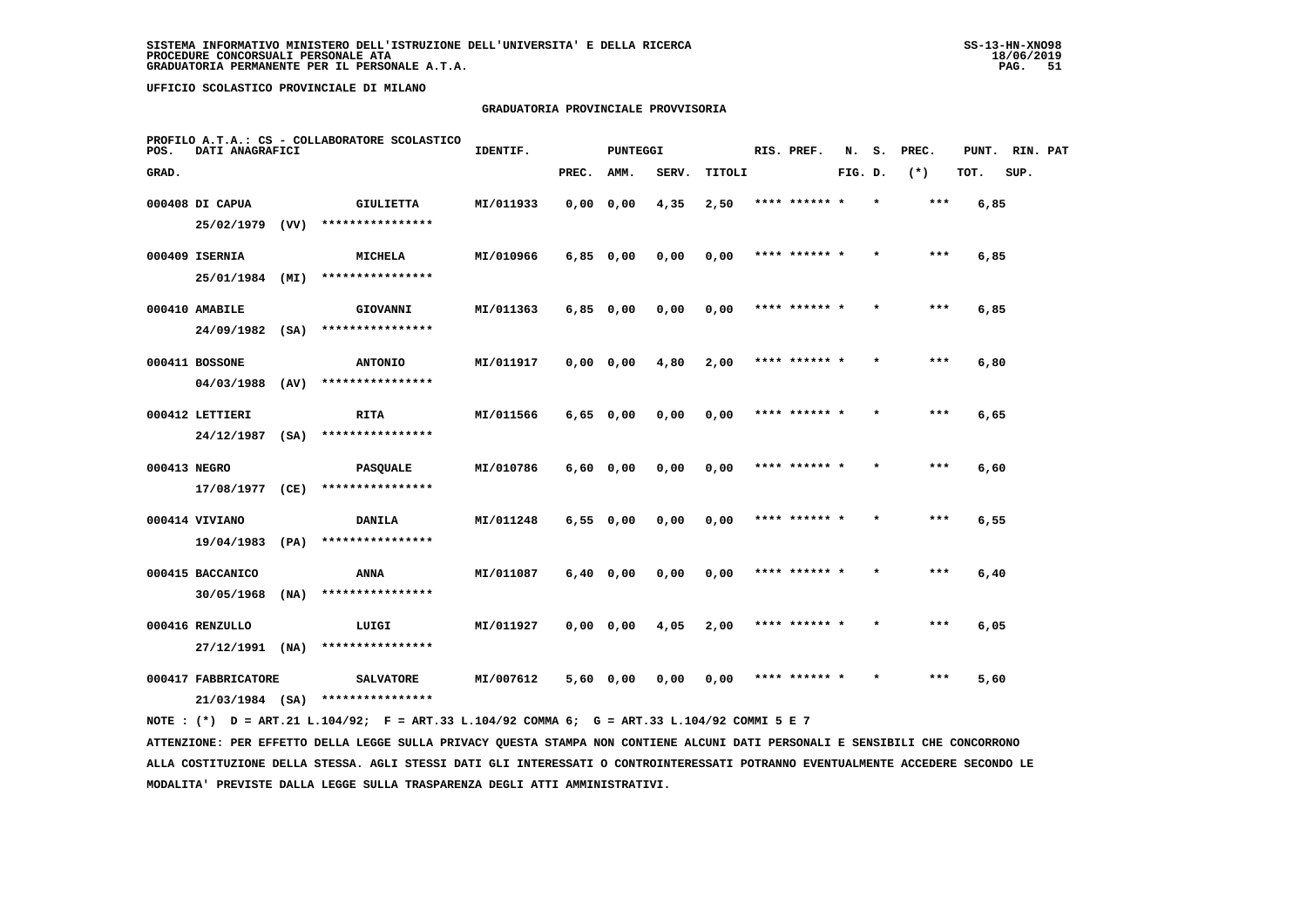# **GRADUATORIA PROVINCIALE PROVVISORIA**

| POS.                | DATI ANAGRAFICI   | PROFILO A.T.A.: CS - COLLABORATORE SCOLASTICO | IDENTIF.<br><b>PUNTEGGI</b> |           |               |               | RIS. PREF. | N.     | s.            | PREC.   | PUNT. RIN. PAT |       |      |      |  |
|---------------------|-------------------|-----------------------------------------------|-----------------------------|-----------|---------------|---------------|------------|--------|---------------|---------|----------------|-------|------|------|--|
| GRAD.               |                   |                                               |                             |           | PREC. AMM.    |               | SERV.      | TITOLI |               | FIG. D. |                | $(*)$ | TOT. | SUP. |  |
|                     | 000408 DI CAPUA   |                                               | GIULIETTA                   | MI/011933 | $0,00$ $0,00$ |               | 4,35       | 2,50   | **** ****** * |         | $\star$        | ***   | 6,85 |      |  |
|                     | $25/02/1979$ (VV) |                                               | ****************            |           |               |               |            |        |               |         |                |       |      |      |  |
|                     | 000409 ISERNIA    |                                               | <b>MICHELA</b>              | MI/010966 |               | 6,85 0,00     | 0,00       | 0,00   | **** ****** * |         | $\star$        | $***$ | 6,85 |      |  |
|                     | 25/01/1984 (MI)   |                                               | ****************            |           |               |               |            |        |               |         |                |       |      |      |  |
|                     | 000410 AMABILE    |                                               | <b>GIOVANNI</b>             | MI/011363 | $6,85$ 0,00   |               | 0,00       | 0,00   | **** ****** * |         |                | $***$ | 6,85 |      |  |
|                     | $24/09/1982$ (SA) |                                               | ****************            |           |               |               |            |        |               |         |                |       |      |      |  |
|                     | 000411 BOSSONE    |                                               | <b>ANTONIO</b>              | MI/011917 |               | 0,00 0,00     | 4,80       | 2,00   | **** ****** * |         |                | $***$ | 6,80 |      |  |
|                     | 04/03/1988 (AV)   |                                               | ****************            |           |               |               |            |        |               |         |                |       |      |      |  |
|                     | 000412 LETTIERI   |                                               | <b>RITA</b>                 | MI/011566 | $6,65$ 0,00   |               | 0,00       | 0,00   | **** ****** * |         |                | ***   | 6,65 |      |  |
|                     | 24/12/1987 (SA)   |                                               | ****************            |           |               |               |            |        |               |         |                |       |      |      |  |
| 000413 NEGRO        |                   |                                               | <b>PASQUALE</b>             | MI/010786 |               | $6,60$ $0,00$ | 0.00       | 0,00   | **** ****** * |         |                | $***$ | 6,60 |      |  |
|                     | 17/08/1977 (CE)   |                                               | ****************            |           |               |               |            |        |               |         |                |       |      |      |  |
|                     | 000414 VIVIANO    |                                               | <b>DANILA</b>               | MI/011248 | 6,550,00      |               | 0,00       | 0,00   | **** ****** * |         |                | $***$ | 6,55 |      |  |
|                     | 19/04/1983        | (PA)                                          | ****************            |           |               |               |            |        |               |         |                |       |      |      |  |
|                     | 000415 BACCANICO  |                                               | ANNA                        | MI/011087 |               | $6,40$ 0,00   | 0.00       | 0,00   | **** ****** * |         |                | $***$ | 6,40 |      |  |
|                     | 30/05/1968        | (NA)                                          | ****************            |           |               |               |            |        |               |         |                |       |      |      |  |
|                     | 000416 RENZULLO   |                                               | LUIGI                       | MI/011927 | 0,0000,000    |               | 4,05       | 2,00   | **** ****** * |         |                | $***$ | 6,05 |      |  |
|                     | $27/12/1991$ (NA) |                                               | ****************            |           |               |               |            |        |               |         |                |       |      |      |  |
| 000417 FABBRICATORE |                   |                                               | <b>SALVATORE</b>            | MI/007612 |               | 5,60 0,00     | 0,00       | 0,00   | **** ****** * |         |                | ***   | 5,60 |      |  |
|                     | $21/03/1984$ (SA) |                                               | ****************            |           |               |               |            |        |               |         |                |       |      |      |  |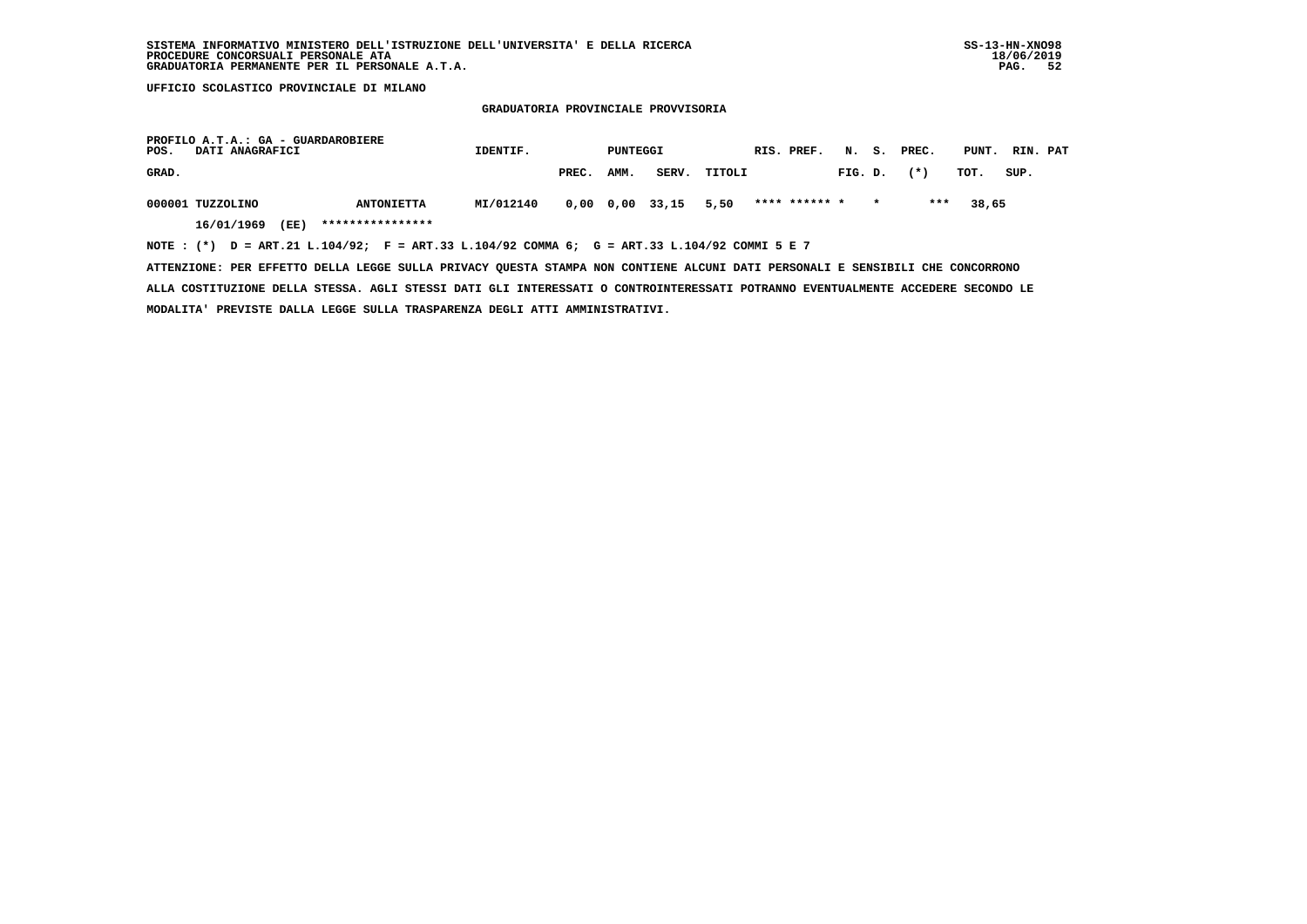#### **GRADUATORIA PROVINCIALE PROVVISORIA**

| POS.  | PROFILO A.T.A.: GA - GUARDAROBIERE<br>DATI ANAGRAFICI                                          | IDENTIF.<br>PUNTEGGI |           |       |      |                 | RIS. PREF. |  |               | N. S. PREC. |  | PUNT. RIN. PAT |       |      |  |
|-------|------------------------------------------------------------------------------------------------|----------------------|-----------|-------|------|-----------------|------------|--|---------------|-------------|--|----------------|-------|------|--|
| GRAD. |                                                                                                |                      |           | PREC. | AMM. | SERV.           | TITOLI     |  |               | FIG. D.     |  | $(\star)$      | тот.  | SUP. |  |
|       | 000001 TUZZOLINO                                                                               | <b>ANTONIETTA</b>    | MI/012140 |       |      | 0,00 0,00 33,15 | 5,50       |  | **** ****** * |             |  | ***            | 38,65 |      |  |
|       | (EE)<br>16/01/1969                                                                             | ****************     |           |       |      |                 |            |  |               |             |  |                |       |      |  |
|       | NOTE : $(*)$ D = ART.21 L.104/92; F = ART.33 L.104/92 COMMA 6; G = ART.33 L.104/92 COMMI 5 E 7 |                      |           |       |      |                 |            |  |               |             |  |                |       |      |  |

 **ATTENZIONE: PER EFFETTO DELLA LEGGE SULLA PRIVACY QUESTA STAMPA NON CONTIENE ALCUNI DATI PERSONALI E SENSIBILI CHE CONCORRONO ALLA COSTITUZIONE DELLA STESSA. AGLI STESSI DATI GLI INTERESSATI O CONTROINTERESSATI POTRANNO EVENTUALMENTE ACCEDERE SECONDO LE MODALITA' PREVISTE DALLA LEGGE SULLA TRASPARENZA DEGLI ATTI AMMINISTRATIVI.**